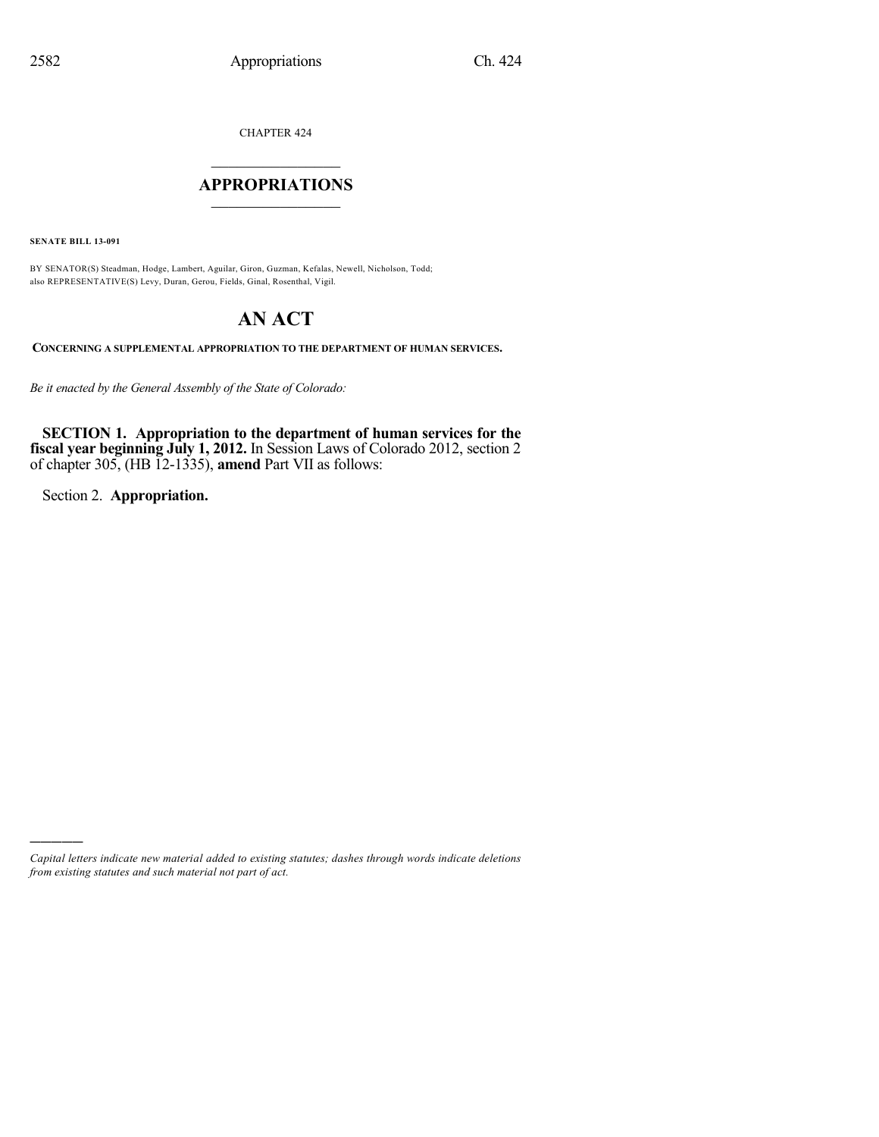CHAPTER 424

## $\mathcal{L}_\text{max}$  . The set of the set of the set of the set of the set of the set of the set of the set of the set of the set of the set of the set of the set of the set of the set of the set of the set of the set of the set **APPROPRIATIONS**  $\_$   $\_$   $\_$   $\_$   $\_$   $\_$   $\_$   $\_$

**SENATE BILL 13-091**

)))))

BY SENATOR(S) Steadman, Hodge, Lambert, Aguilar, Giron, Guzman, Kefalas, Newell, Nicholson, Todd; also REPRESENTATIVE(S) Levy, Duran, Gerou, Fields, Ginal, Rosenthal, Vigil.

# **AN ACT**

**CONCERNING A SUPPLEMENTAL APPROPRIATION TO THE DEPARTMENT OF HUMAN SERVICES.**

*Be it enacted by the General Assembly of the State of Colorado:*

**SECTION 1. Appropriation to the department of human services for the fiscal year beginning July 1, 2012.** In Session Laws of Colorado 2012, section 2 of chapter 305, (HB 12-1335), **amend** Part VII as follows:

Section 2. **Appropriation.**

*Capital letters indicate new material added to existing statutes; dashes through words indicate deletions from existing statutes and such material not part of act.*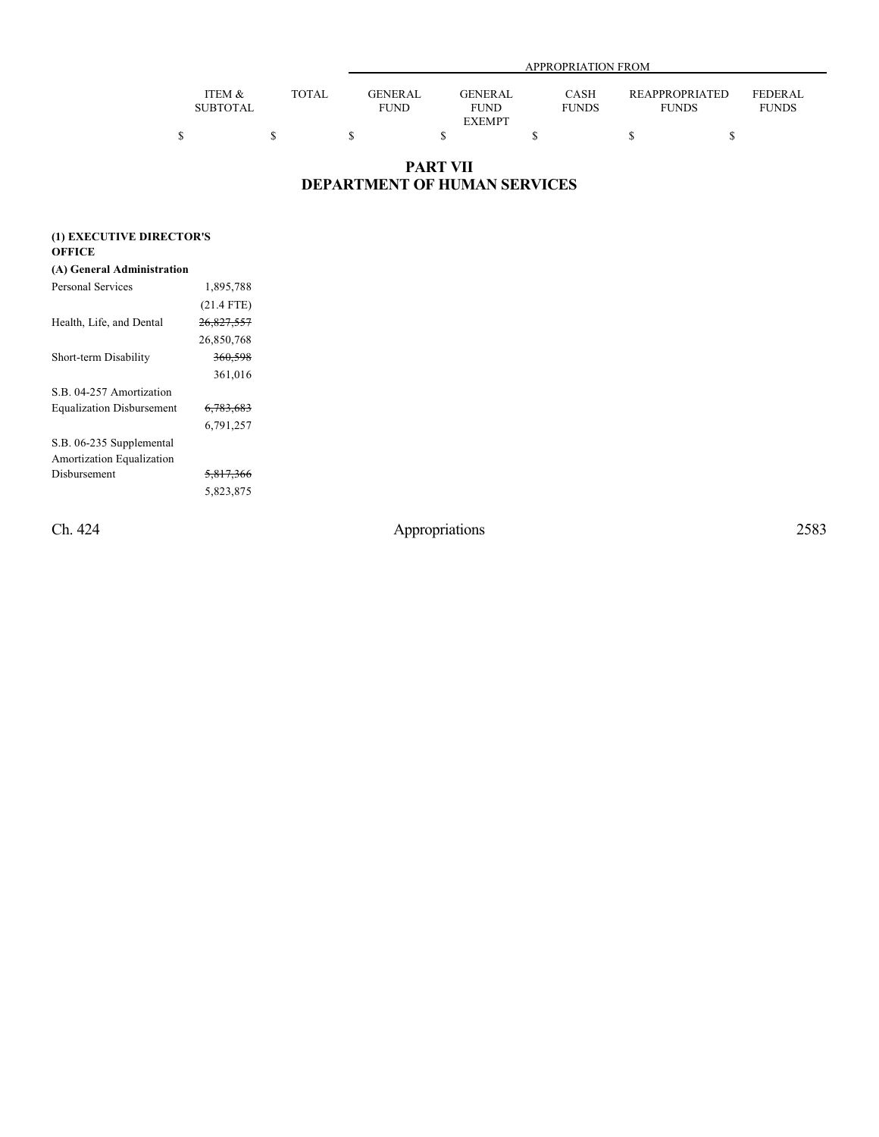|                           |        |                               | APPROPRIATION FROM            |                      |                                |                                |  |  |
|---------------------------|--------|-------------------------------|-------------------------------|----------------------|--------------------------------|--------------------------------|--|--|
| ITEM &<br><b>SUBTOTAL</b> | TOTAL. | <b>GENERAL</b><br><b>FUND</b> | <b>GENERAL</b><br><b>FUND</b> | CASH<br><b>FUNDS</b> | REAPPROPRIATED<br><b>FUNDS</b> | <b>FEDERAL</b><br><b>FUNDS</b> |  |  |
|                           |        |                               | <b>EXEMPT</b>                 |                      |                                |                                |  |  |
|                           |        |                               |                               |                      |                                |                                |  |  |

## **PART VII DEPARTMENT OF HUMAN SERVICES**

## **(1) EXECUTIVE DIRECTOR'S**

## **OFFICE**

| Personal Services                  | 1,895,788            |
|------------------------------------|----------------------|
|                                    | $(21.4$ FTE)         |
| Health, Life, and Dental           | 26,827,557           |
|                                    | 26,850,768           |
| Short-term Disability              | 360,598              |
|                                    | 361,016              |
| S <sub>B</sub> 04-257 Amortization |                      |
| <b>Equalization Disbursement</b>   | <del>6,783,683</del> |
|                                    | 6,791,257            |
| S.B. 06-235 Supplemental           |                      |
| Amortization Equalization          |                      |
| Disbursement                       | <del>5,817,366</del> |
|                                    | 5,823,875            |
|                                    |                      |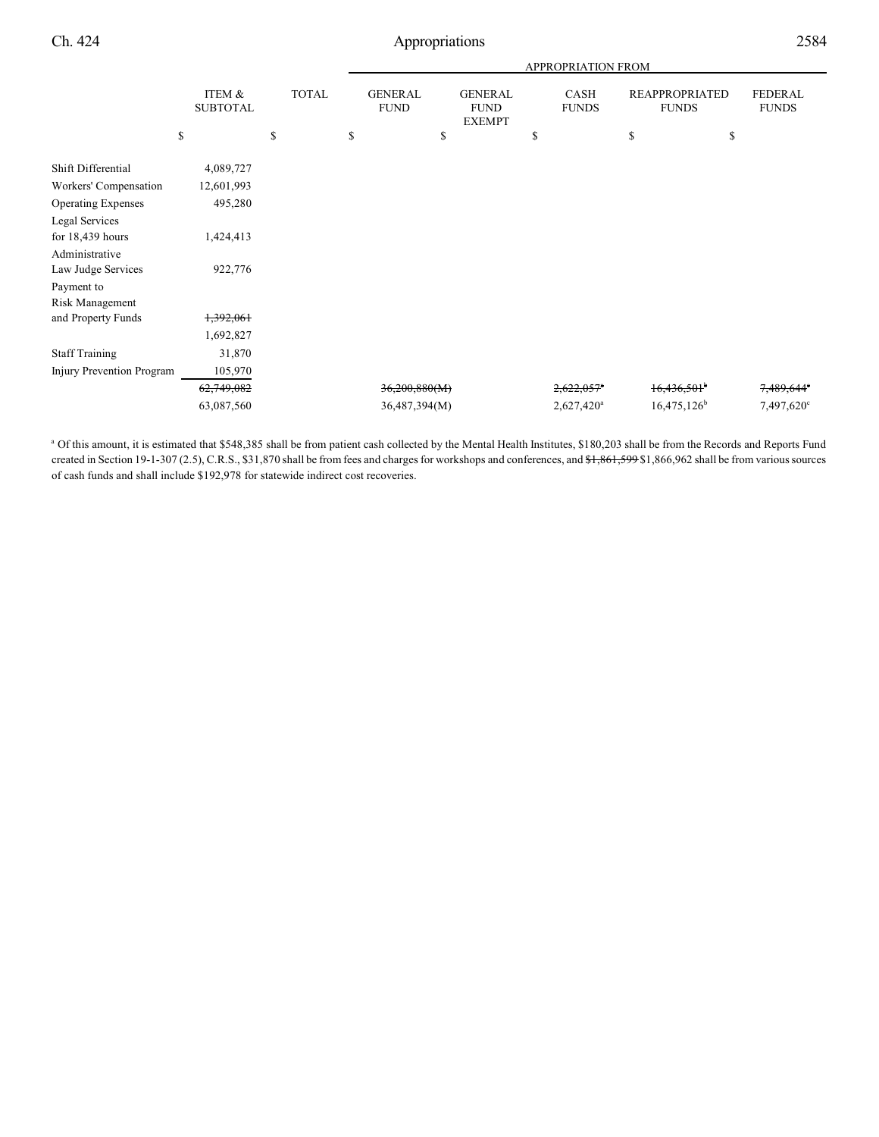|                                  |                           |              | APPROPRIATION FROM            |               |                                                                        |                          |    |                                       |                                |
|----------------------------------|---------------------------|--------------|-------------------------------|---------------|------------------------------------------------------------------------|--------------------------|----|---------------------------------------|--------------------------------|
|                                  | ITEM &<br><b>SUBTOTAL</b> | <b>TOTAL</b> | <b>GENERAL</b><br><b>FUND</b> |               | <b>GENERAL</b><br>CASH<br><b>FUND</b><br><b>FUNDS</b><br><b>EXEMPT</b> |                          |    | <b>REAPPROPRIATED</b><br><b>FUNDS</b> | <b>FEDERAL</b><br><b>FUNDS</b> |
|                                  | \$                        | \$           | \$                            | \$            |                                                                        | \$                       | \$ | \$                                    |                                |
| Shift Differential               | 4,089,727                 |              |                               |               |                                                                        |                          |    |                                       |                                |
| Workers' Compensation            | 12,601,993                |              |                               |               |                                                                        |                          |    |                                       |                                |
| <b>Operating Expenses</b>        | 495,280                   |              |                               |               |                                                                        |                          |    |                                       |                                |
| Legal Services                   |                           |              |                               |               |                                                                        |                          |    |                                       |                                |
| for $18,439$ hours               | 1,424,413                 |              |                               |               |                                                                        |                          |    |                                       |                                |
| Administrative                   |                           |              |                               |               |                                                                        |                          |    |                                       |                                |
| Law Judge Services               | 922,776                   |              |                               |               |                                                                        |                          |    |                                       |                                |
| Payment to                       |                           |              |                               |               |                                                                        |                          |    |                                       |                                |
| Risk Management                  |                           |              |                               |               |                                                                        |                          |    |                                       |                                |
| and Property Funds               | 1,392,061                 |              |                               |               |                                                                        |                          |    |                                       |                                |
|                                  | 1,692,827                 |              |                               |               |                                                                        |                          |    |                                       |                                |
| <b>Staff Training</b>            | 31,870                    |              |                               |               |                                                                        |                          |    |                                       |                                |
| <b>Injury Prevention Program</b> | 105,970                   |              |                               |               |                                                                        |                          |    |                                       |                                |
|                                  | 62,749,082                |              |                               | 36,200,880(M) |                                                                        | $2,622,057$ <sup>*</sup> |    | $16,436,501$ <sup>b</sup>             | 7,489,644°                     |
|                                  | 63,087,560                |              |                               | 36,487,394(M) |                                                                        | 2,627,420 <sup>a</sup>   |    | $16,475,126^b$                        | 7,497,620°                     |
|                                  |                           |              |                               |               |                                                                        |                          |    |                                       |                                |

<sup>a</sup> Of this amount, it is estimated that \$548,385 shall be from patient cash collected by the Mental Health Institutes, \$180,203 shall be from the Records and Reports Fund created in Section 19-1-307 (2.5), C.R.S., \$31,870 shall be from fees and charges for workshops and conferences, and \$1,861,599 \$1,866,962 shall be from various sources of cash funds and shall include \$192,978 for statewide indirect cost recoveries.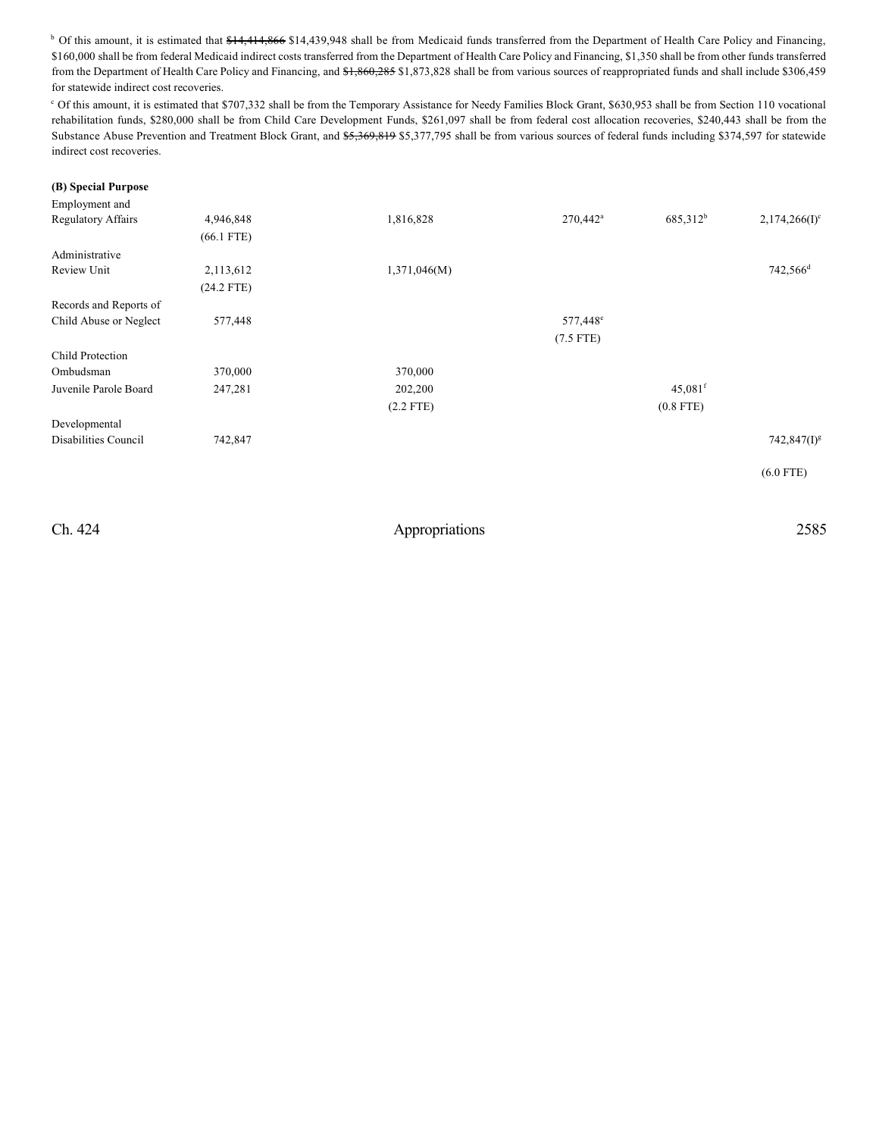<sup>b</sup> Of this amount, it is estimated that \$14,414,866 \$14,439,948 shall be from Medicaid funds transferred from the Department of Health Care Policy and Financing, \$160,000 shall be from federal Medicaid indirect costs transferred from the Department of Health Care Policy and Financing, \$1,350 shall be from other funds transferred from the Department of Health Care Policy and Financing, and  $\frac{41,860,285}{81,873,828}$  shall be from various sources of reappropriated funds and shall include \$306,459 for statewide indirect cost recoveries.

<sup>c</sup> Of this amount, it is estimated that \$707,332 shall be from the Temporary Assistance for Needy Families Block Grant, \$630,953 shall be from Section 110 vocational rehabilitation funds, \$280,000 shall be from Child Care Development Funds, \$261,097 shall be from federal cost allocation recoveries, \$240,443 shall be from the Substance Abuse Prevention and Treatment Block Grant, and \$5,369,819 \$5,377,795 shall be from various sources of federal funds including \$374,597 for statewide indirect cost recoveries.

## **(B) Special Purpose**

| Employment and            |              |              |                      |                       |                      |
|---------------------------|--------------|--------------|----------------------|-----------------------|----------------------|
| <b>Regulatory Affairs</b> | 4,946,848    | 1,816,828    | $270,442^{\circ}$    | 685,312 <sup>b</sup>  | $2,174,266(I)^c$     |
|                           | $(66.1$ FTE) |              |                      |                       |                      |
| Administrative            |              |              |                      |                       |                      |
| Review Unit               | 2,113,612    | 1,371,046(M) |                      |                       | 742,566 <sup>d</sup> |
|                           | $(24.2$ FTE) |              |                      |                       |                      |
| Records and Reports of    |              |              |                      |                       |                      |
| Child Abuse or Neglect    | 577,448      |              | 577,448 <sup>e</sup> |                       |                      |
|                           |              |              | $(7.5$ FTE)          |                       |                      |
| Child Protection          |              |              |                      |                       |                      |
| Ombudsman                 | 370,000      | 370,000      |                      |                       |                      |
| Juvenile Parole Board     | 247,281      | 202,200      |                      | $45,081$ <sup>f</sup> |                      |
|                           |              | $(2.2$ FTE)  |                      | $(0.8$ FTE)           |                      |
| Developmental             |              |              |                      |                       |                      |
| Disabilities Council      | 742,847      |              |                      |                       | $742,847(I)^g$       |
|                           |              |              |                      |                       | $(6.0$ FTE)          |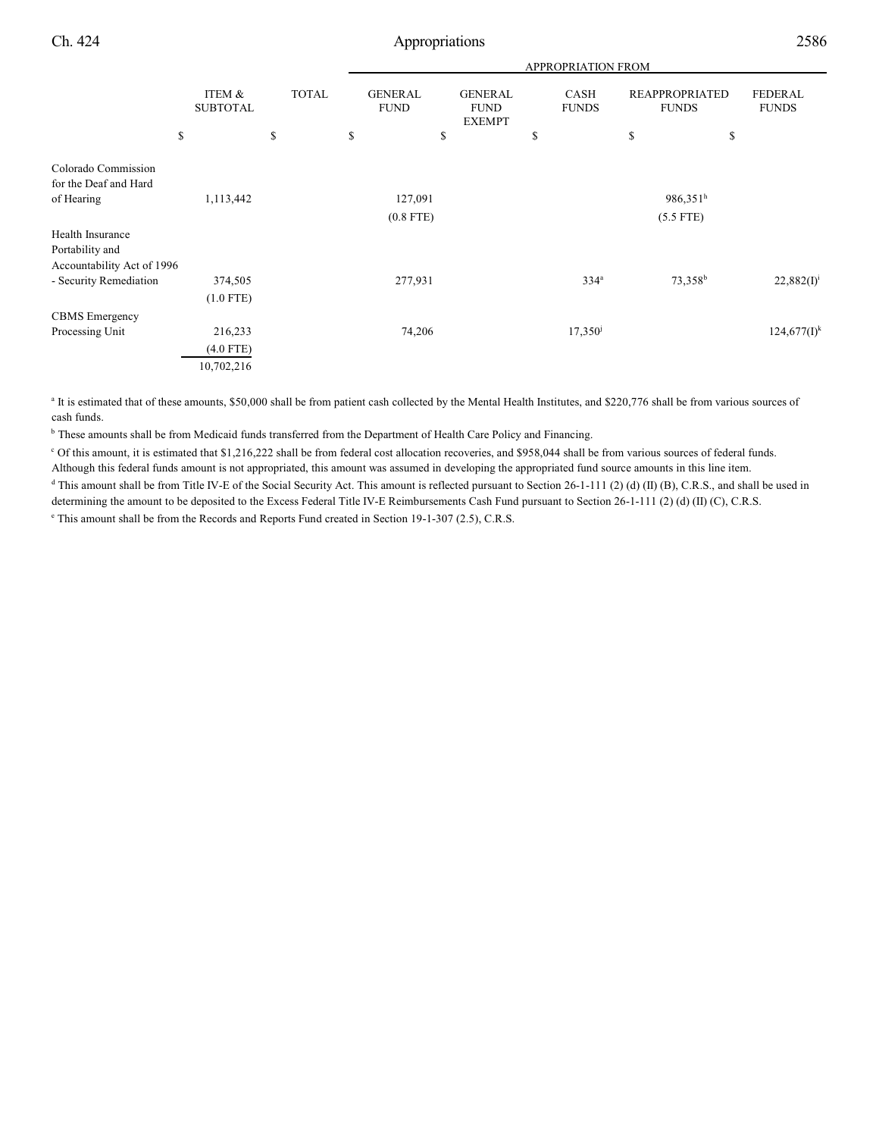|                                                                   |                           |              |    |                                                                                 |  |                      | APPROPRIATION FROM  |                                       |    |                                |
|-------------------------------------------------------------------|---------------------------|--------------|----|---------------------------------------------------------------------------------|--|----------------------|---------------------|---------------------------------------|----|--------------------------------|
|                                                                   | ITEM &<br><b>SUBTOTAL</b> | <b>TOTAL</b> |    | <b>GENERAL</b><br><b>GENERAL</b><br><b>FUND</b><br><b>FUND</b><br><b>EXEMPT</b> |  | CASH<br><b>FUNDS</b> |                     | <b>REAPPROPRIATED</b><br><b>FUNDS</b> |    | <b>FEDERAL</b><br><b>FUNDS</b> |
|                                                                   | \$                        | \$           | \$ | \$                                                                              |  | \$                   |                     | \$                                    | \$ |                                |
| Colorado Commission<br>for the Deaf and Hard                      |                           |              |    |                                                                                 |  |                      |                     |                                       |    |                                |
| of Hearing                                                        | 1,113,442                 |              |    | 127,091                                                                         |  |                      |                     | $986,351^h$                           |    |                                |
|                                                                   |                           |              |    | $(0.8$ FTE)                                                                     |  |                      |                     | $(5.5$ FTE)                           |    |                                |
| Health Insurance<br>Portability and<br>Accountability Act of 1996 |                           |              |    |                                                                                 |  |                      |                     |                                       |    |                                |
| - Security Remediation                                            | 374,505                   |              |    | 277,931                                                                         |  |                      | 334 <sup>a</sup>    | 73,358 <sup>b</sup>                   |    | $22,882(I)^{i}$                |
|                                                                   | $(1.0$ FTE)               |              |    |                                                                                 |  |                      |                     |                                       |    |                                |
| <b>CBMS</b> Emergency                                             |                           |              |    |                                                                                 |  |                      |                     |                                       |    |                                |
| Processing Unit                                                   | 216,233                   |              |    | 74,206                                                                          |  |                      | 17,350 <sup>j</sup> |                                       |    | $124,677(I)^k$                 |
|                                                                   | $(4.0$ FTE)               |              |    |                                                                                 |  |                      |                     |                                       |    |                                |
|                                                                   | 10,702,216                |              |    |                                                                                 |  |                      |                     |                                       |    |                                |

<sup>a</sup> It is estimated that of these amounts, \$50,000 shall be from patient cash collected by the Mental Health Institutes, and \$220,776 shall be from various sources of cash funds.

**b** These amounts shall be from Medicaid funds transferred from the Department of Health Care Policy and Financing.

 $\degree$  Of this amount, it is estimated that \$1,216,222 shall be from federal cost allocation recoveries, and \$958,044 shall be from various sources of federal funds. Although this federal funds amount is not appropriated, this amount was assumed in developing the appropriated fund source amounts in this line item.

 $^d$  This amount shall be from Title IV-E of the Social Security Act. This amount is reflected pursuant to Section 26-1-111 (2) (d) (II) (B), C.R.S., and shall be used in determining the amount to be deposited to the Excess Federal Title IV-E Reimbursements Cash Fund pursuant to Section 26-1-111 (2) (d) (II) (C), C.R.S.

<sup>e</sup> This amount shall be from the Records and Reports Fund created in Section 19-1-307 (2.5), C.R.S.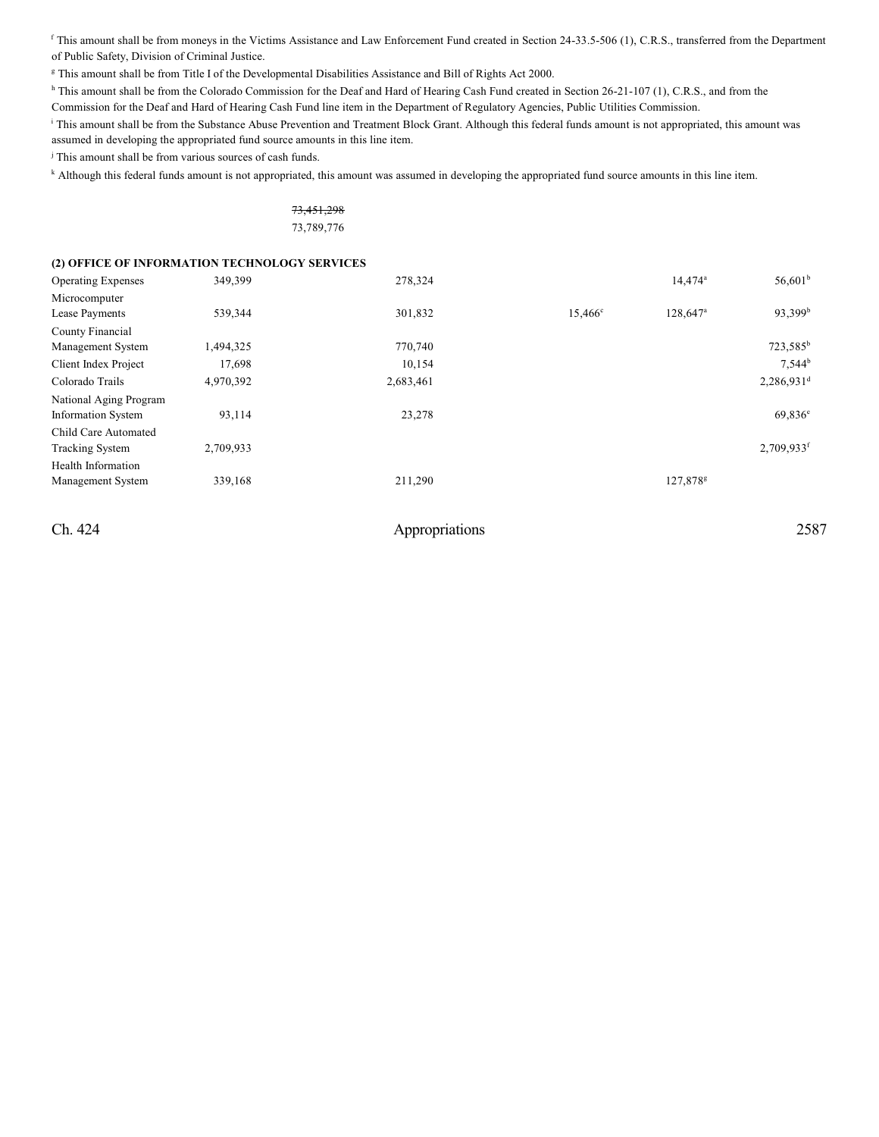f This amount shall be from moneys in the Victims Assistance and Law Enforcement Fund created in Section 24-33.5-506 (1), C.R.S., transferred from the Department of Public Safety, Division of Criminal Justice.

<sup>g</sup> This amount shall be from Title I of the Developmental Disabilities Assistance and Bill of Rights Act 2000.

<sup>h</sup> This amount shall be from the Colorado Commission for the Deaf and Hard of Hearing Cash Fund created in Section 26-21-107 (1), C.R.S., and from the

Commission for the Deaf and Hard of Hearing Cash Fund line item in the Department of Regulatory Agencies, Public Utilities Commission.

<sup>i</sup> This amount shall be from the Substance Abuse Prevention and Treatment Block Grant. Although this federal funds amount is not appropriated, this amount was assumed in developing the appropriated fund source amounts in this line item.

 $\frac{1}{2}$  This amount shall be from various sources of cash funds.

<sup>k</sup> Although this federal funds amount is not appropriated, this amount was assumed in developing the appropriated fund source amounts in this line item.

| <del>73,451,298</del> |  |
|-----------------------|--|
| 73,789,776            |  |

## **(2) OFFICE OF INFORMATION TECHNOLOGY SERVICES**

| <b>Operating Expenses</b> | 349,399   | 278,324   |                  | $14.474^a$           | $56,601^{\rm b}$       |
|---------------------------|-----------|-----------|------------------|----------------------|------------------------|
| Microcomputer             |           |           |                  |                      |                        |
| Lease Payments            | 539,344   | 301,832   | $15,466^{\circ}$ | 128,647 <sup>a</sup> | 93,399 <sup>b</sup>    |
| County Financial          |           |           |                  |                      |                        |
| Management System         | 1,494,325 | 770,740   |                  |                      | 723,585 <sup>b</sup>   |
| Client Index Project      | 17,698    | 10,154    |                  |                      | $7,544^b$              |
| Colorado Trails           | 4,970,392 | 2,683,461 |                  |                      | 2,286,931 <sup>d</sup> |
| National Aging Program    |           |           |                  |                      |                        |
| <b>Information System</b> | 93,114    | 23,278    |                  |                      | $69,836^e$             |
| Child Care Automated      |           |           |                  |                      |                        |
| <b>Tracking System</b>    | 2,709,933 |           |                  |                      | 2,709,933f             |
| Health Information        |           |           |                  |                      |                        |
| Management System         | 339,168   | 211,290   |                  | 127,878 <sup>g</sup> |                        |
|                           |           |           |                  |                      |                        |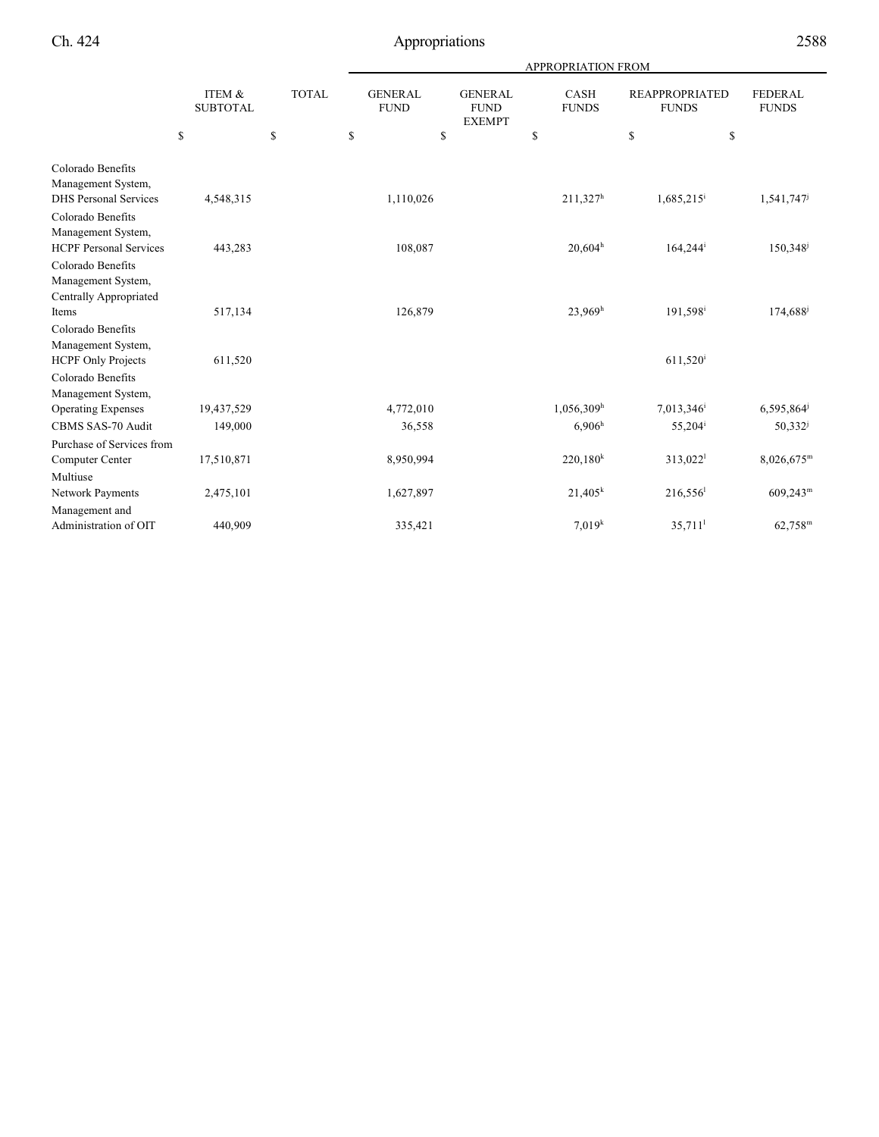|                                                                                            |                           |              |                               |                                                | APPROPRIATION FROM          |                                       |                                |
|--------------------------------------------------------------------------------------------|---------------------------|--------------|-------------------------------|------------------------------------------------|-----------------------------|---------------------------------------|--------------------------------|
|                                                                                            | ITEM &<br><b>SUBTOTAL</b> | <b>TOTAL</b> | <b>GENERAL</b><br><b>FUND</b> | <b>GENERAL</b><br><b>FUND</b><br><b>EXEMPT</b> | <b>CASH</b><br><b>FUNDS</b> | <b>REAPPROPRIATED</b><br><b>FUNDS</b> | <b>FEDERAL</b><br><b>FUNDS</b> |
|                                                                                            | \$                        | \$           | \$<br>\$                      |                                                | \$                          | \$                                    | \$                             |
| Colorado Benefits<br>Management System,<br><b>DHS</b> Personal Services                    | 4,548,315                 |              | 1,110,026                     |                                                | $211,327^h$                 | $1,685,215$ <sup>i</sup>              | 1,541,747                      |
| Colorado Benefits<br>Management System,                                                    |                           |              |                               |                                                |                             |                                       |                                |
| <b>HCPF Personal Services</b><br>Colorado Benefits<br>Management System,                   | 443,283                   |              | 108,087                       |                                                | $20,604^h$                  | $164,244$ <sup>i</sup>                | 150,348 <sup>j</sup>           |
| <b>Centrally Appropriated</b><br>Items<br>Colorado Benefits                                | 517,134                   |              | 126,879                       |                                                | 23,969 <sup>h</sup>         | $191,598$ <sup>i</sup>                | 174,688 <sup>j</sup>           |
| Management System,<br><b>HCPF Only Projects</b><br>Colorado Benefits<br>Management System, | 611,520                   |              |                               |                                                |                             | $611,520^{\rm i}$                     |                                |
| <b>Operating Expenses</b>                                                                  | 19,437,529                |              | 4,772,010                     |                                                | $1,056,309$ <sup>h</sup>    | 7,013,346                             | 6,595,864                      |
| CBMS SAS-70 Audit                                                                          | 149,000                   |              | 36,558                        |                                                | 6,906 <sup>h</sup>          | 55,204 <sup>i</sup>                   | $50,332^{j}$                   |
| Purchase of Services from<br>Computer Center                                               | 17,510,871                |              | 8,950,994                     |                                                | $220,180^k$                 | $313,022$ <sup>1</sup>                | $8,026,675$ <sup>m</sup>       |
| Multiuse<br>Network Payments                                                               | 2,475,101                 |              | 1,627,897                     |                                                | $21,405^k$                  | $216,556$ <sup>1</sup>                | $609,243^{\rm m}$              |
| Management and<br>Administration of OIT                                                    | 440,909                   |              | 335,421                       |                                                | 7.019 <sup>k</sup>          | $35,711$ <sup>1</sup>                 | $62,758^{\rm m}$               |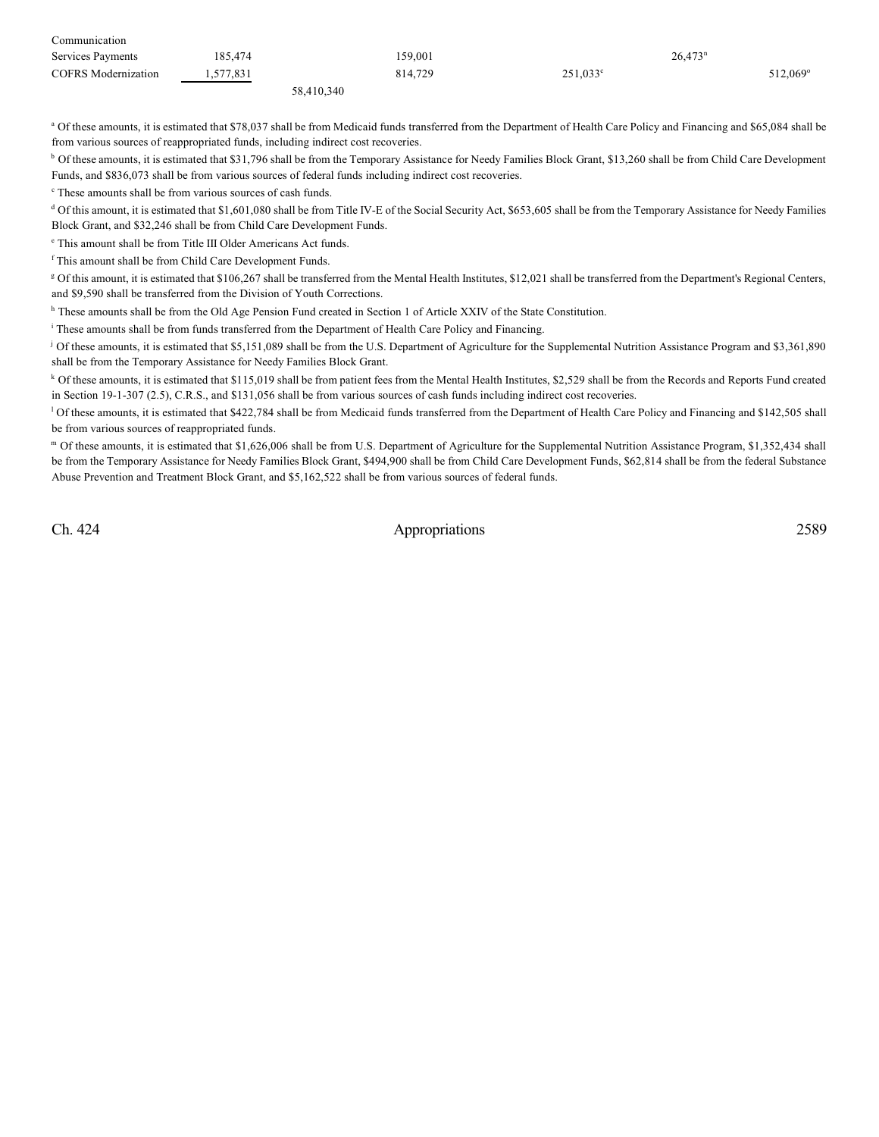| Communication              |           |            |                   |                      |
|----------------------------|-----------|------------|-------------------|----------------------|
| Services Payments          | 185.474   | 159,001    |                   | 26,473 <sup>n</sup>  |
| <b>COFRS</b> Modernization | 1,577,831 | 814.729    | $251.033^{\circ}$ | 512.069 <sup>°</sup> |
|                            |           | 58 410 340 |                   |                      |

<sup>a</sup> Of these amounts, it is estimated that \$78,037 shall be from Medicaid funds transferred from the Department of Health Care Policy and Financing and \$65,084 shall be from various sources of reappropriated funds, including indirect cost recoveries.

<sup>b</sup> Of these amounts, it is estimated that \$31,796 shall be from the Temporary Assistance for Needy Families Block Grant, \$13,260 shall be from Child Care Development Funds, and \$836,073 shall be from various sources of federal funds including indirect cost recoveries.

 $\degree$  These amounts shall be from various sources of cash funds.

<sup>d</sup> Of this amount, it is estimated that \$1,601,080 shall be from Title IV-E of the Social Security Act, \$653,605 shall be from the Temporary Assistance for Needy Families Block Grant, and \$32,246 shall be from Child Care Development Funds.

<sup>e</sup> This amount shall be from Title III Older Americans Act funds.

f This amount shall be from Child Care Development Funds.

<sup>g</sup> Of this amount, it is estimated that \$106,267 shall be transferred from the Mental Health Institutes, \$12,021 shall be transferred from the Department's Regional Centers, and \$9,590 shall be transferred from the Division of Youth Corrections.

<sup>h</sup> These amounts shall be from the Old Age Pension Fund created in Section 1 of Article XXIV of the State Constitution.

<sup>i</sup> These amounts shall be from funds transferred from the Department of Health Care Policy and Financing.

<sup>j</sup> Of these amounts, it is estimated that \$5,151,089 shall be from the U.S. Department of Agriculture for the Supplemental Nutrition Assistance Program and \$3,361,890 shall be from the Temporary Assistance for Needy Families Block Grant.

<sup>k</sup> Of these amounts, it is estimated that \$115,019 shall be from patient fees from the Mental Health Institutes, \$2,529 shall be from the Records and Reports Fund created in Section 19-1-307 (2.5), C.R.S., and \$131,056 shall be from various sources of cash funds including indirect cost recoveries.

<sup>1</sup> Of these amounts, it is estimated that \$422,784 shall be from Medicaid funds transferred from the Department of Health Care Policy and Financing and \$142,505 shall be from various sources of reappropriated funds.

Of these amounts, it is estimated that \$1,626,006 shall be from U.S. Department of Agriculture for the Supplemental Nutrition Assistance Program, \$1,352,434 shall <sup>m</sup> be from the Temporary Assistance for Needy Families Block Grant, \$494,900 shall be from Child Care Development Funds, \$62,814 shall be from the federal Substance Abuse Prevention and Treatment Block Grant, and \$5,162,522 shall be from various sources of federal funds.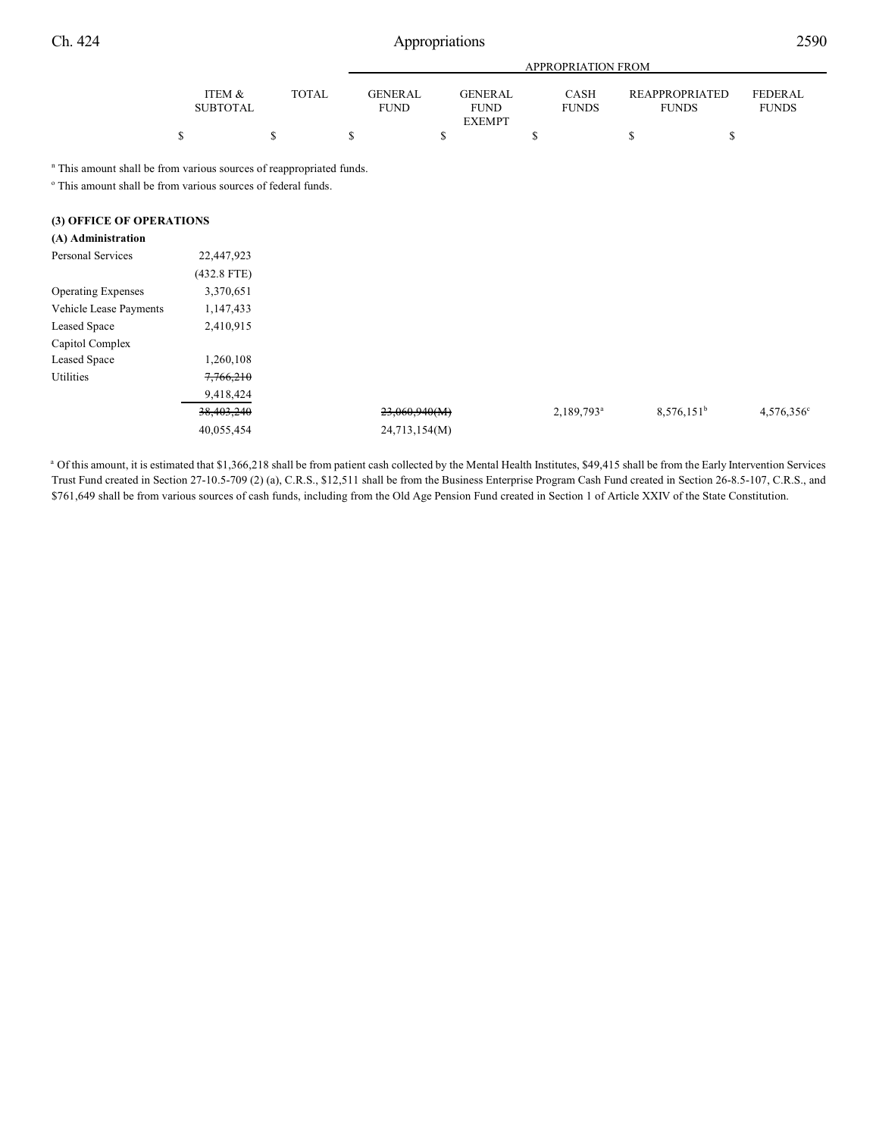|                                                                                                                                                  |                           |              |                               |                                                | APPROPRIATION FROM   |                                       |                                |
|--------------------------------------------------------------------------------------------------------------------------------------------------|---------------------------|--------------|-------------------------------|------------------------------------------------|----------------------|---------------------------------------|--------------------------------|
|                                                                                                                                                  | ITEM &<br><b>SUBTOTAL</b> | <b>TOTAL</b> | <b>GENERAL</b><br><b>FUND</b> | <b>GENERAL</b><br><b>FUND</b><br><b>EXEMPT</b> | CASH<br><b>FUNDS</b> | <b>REAPPROPRIATED</b><br><b>FUNDS</b> | <b>FEDERAL</b><br><b>FUNDS</b> |
|                                                                                                                                                  | \$                        | \$           | \$                            | \$                                             | \$                   | \$<br>\$                              |                                |
| " This amount shall be from various sources of reappropriated funds.<br><sup>o</sup> This amount shall be from various sources of federal funds. |                           |              |                               |                                                |                      |                                       |                                |
| (3) OFFICE OF OPERATIONS                                                                                                                         |                           |              |                               |                                                |                      |                                       |                                |
| (A) Administration                                                                                                                               |                           |              |                               |                                                |                      |                                       |                                |
| Personal Services                                                                                                                                | 22,447,923                |              |                               |                                                |                      |                                       |                                |
|                                                                                                                                                  | $(432.8$ FTE)             |              |                               |                                                |                      |                                       |                                |
| <b>Operating Expenses</b>                                                                                                                        | 3,370,651                 |              |                               |                                                |                      |                                       |                                |
| Vehicle Lease Payments                                                                                                                           | 1,147,433                 |              |                               |                                                |                      |                                       |                                |
| Leased Space                                                                                                                                     | 2,410,915                 |              |                               |                                                |                      |                                       |                                |
| Capitol Complex                                                                                                                                  |                           |              |                               |                                                |                      |                                       |                                |
| Leased Space                                                                                                                                     | 1,260,108                 |              |                               |                                                |                      |                                       |                                |
| Utilities                                                                                                                                        | 7,766,210                 |              |                               |                                                |                      |                                       |                                |

| 9,418,424             |               |               |               |                     |
|-----------------------|---------------|---------------|---------------|---------------------|
| <del>38,403,240</del> | 23,060,940(M) | $2,189,793^a$ | $8,576,151^b$ | $4,576,356^{\circ}$ |
| 40,055,454            | 24,713,154(M) |               |               |                     |
|                       |               |               |               |                     |

a Of this amount, it is estimated that \$1,366,218 shall be from patient cash collected by the Mental Health Institutes, \$49,415 shall be from the Early Intervention Services Trust Fund created in Section 27-10.5-709 (2) (a), C.R.S., \$12,511 shall be from the Business Enterprise Program Cash Fund created in Section 26-8.5-107, C.R.S., and \$761,649 shall be from various sources of cash funds, including from the Old Age Pension Fund created in Section 1 of Article XXIV of the State Constitution.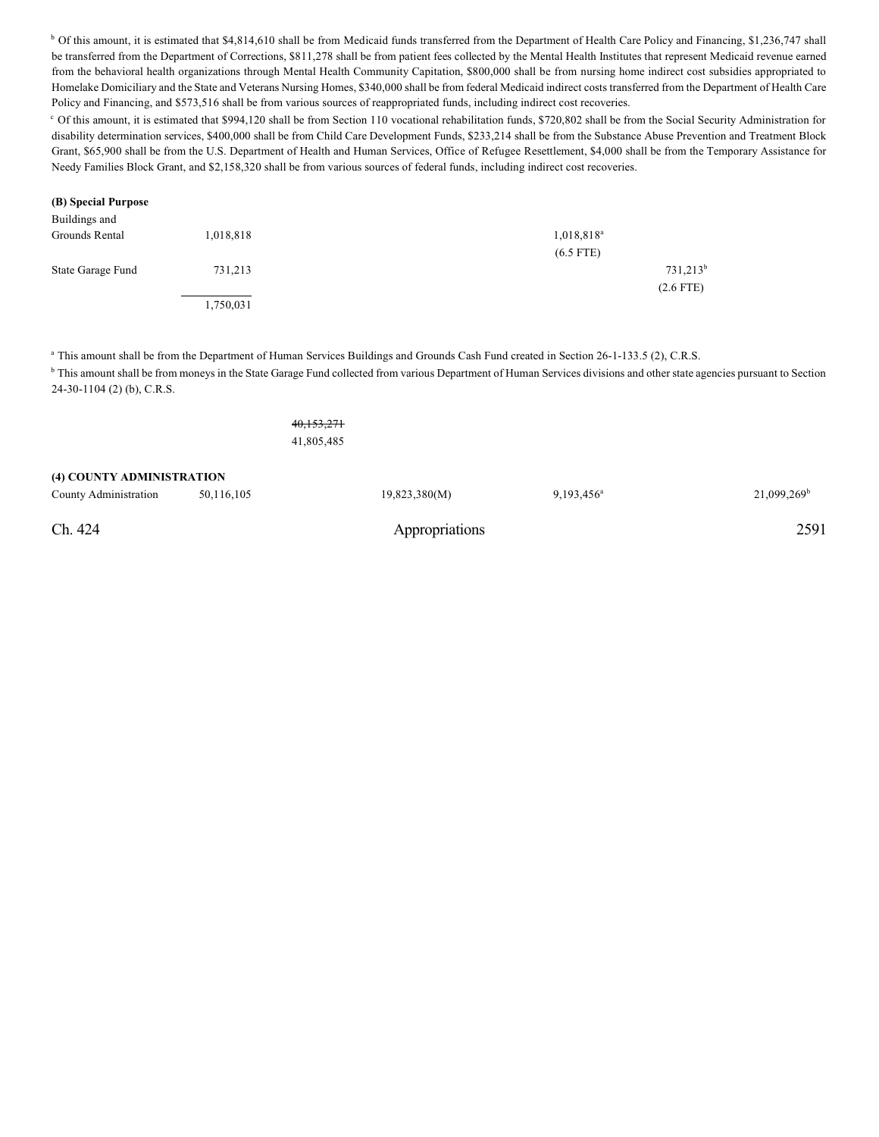<sup>b</sup> Of this amount, it is estimated that \$4,814,610 shall be from Medicaid funds transferred from the Department of Health Care Policy and Financing, \$1,236,747 shall be transferred from the Department of Corrections, \$811,278 shall be from patient fees collected by the Mental Health Institutes that represent Medicaid revenue earned from the behavioral health organizations through Mental Health Community Capitation, \$800,000 shall be from nursing home indirect cost subsidies appropriated to Homelake Domiciliary and the State and Veterans Nursing Homes, \$340,000 shall be from federal Medicaid indirect costs transferred from the Department of Health Care Policy and Financing, and \$573,516 shall be from various sources of reappropriated funds, including indirect cost recoveries.

<sup>c</sup> Of this amount, it is estimated that \$994,120 shall be from Section 110 vocational rehabilitation funds, \$720,802 shall be from the Social Security Administration for disability determination services, \$400,000 shall be from Child Care Development Funds, \$233,214 shall be from the Substance Abuse Prevention and Treatment Block Grant, \$65,900 shall be from the U.S. Department of Health and Human Services, Office of Refugee Resettlement, \$4,000 shall be from the Temporary Assistance for Needy Families Block Grant, and \$2,158,320 shall be from various sources of federal funds, including indirect cost recoveries.

#### **(B) Special Purpose**

| Buildings and     |           |                        |
|-------------------|-----------|------------------------|
| Grounds Rental    | 1,018,818 | 1,018,818 <sup>a</sup> |
|                   |           | $(6.5$ FTE)            |
| State Garage Fund | 731,213   | $731,213^b$            |
|                   |           | $(2.6$ FTE)            |
|                   | 1,750,031 |                        |

<sup>a</sup> This amount shall be from the Department of Human Services Buildings and Grounds Cash Fund created in Section 26-1-133.5 (2), C.R.S.

<sup>b</sup> This amount shall be from moneys in the State Garage Fund collected from various Department of Human Services divisions and other state agencies pursuant to Section 24-30-1104 (2) (b), C.R.S.

| Ch. 424                   |            |            | Appropriations |               | 2591                    |
|---------------------------|------------|------------|----------------|---------------|-------------------------|
| County Administration     | 50,116,105 |            | 19,823,380(M)  | $9,193,456^a$ | 21,099,269 <sup>b</sup> |
| (4) COUNTY ADMINISTRATION |            | 41,805,485 |                |               |                         |
|                           |            | 40,153,271 |                |               |                         |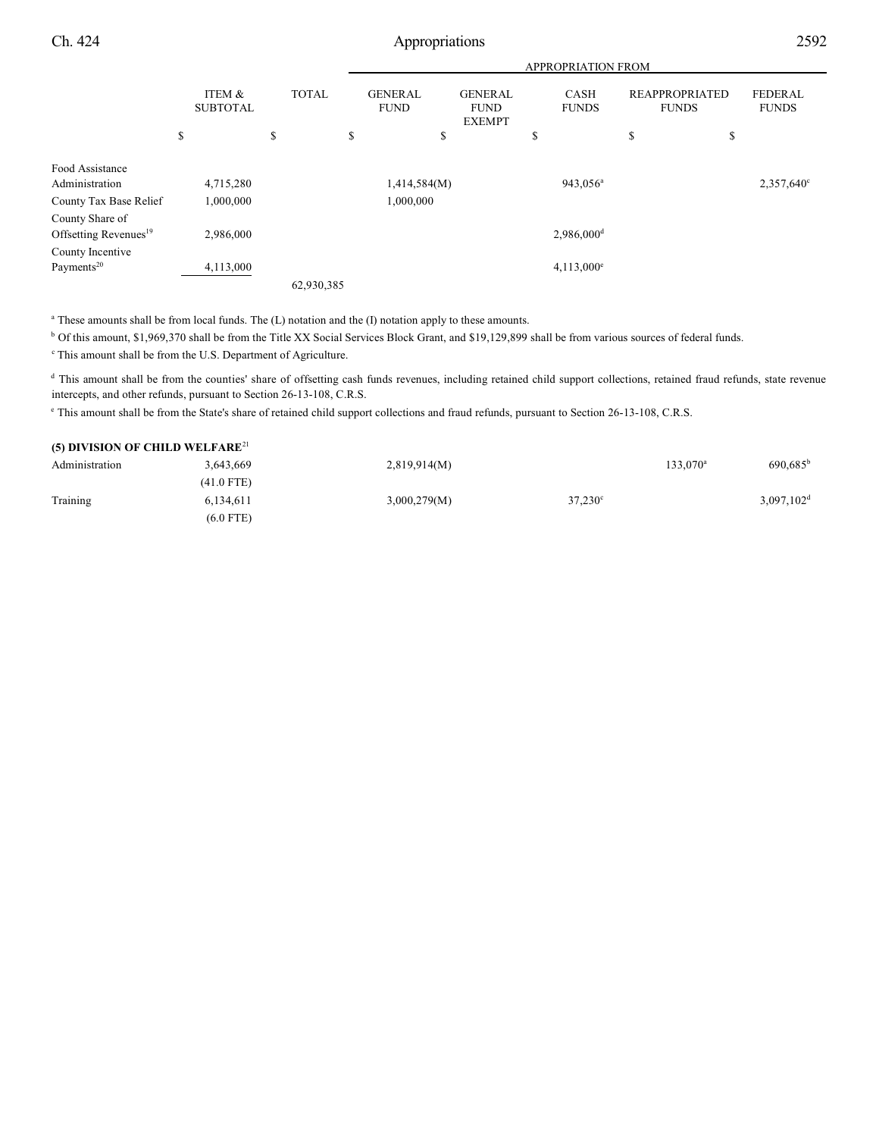|                                                      |                           |              |                               |                                                | <b>APPROPRIATION FROM</b>   |                                       |                                |
|------------------------------------------------------|---------------------------|--------------|-------------------------------|------------------------------------------------|-----------------------------|---------------------------------------|--------------------------------|
|                                                      | ITEM &<br><b>SUBTOTAL</b> | <b>TOTAL</b> | <b>GENERAL</b><br><b>FUND</b> | <b>GENERAL</b><br><b>FUND</b><br><b>EXEMPT</b> | <b>CASH</b><br><b>FUNDS</b> | <b>REAPPROPRIATED</b><br><b>FUNDS</b> | <b>FEDERAL</b><br><b>FUNDS</b> |
|                                                      | \$                        | \$           | \$<br>\$                      |                                                | \$                          | \$                                    | \$                             |
| Food Assistance                                      |                           |              |                               |                                                |                             |                                       |                                |
| Administration                                       | 4,715,280                 |              | 1,414,584(M)                  |                                                | 943,056 <sup>a</sup>        |                                       | 2,357,640°                     |
| County Tax Base Relief                               | 1,000,000                 |              | 1,000,000                     |                                                |                             |                                       |                                |
| County Share of<br>Offsetting Revenues <sup>19</sup> | 2,986,000                 |              |                               |                                                | 2,986,000 <sup>d</sup>      |                                       |                                |
| County Incentive                                     |                           |              |                               |                                                |                             |                                       |                                |
| Payments <sup>20</sup>                               | 4,113,000                 |              |                               |                                                | $4,113,000^e$               |                                       |                                |
|                                                      |                           | 62,930,385   |                               |                                                |                             |                                       |                                |

<sup>a</sup> These amounts shall be from local funds. The (L) notation and the (I) notation apply to these amounts.

 $<sup>b</sup>$  Of this amount, \$1,969,370 shall be from the Title XX Social Services Block Grant, and \$19,129,899 shall be from various sources of federal funds.</sup>

 $^{\circ}$  This amount shall be from the U.S. Department of Agriculture.

<sup>d</sup> This amount shall be from the counties' share of offsetting cash funds revenues, including retained child support collections, retained fraud refunds, state revenue intercepts, and other refunds, pursuant to Section 26-13-108, C.R.S.

<sup>e</sup> This amount shall be from the State's share of retained child support collections and fraud refunds, pursuant to Section 26-13-108, C.R.S.

| (5) DIVISION OF CHILD WELFARE <sup>21</sup> |              |              |                  |             |                          |
|---------------------------------------------|--------------|--------------|------------------|-------------|--------------------------|
| Administration                              | 3.643.669    | 2,819,914(M) |                  | $133.070^a$ | $690.685^{\rm b}$        |
|                                             | $(41.0$ FTE) |              |                  |             |                          |
| Training                                    | 6.134.611    | 3,000,279(M) | $37.230^{\circ}$ |             | $3,097,102$ <sup>d</sup> |
|                                             | $(6.0$ FTE)  |              |                  |             |                          |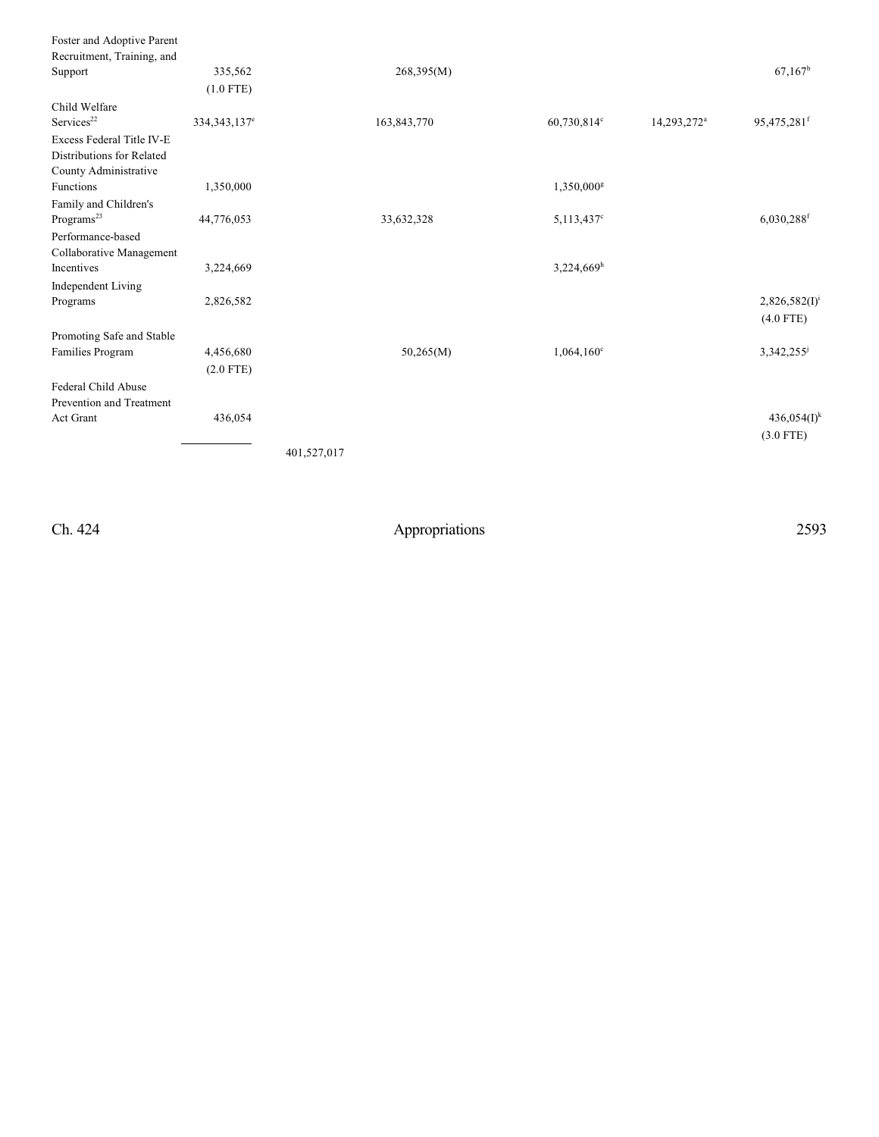| 335,562                    | 268,395(M)  |  |                                                                                                             | $67,167^b$                |
|----------------------------|-------------|--|-------------------------------------------------------------------------------------------------------------|---------------------------|
| $(1.0$ FTE)                |             |  |                                                                                                             |                           |
|                            |             |  |                                                                                                             |                           |
| 334, 343, 137 <sup>e</sup> | 163,843,770 |  | 14,293,272 <sup>a</sup>                                                                                     | $95,475,281$ <sup>f</sup> |
|                            |             |  |                                                                                                             |                           |
|                            |             |  |                                                                                                             |                           |
|                            |             |  |                                                                                                             |                           |
| 1,350,000                  |             |  |                                                                                                             |                           |
|                            |             |  |                                                                                                             |                           |
| 44,776,053                 | 33,632,328  |  |                                                                                                             | 6,030,288f                |
|                            |             |  |                                                                                                             |                           |
|                            |             |  |                                                                                                             |                           |
| 3,224,669                  |             |  |                                                                                                             |                           |
|                            |             |  |                                                                                                             |                           |
| 2,826,582                  |             |  |                                                                                                             | $2,826,582(I)^1$          |
|                            |             |  |                                                                                                             | $(4.0$ FTE)               |
|                            |             |  |                                                                                                             |                           |
| 4,456,680                  | 50,265(M)   |  |                                                                                                             | 3,342,255                 |
| $(2.0$ FTE)                |             |  |                                                                                                             |                           |
|                            |             |  |                                                                                                             |                           |
|                            |             |  |                                                                                                             |                           |
| 436,054                    |             |  |                                                                                                             | $436,054(I)^k$            |
|                            |             |  |                                                                                                             | $(3.0$ FTE)               |
|                            |             |  |                                                                                                             |                           |
|                            | 401,527,017 |  | 60,730,814°<br>$1,350,000$ <sup>g</sup><br>$5,113,437^c$<br>$3,224,669$ <sup>h</sup><br>$1,064,160^{\circ}$ |                           |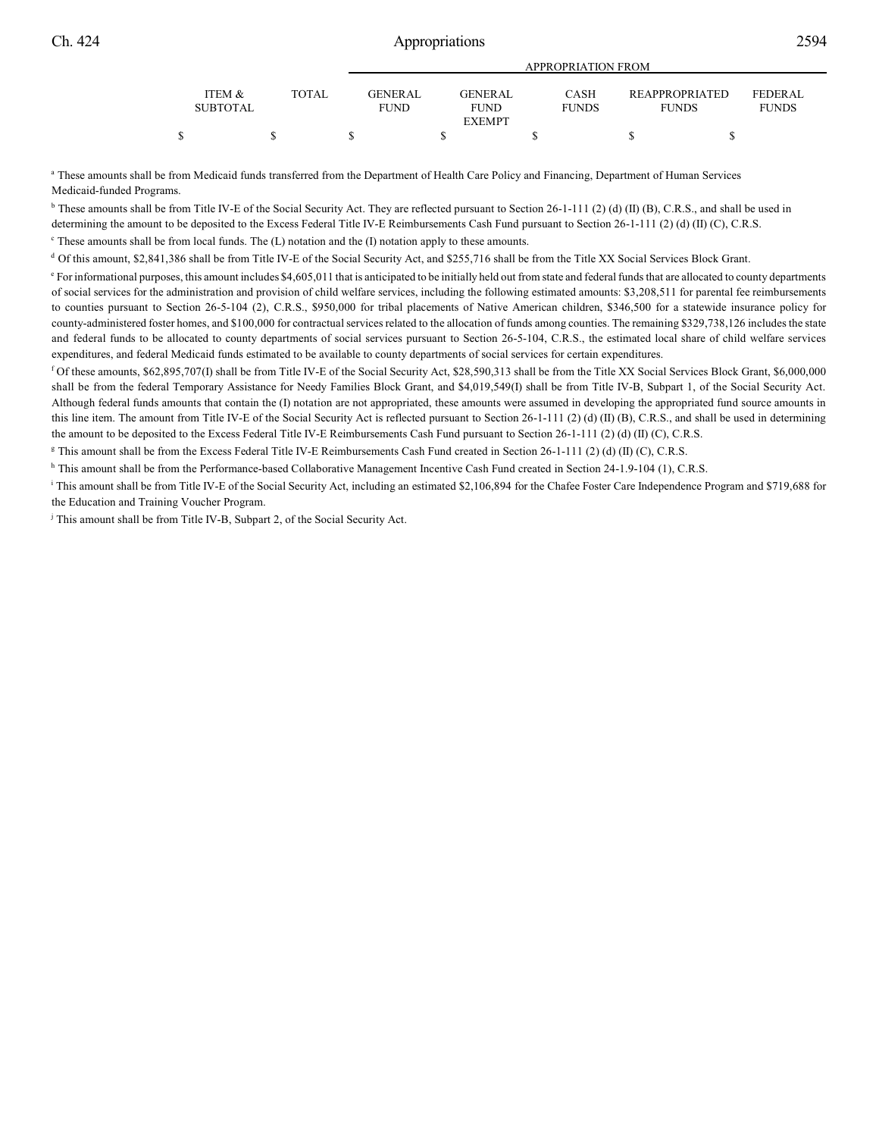|                 |       |                | APPROPRIATION FROM |              |                       |                |  |
|-----------------|-------|----------------|--------------------|--------------|-----------------------|----------------|--|
|                 |       |                |                    |              |                       |                |  |
| ITEM &          | TOTAL | <b>GENERAL</b> | GENERAL            | <b>CASH</b>  | <b>REAPPROPRIATED</b> | <b>FEDERAL</b> |  |
| <b>SUBTOTAL</b> |       | <b>FUND</b>    | <b>FUND</b>        | <b>FUNDS</b> | <b>FUNDS</b>          | <b>FUNDS</b>   |  |
|                 |       |                | <b>EXEMPT</b>      |              |                       |                |  |
|                 |       |                |                    |              |                       |                |  |

<sup>a</sup> These amounts shall be from Medicaid funds transferred from the Department of Health Care Policy and Financing, Department of Human Services Medicaid-funded Programs.

 $b$  These amounts shall be from Title IV-E of the Social Security Act. They are reflected pursuant to Section 26-1-111 (2) (d) (II) (B), C.R.S., and shall be used in determining the amount to be deposited to the Excess Federal Title IV-E Reimbursements Cash Fund pursuant to Section 26-1-111 (2) (d) (II) (C), C.R.S.

 $\degree$  These amounts shall be from local funds. The (L) notation and the (I) notation apply to these amounts.

<sup>d</sup> Of this amount, \$2,841,386 shall be from Title IV-E of the Social Security Act, and \$255,716 shall be from the Title XX Social Services Block Grant.

<sup>e</sup> For informational purposes, this amount includes \$4,605,011 that is anticipated to be initially held out from state and federal funds that are allocated to county departments of social services for the administration and provision of child welfare services, including the following estimated amounts: \$3,208,511 for parental fee reimbursements to counties pursuant to Section 26-5-104 (2), C.R.S., \$950,000 for tribal placements of Native American children, \$346,500 for a statewide insurance policy for county-administered foster homes, and \$100,000 for contractual services related to the allocation of funds among counties. The remaining \$329,738,126 includes the state and federal funds to be allocated to county departments of social services pursuant to Section 26-5-104, C.R.S., the estimated local share of child welfare services expenditures, and federal Medicaid funds estimated to be available to county departments of social services for certain expenditures.

 $^{\text{f}}$  Of these amounts, \$62,895,707(I) shall be from Title IV-E of the Social Security Act, \$28,590,313 shall be from the Title XX Social Services Block Grant, \$6,000,000 shall be from the federal Temporary Assistance for Needy Families Block Grant, and \$4,019,549(I) shall be from Title IV-B, Subpart 1, of the Social Security Act. Although federal funds amounts that contain the (I) notation are not appropriated, these amounts were assumed in developing the appropriated fund source amounts in this line item. The amount from Title IV-E of the Social Security Act is reflected pursuant to Section 26-1-111 (2) (d) (II) (B), C.R.S., and shall be used in determining the amount to be deposited to the Excess Federal Title IV-E Reimbursements Cash Fund pursuant to Section 26-1-111 (2) (d) (II) (C), C.R.S.

<sup>g</sup> This amount shall be from the Excess Federal Title IV-E Reimbursements Cash Fund created in Section 26-1-111 (2) (d) (II) (C), C.R.S.

<sup>h</sup> This amount shall be from the Performance-based Collaborative Management Incentive Cash Fund created in Section 24-1.9-104 (1), C.R.S.

<sup>1</sup> This amount shall be from Title IV-E of the Social Security Act, including an estimated \$2,106,894 for the Chafee Foster Care Independence Program and \$719,688 for the Education and Training Voucher Program.

<sup>j</sup> This amount shall be from Title IV-B, Subpart 2, of the Social Security Act.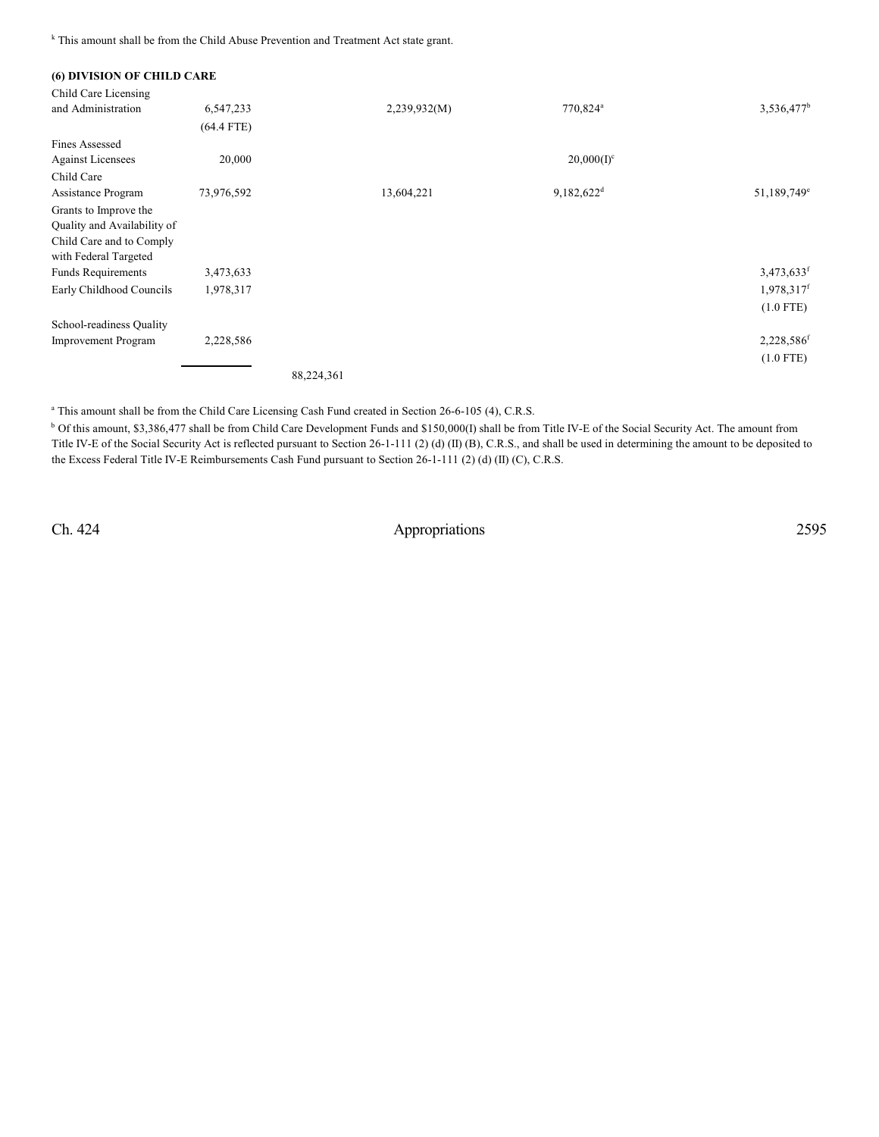<sup>k</sup> This amount shall be from the Child Abuse Prevention and Treatment Act state grant.

| (6) DIVISION OF CHILD CARE  |              |            |              |                          |                          |
|-----------------------------|--------------|------------|--------------|--------------------------|--------------------------|
| Child Care Licensing        |              |            |              |                          |                          |
| and Administration          | 6,547,233    |            | 2,239,932(M) | 770,824 <sup>a</sup>     | $3,536,477^b$            |
|                             | $(64.4$ FTE) |            |              |                          |                          |
| <b>Fines Assessed</b>       |              |            |              |                          |                          |
| <b>Against Licensees</b>    | 20,000       |            |              | $20,000(I)^c$            |                          |
| Child Care                  |              |            |              |                          |                          |
| Assistance Program          | 73,976,592   |            | 13,604,221   | $9,182,622$ <sup>d</sup> | 51,189,749 <sup>e</sup>  |
| Grants to Improve the       |              |            |              |                          |                          |
| Quality and Availability of |              |            |              |                          |                          |
| Child Care and to Comply    |              |            |              |                          |                          |
| with Federal Targeted       |              |            |              |                          |                          |
| <b>Funds Requirements</b>   | 3,473,633    |            |              |                          | $3,473,633$ <sup>f</sup> |
| Early Childhood Councils    | 1,978,317    |            |              |                          | 1,978,317 <sup>f</sup>   |
|                             |              |            |              |                          | $(1.0$ FTE)              |
| School-readiness Quality    |              |            |              |                          |                          |
| <b>Improvement Program</b>  | 2,228,586    |            |              |                          | 2,228,586 <sup>f</sup>   |
|                             |              |            |              |                          | $(1.0$ FTE)              |
|                             |              | 88,224,361 |              |                          |                          |

<sup>a</sup> This amount shall be from the Child Care Licensing Cash Fund created in Section 26-6-105 (4), C.R.S.

<sup>b</sup> Of this amount, \$3,386,477 shall be from Child Care Development Funds and \$150,000(I) shall be from Title IV-E of the Social Security Act. The amount from Title IV-E of the Social Security Act is reflected pursuant to Section 26-1-111 (2) (d) (II) (B), C.R.S., and shall be used in determining the amount to be deposited to the Excess Federal Title IV-E Reimbursements Cash Fund pursuant to Section 26-1-111 (2) (d) (II) (C), C.R.S.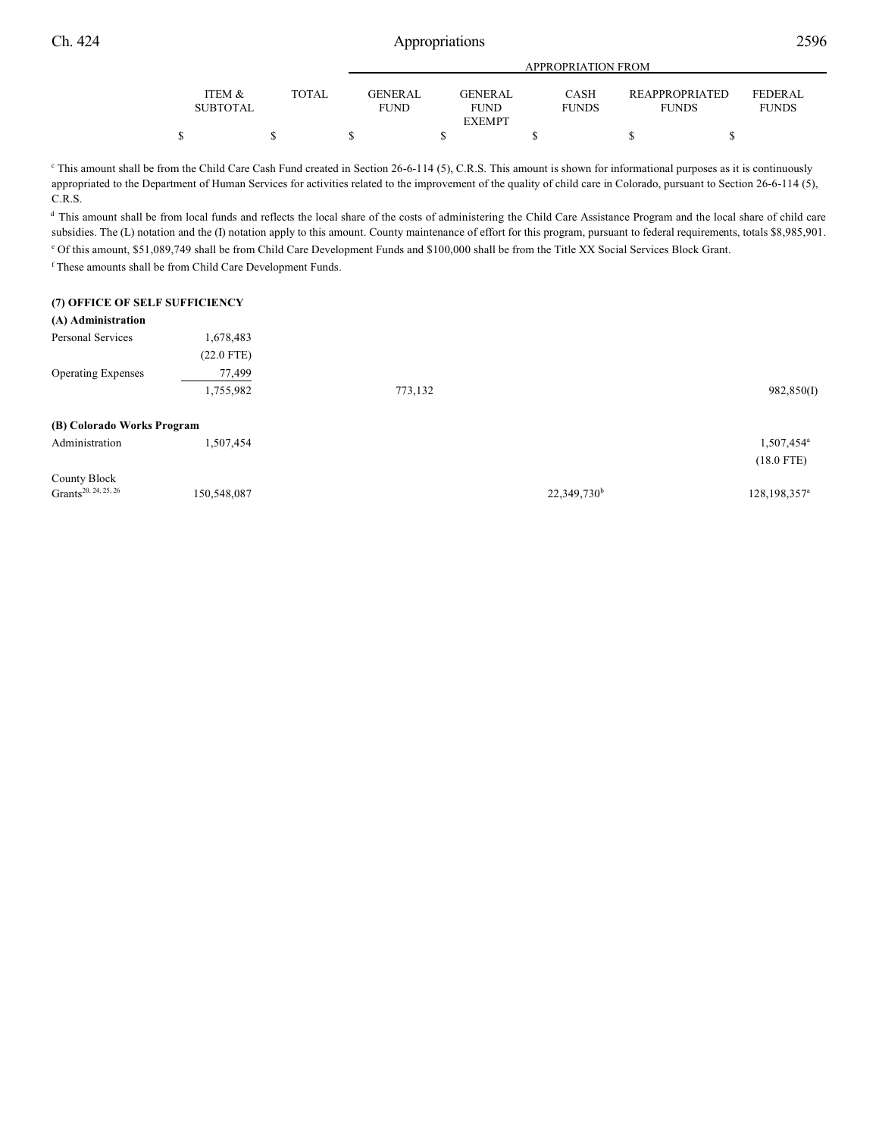|                 |              |                | APPROPRIATION FROM |              |                       |                |  |
|-----------------|--------------|----------------|--------------------|--------------|-----------------------|----------------|--|
|                 |              |                |                    |              |                       |                |  |
| ITEM &          | <b>TOTAL</b> | <b>GENERAL</b> | GENERAL            | CASH         | <b>REAPPROPRIATED</b> | <b>FEDERAL</b> |  |
| <b>SUBTOTAL</b> |              | <b>FUND</b>    | <b>FUND</b>        | <b>FUNDS</b> | <b>FUNDS</b>          | <b>FUNDS</b>   |  |
|                 |              |                | <b>EXEMPT</b>      |              |                       |                |  |
|                 |              |                |                    |              |                       |                |  |

<sup>c</sup> This amount shall be from the Child Care Cash Fund created in Section 26-6-114 (5), C.R.S. This amount is shown for informational purposes as it is continuously appropriated to the Department of Human Services for activities related to the improvement of the quality of child care in Colorado, pursuant to Section 26-6-114 (5), C.R.S.

<sup>d</sup> This amount shall be from local funds and reflects the local share of the costs of administering the Child Care Assistance Program and the local share of child care subsidies. The (L) notation and the (I) notation apply to this amount. County maintenance of effort for this program, pursuant to federal requirements, totals \$8,985,901.

<sup>e</sup> Of this amount, \$51,089,749 shall be from Child Care Development Funds and \$100,000 shall be from the Title XX Social Services Block Grant.

<sup>f</sup> These amounts shall be from Child Care Development Funds.

### **(7) OFFICE OF SELF SUFFICIENCY**

## **(A) Administration**

| $\sim$                     |              |         |                        |
|----------------------------|--------------|---------|------------------------|
| Personal Services          | 1,678,483    |         |                        |
|                            | $(22.0$ FTE) |         |                        |
| <b>Operating Expenses</b>  | 77,499       |         |                        |
|                            | 1,755,982    | 773,132 | 982,850(I)             |
| (B) Colorado Works Program |              |         |                        |
| Administration             | 1,507,454    |         | 1,507,454 <sup>a</sup> |

|                                  |             |                         | $(18.0$ FTE)            |
|----------------------------------|-------------|-------------------------|-------------------------|
| County Block                     |             |                         |                         |
| Grants <sup>20, 24, 25, 26</sup> | 150,548,087 | 22,349,730 <sup>b</sup> | $128, 198, 357^{\circ}$ |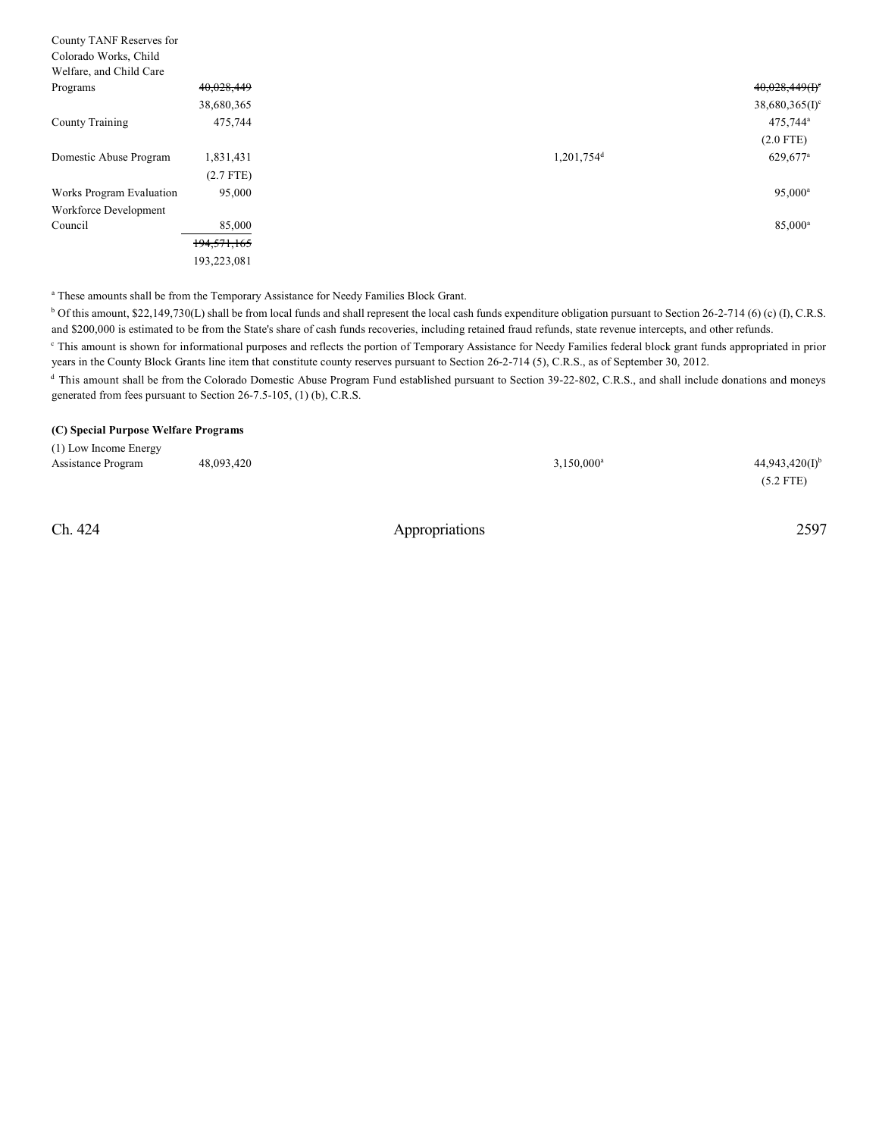| County TANF Reserves for |               |                          |                              |
|--------------------------|---------------|--------------------------|------------------------------|
| Colorado Works, Child    |               |                          |                              |
| Welfare, and Child Care  |               |                          |                              |
| Programs                 | 40,028,449    |                          | $40,028,449(f)$ <sup>e</sup> |
|                          | 38,680,365    |                          | $38,680,365(I)^c$            |
| County Training          | 475,744       |                          | $475,744^{\circ}$            |
|                          |               |                          | $(2.0$ FTE)                  |
| Domestic Abuse Program   | 1,831,431     | $1,201,754$ <sup>d</sup> | 629,677 <sup>a</sup>         |
|                          | $(2.7$ FTE)   |                          |                              |
| Works Program Evaluation | 95,000        |                          | $95,000^{\rm a}$             |
| Workforce Development    |               |                          |                              |
| Council                  | 85,000        |                          | 85,000 <sup>a</sup>          |
|                          | 194, 571, 165 |                          |                              |
|                          | 193,223,081   |                          |                              |

<sup>a</sup> These amounts shall be from the Temporary Assistance for Needy Families Block Grant.

<sup>b</sup> Of this amount, \$22,149,730(L) shall be from local funds and shall represent the local cash funds expenditure obligation pursuant to Section 26-2-714 (6) (c) (I), C.R.S. and \$200,000 is estimated to be from the State's share of cash funds recoveries, including retained fraud refunds, state revenue intercepts, and other refunds.

This amount is shown for informational purposes and reflects the portion of Temporary Assistance for Needy Families federal block grant funds appropriated in prior <sup>c</sup> years in the County Block Grants line item that constitute county reserves pursuant to Section 26-2-714 (5), C.R.S., as of September 30, 2012.

<sup>d</sup> This amount shall be from the Colorado Domestic Abuse Program Fund established pursuant to Section 39-22-802, C.R.S., and shall include donations and moneys generated from fees pursuant to Section 26-7.5-105, (1) (b), C.R.S.

### **(C) Special Purpose Welfare Programs**

| (1) Low Income Energy |            |               |                     |
|-----------------------|------------|---------------|---------------------|
| Assistance Program    | 48.093.420 | $3,150,000^a$ | $44,943,420(I)^{b}$ |
|                       |            |               | $(5.2$ FTE)         |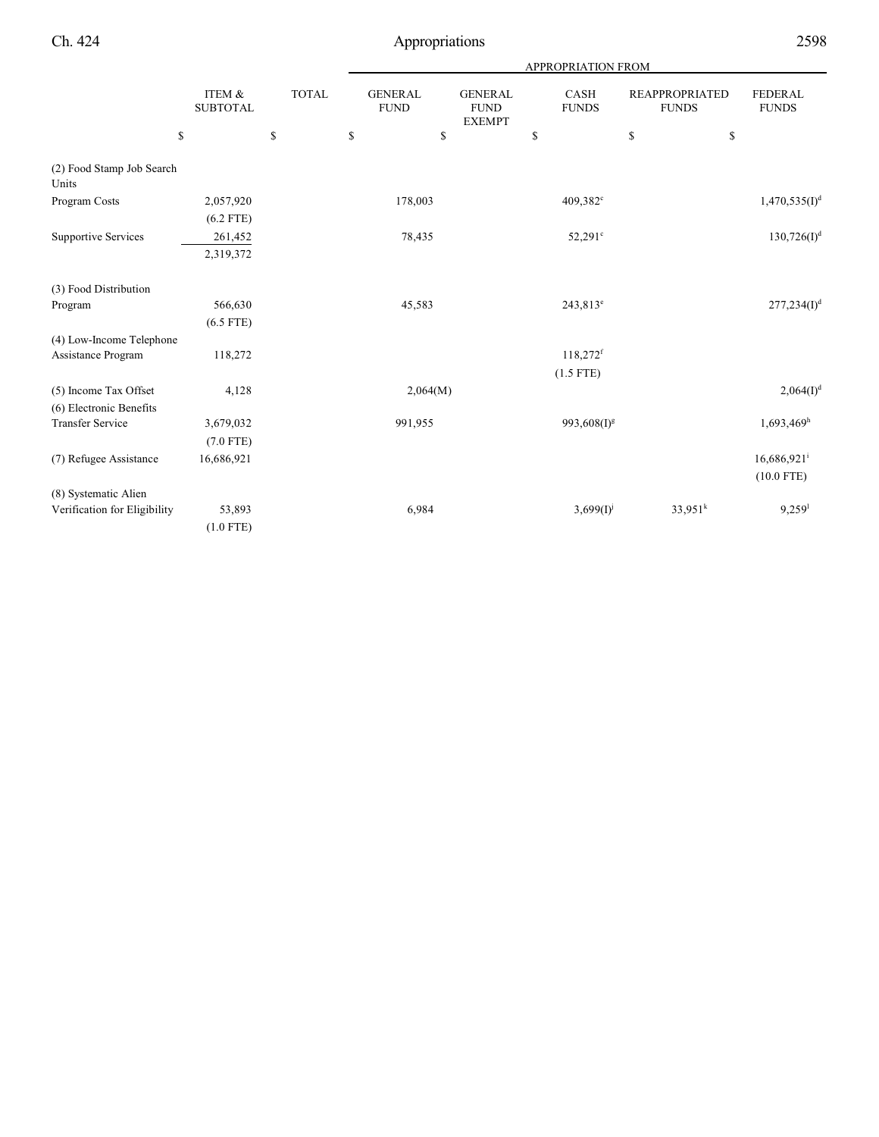|                                    |                           |              | APPROPRIATION FROM            |                                                |                             |                                       |                                           |  |  |  |
|------------------------------------|---------------------------|--------------|-------------------------------|------------------------------------------------|-----------------------------|---------------------------------------|-------------------------------------------|--|--|--|
|                                    | ITEM &<br><b>SUBTOTAL</b> | <b>TOTAL</b> | <b>GENERAL</b><br><b>FUND</b> | <b>GENERAL</b><br><b>FUND</b><br><b>EXEMPT</b> | <b>CASH</b><br><b>FUNDS</b> | <b>REAPPROPRIATED</b><br><b>FUNDS</b> | <b>FEDERAL</b><br><b>FUNDS</b>            |  |  |  |
| \$                                 |                           | \$           | \$<br>\$                      |                                                | \$                          | ${\mathbb S}$<br>\$                   |                                           |  |  |  |
| (2) Food Stamp Job Search<br>Units |                           |              |                               |                                                |                             |                                       |                                           |  |  |  |
| Program Costs                      | 2,057,920                 |              | 178,003                       |                                                | 409,382 <sup>c</sup>        |                                       | 1,470,535(I) <sup>d</sup>                 |  |  |  |
|                                    | $(6.2$ FTE)               |              |                               |                                                |                             |                                       |                                           |  |  |  |
| <b>Supportive Services</b>         | 261,452                   |              | 78,435                        |                                                | 52,291°                     |                                       | $130,726(I)^d$                            |  |  |  |
|                                    | 2,319,372                 |              |                               |                                                |                             |                                       |                                           |  |  |  |
| (3) Food Distribution              |                           |              |                               |                                                |                             |                                       |                                           |  |  |  |
| Program                            | 566,630                   |              | 45,583                        |                                                | $243,813^e$                 |                                       | 277,234(I) <sup>d</sup>                   |  |  |  |
|                                    | $(6.5$ FTE)               |              |                               |                                                |                             |                                       |                                           |  |  |  |
| (4) Low-Income Telephone           |                           |              |                               |                                                |                             |                                       |                                           |  |  |  |
| Assistance Program                 | 118,272                   |              |                               |                                                | $118,272$ <sup>f</sup>      |                                       |                                           |  |  |  |
|                                    |                           |              |                               |                                                | $(1.5$ FTE)                 |                                       |                                           |  |  |  |
| (5) Income Tax Offset              | 4,128                     |              | 2,064(M)                      |                                                |                             |                                       | 2,064(I) <sup>d</sup>                     |  |  |  |
| (6) Electronic Benefits            |                           |              |                               |                                                |                             |                                       |                                           |  |  |  |
| <b>Transfer Service</b>            | 3,679,032                 |              | 991,955                       |                                                | 993,608(I) <sup>g</sup>     |                                       | $1,693,469$ <sup>h</sup>                  |  |  |  |
|                                    | $(7.0$ FTE)               |              |                               |                                                |                             |                                       |                                           |  |  |  |
| (7) Refugee Assistance             | 16,686,921                |              |                               |                                                |                             |                                       | $16,686,921$ <sup>i</sup><br>$(10.0$ FTE) |  |  |  |
| (8) Systematic Alien               |                           |              |                               |                                                |                             |                                       |                                           |  |  |  |
| Verification for Eligibility       | 53,893                    |              | 6,984                         |                                                | $3,699(1)^{j}$              | $33,951^k$                            | $9,259$ <sup>1</sup>                      |  |  |  |
|                                    | $(1.0$ FTE)               |              |                               |                                                |                             |                                       |                                           |  |  |  |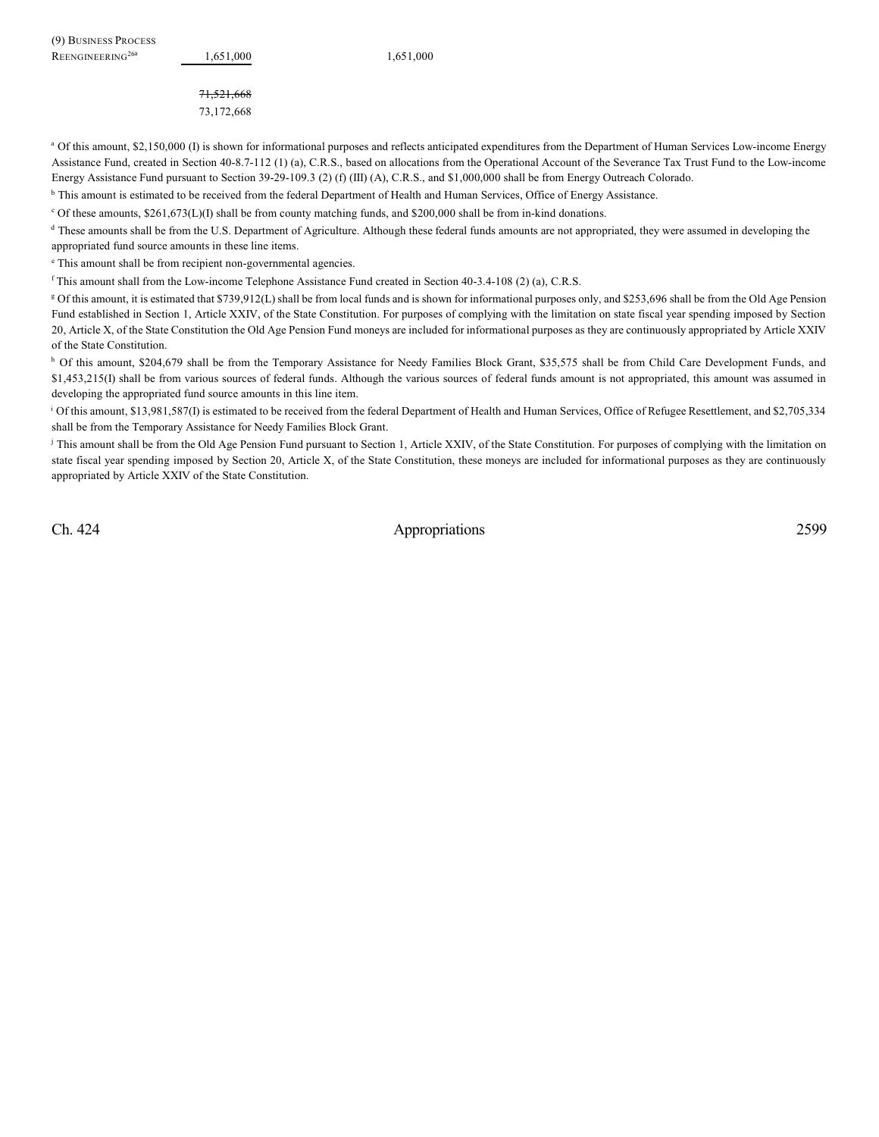71,521,668 73,172,668

<sup>a</sup> Of this amount, \$2,150,000 (I) is shown for informational purposes and reflects anticipated expenditures from the Department of Human Services Low-income Energy Assistance Fund, created in Section 40-8.7-112 (1) (a), C.R.S., based on allocations from the Operational Account of the Severance Tax Trust Fund to the Low-income Energy Assistance Fund pursuant to Section 39-29-109.3 (2) (f) (III) (A), C.R.S., and \$1,000,000 shall be from Energy Outreach Colorado.

<sup>b</sup> This amount is estimated to be received from the federal Department of Health and Human Services, Office of Energy Assistance.

 $\degree$  Of these amounts, \$261,673(L)(I) shall be from county matching funds, and \$200,000 shall be from in-kind donations.

<sup>d</sup> These amounts shall be from the U.S. Department of Agriculture. Although these federal funds amounts are not appropriated, they were assumed in developing the appropriated fund source amounts in these line items.

<sup>e</sup> This amount shall be from recipient non-governmental agencies.

 $f$ This amount shall from the Low-income Telephone Assistance Fund created in Section 40-3.4-108 (2) (a), C.R.S.

Of this amount, it is estimated that \$739,912(L) shall be from local funds and is shown for informational purposes only, and \$253,696 shall be from the Old Age Pension <sup>g</sup> Fund established in Section 1, Article XXIV, of the State Constitution. For purposes of complying with the limitation on state fiscal year spending imposed by Section 20, Article X, of the State Constitution the Old Age Pension Fund moneys are included for informational purposes as they are continuously appropriated by Article XXIV of the State Constitution.

<sup>h</sup> Of this amount, \$204,679 shall be from the Temporary Assistance for Needy Families Block Grant, \$35,575 shall be from Child Care Development Funds, and \$1,453,215(I) shall be from various sources of federal funds. Although the various sources of federal funds amount is not appropriated, this amount was assumed in developing the appropriated fund source amounts in this line item.

<sup>1</sup> Of this amount, \$13,981,587(I) is estimated to be received from the federal Department of Health and Human Services, Office of Refugee Resettlement, and \$2,705,334 shall be from the Temporary Assistance for Needy Families Block Grant.

<sup>j</sup> This amount shall be from the Old Age Pension Fund pursuant to Section 1, Article XXIV, of the State Constitution. For purposes of complying with the limitation on state fiscal year spending imposed by Section 20, Article X, of the State Constitution, these moneys are included for informational purposes as they are continuously appropriated by Article XXIV of the State Constitution.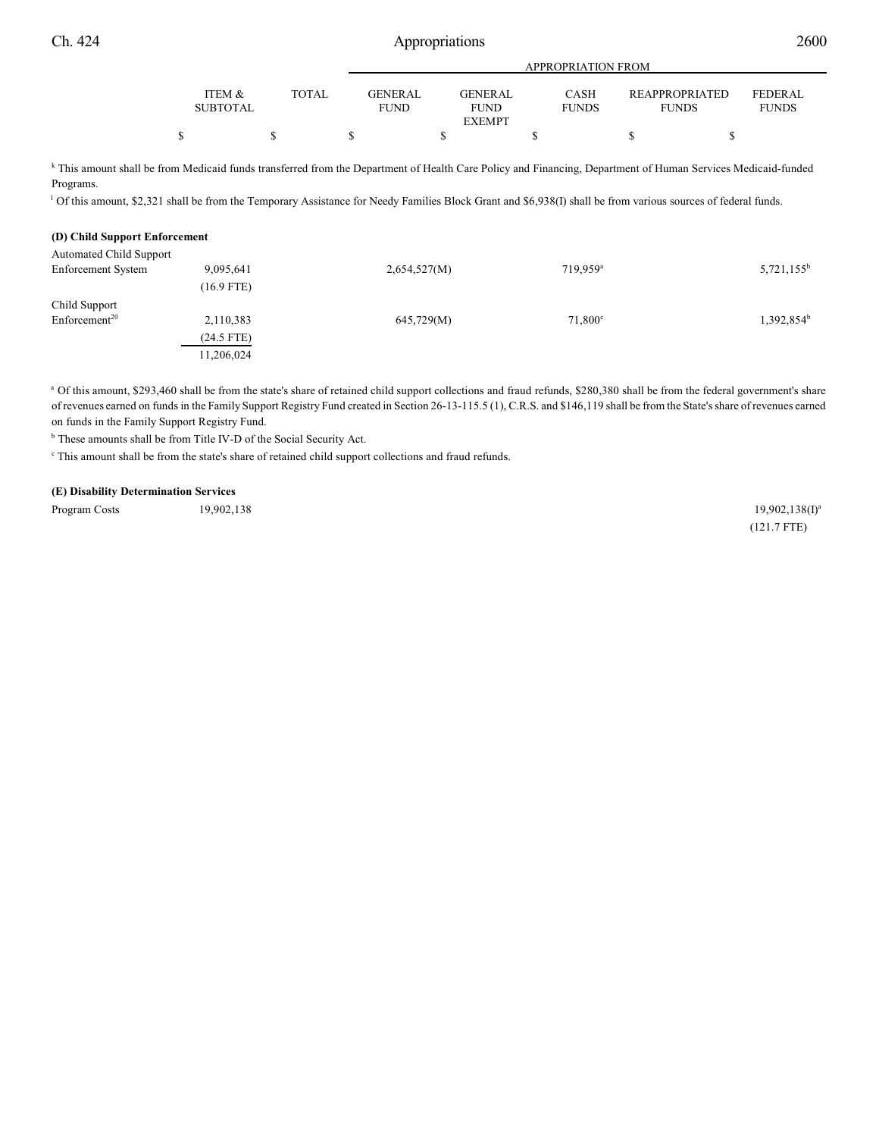|                 |              |                | APPROPRIATION FROM           |              |                       |                |  |  |  |  |  |
|-----------------|--------------|----------------|------------------------------|--------------|-----------------------|----------------|--|--|--|--|--|
| ITEM &          | <b>TOTAL</b> | <b>GENERAL</b> | <b>GENERAL</b>               | <b>CASH</b>  | <b>REAPPROPRIATED</b> | <b>FEDERAL</b> |  |  |  |  |  |
| <b>SUBTOTAL</b> |              | <b>FUND</b>    | <b>FUND</b><br><b>EXEMPT</b> | <b>FUNDS</b> | <b>FUNDS</b>          | <b>FUNDS</b>   |  |  |  |  |  |
|                 |              |                |                              |              |                       |                |  |  |  |  |  |

k This amount shall be from Medicaid funds transferred from the Department of Health Care Policy and Financing, Department of Human Services Medicaid-funded Programs.

Of this amount, \$2,321 shall be from the Temporary Assistance for Needy Families Block Grant and \$6,938(I) shall be from various sources of federal funds.

| (D) Child Support Enforcement |              |                      |                        |
|-------------------------------|--------------|----------------------|------------------------|
|                               |              |                      |                        |
| 9,095,641                     | 2,654,527(M) | 719.959 <sup>a</sup> | $5,721,155^b$          |
| $(16.9$ FTE)                  |              |                      |                        |
|                               |              |                      |                        |
| 2,110,383                     | 645,729(M)   | $71,800^{\circ}$     | 1,392,854 <sup>b</sup> |
| $(24.5$ FTE)                  |              |                      |                        |
| 11,206,024                    |              |                      |                        |
|                               |              |                      |                        |

a Of this amount, \$293,460 shall be from the state's share of retained child support collections and fraud refunds, \$280,380 shall be from the federal government's share of revenues earned on funds in the Family Support Registry Fund created in Section 26-13-115.5 (1), C.R.S. and \$146,119 shall be from the State's share of revenues earned on funds in the Family Support Registry Fund.

<sup>b</sup> These amounts shall be from Title IV-D of the Social Security Act.

 $\degree$  This amount shall be from the state's share of retained child support collections and fraud refunds.

#### **(E) Disability Determination Services**

Program Costs 19,902,138 19,902,138 19,902,138 19,902,138 19,902,138 19,902,138 19,902,138 19,902,138 19,902,138 19,902

 $19,902,138(1)^a$ (121.7 FTE)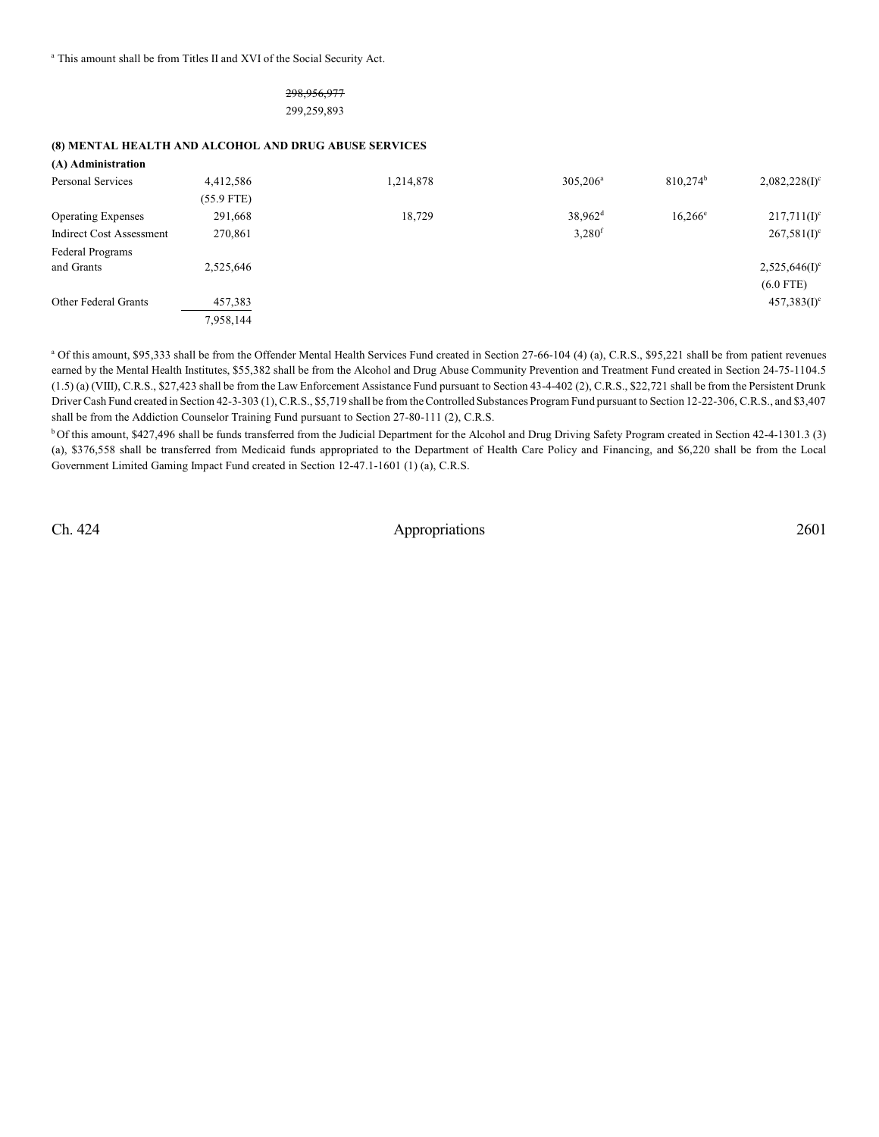<sup>a</sup> This amount shall be from Titles II and XVI of the Social Security Act.

## 298,956,977 299,259,893

### **(8) MENTAL HEALTH AND ALCOHOL AND DRUG ABUSE SERVICES**

| (A) Administration              |            |           |                      |                      |                             |
|---------------------------------|------------|-----------|----------------------|----------------------|-----------------------------|
| Personal Services               | 4,412,586  | 1,214,878 | $305,206^{\rm a}$    | 810.274 <sup>b</sup> | $2,082,228(1)$ <sup>c</sup> |
|                                 | (55.9 FTE) |           |                      |                      |                             |
| <b>Operating Expenses</b>       | 291,668    | 18,729    | 38,962 <sup>d</sup>  | $16,266^{\circ}$     | $217,711(I)^c$              |
| <b>Indirect Cost Assessment</b> | 270,861    |           | $3,280$ <sup>f</sup> |                      | $267,581(I)^c$              |
| Federal Programs                |            |           |                      |                      |                             |
| and Grants                      | 2,525,646  |           |                      |                      | $2,525,646(1)$ <sup>c</sup> |
|                                 |            |           |                      |                      | $(6.0$ FTE)                 |
| <b>Other Federal Grants</b>     | 457,383    |           |                      |                      | $457,383(I)^c$              |
|                                 | 7,958,144  |           |                      |                      |                             |

<sup>a</sup> Of this amount, \$95,333 shall be from the Offender Mental Health Services Fund created in Section 27-66-104 (4) (a), C.R.S., \$95,221 shall be from patient revenues earned by the Mental Health Institutes, \$55,382 shall be from the Alcohol and Drug Abuse Community Prevention and Treatment Fund created in Section 24-75-1104.5 (1.5) (a) (VIII), C.R.S., \$27,423 shall be from the Law Enforcement Assistance Fund pursuant to Section 43-4-402 (2), C.R.S., \$22,721 shall be from the Persistent Drunk Driver Cash Fund created in Section 42-3-303 (1), C.R.S., \$5,719 shall be from the Controlled Substances Program Fund pursuant to Section 12-22-306, C.R.S., and \$3,407 shall be from the Addiction Counselor Training Fund pursuant to Section 27-80-111 (2), C.R.S.

<sup>b</sup> Of this amount, \$427,496 shall be funds transferred from the Judicial Department for the Alcohol and Drug Driving Safety Program created in Section 42-4-1301.3 (3) (a), \$376,558 shall be transferred from Medicaid funds appropriated to the Department of Health Care Policy and Financing, and \$6,220 shall be from the Local Government Limited Gaming Impact Fund created in Section 12-47.1-1601 (1) (a), C.R.S.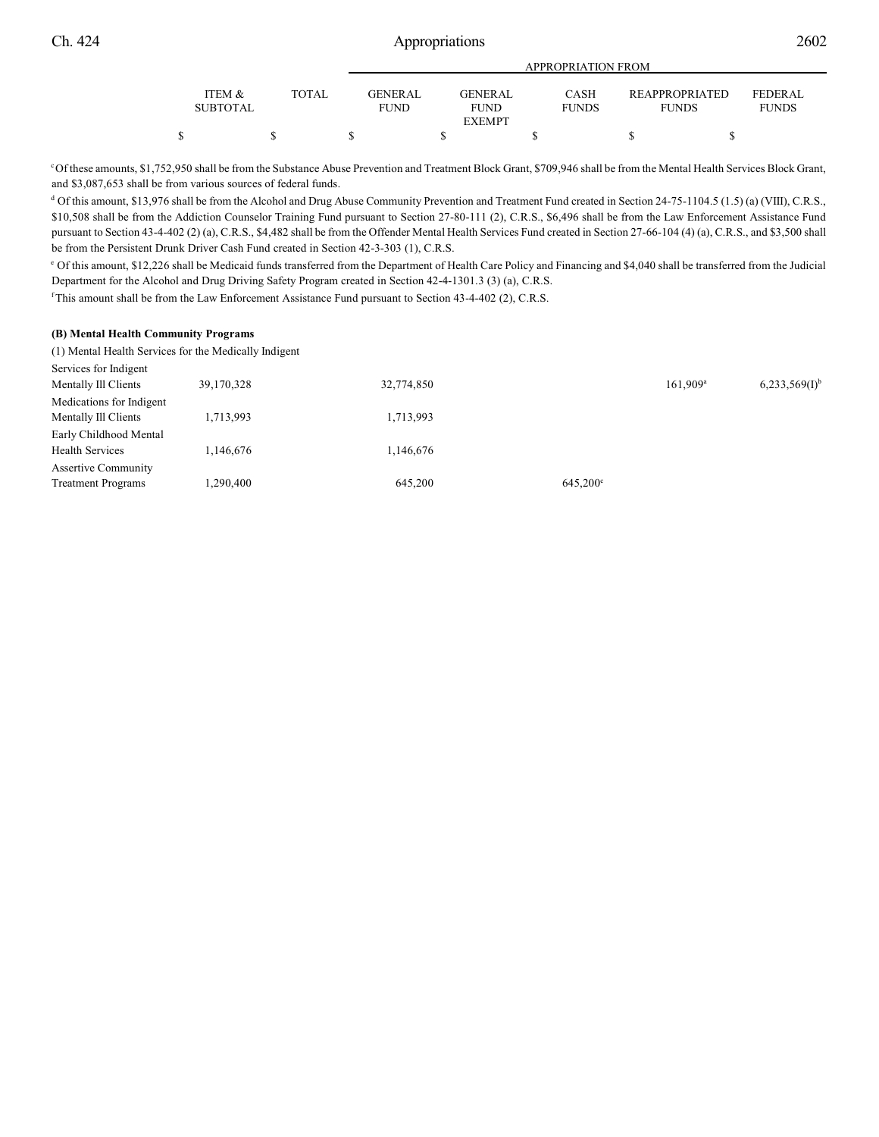|                 |       | <b>APPROPRIATION FROM</b> |                |  |                |  |              |  |                       |  |                |  |
|-----------------|-------|---------------------------|----------------|--|----------------|--|--------------|--|-----------------------|--|----------------|--|
| ITEM &          | TOTAL |                           | <b>GENERAL</b> |  | <b>GENERAL</b> |  | <b>CASH</b>  |  | <b>REAPPROPRIATED</b> |  | <b>FEDERAL</b> |  |
| <b>SUBTOTAL</b> |       |                           | <b>FUND</b>    |  | <b>FUND</b>    |  | <b>FUNDS</b> |  | <b>FUNDS</b>          |  | <b>FUNDS</b>   |  |
|                 |       |                           |                |  | <b>EXEMPT</b>  |  |              |  |                       |  |                |  |
|                 |       |                           |                |  |                |  |              |  |                       |  |                |  |

<sup>c</sup>Of these amounts, \$1,752,950 shall be from the Substance Abuse Prevention and Treatment Block Grant, \$709,946 shall be from the Mental Health Services Block Grant, and \$3,087,653 shall be from various sources of federal funds.

<sup>d</sup> Of this amount, \$13,976 shall be from the Alcohol and Drug Abuse Community Prevention and Treatment Fund created in Section 24-75-1104.5 (1.5) (a) (VIII), C.R.S., \$10,508 shall be from the Addiction Counselor Training Fund pursuant to Section 27-80-111 (2), C.R.S., \$6,496 shall be from the Law Enforcement Assistance Fund pursuant to Section 43-4-402 (2) (a), C.R.S., \$4,482 shall be from the Offender Mental Health Services Fund created in Section 27-66-104 (4) (a), C.R.S., and \$3,500 shall be from the Persistent Drunk Driver Cash Fund created in Section 42-3-303 (1), C.R.S.

Of this amount, \$12,226 shall be Medicaid funds transferred from the Department of Health Care Policy and Financing and \$4,040 shall be transferred from the Judicial <sup>e</sup> Department for the Alcohol and Drug Driving Safety Program created in Section 42-4-1301.3 (3) (a), C.R.S.

<sup>f</sup>This amount shall be from the Law Enforcement Assistance Fund pursuant to Section 43-4-402 (2), C.R.S.

### **(B) Mental Health Community Programs**

(1) Mental Health Services for the Medically Indigent

| Services for Indigent                            |            |            |                   |                        |                             |
|--------------------------------------------------|------------|------------|-------------------|------------------------|-----------------------------|
| Mentally Ill Clients                             | 39,170,328 | 32,774,850 |                   | $161.909$ <sup>a</sup> | $6,233,569(1)$ <sup>b</sup> |
| Medications for Indigent<br>Mentally Ill Clients | 1,713,993  | 1,713,993  |                   |                        |                             |
| Early Childhood Mental                           |            |            |                   |                        |                             |
| <b>Health Services</b>                           | 1.146.676  | 1,146,676  |                   |                        |                             |
| <b>Assertive Community</b>                       |            |            |                   |                        |                             |
| <b>Treatment Programs</b>                        | 1.290.400  | 645,200    | $645,200^{\circ}$ |                        |                             |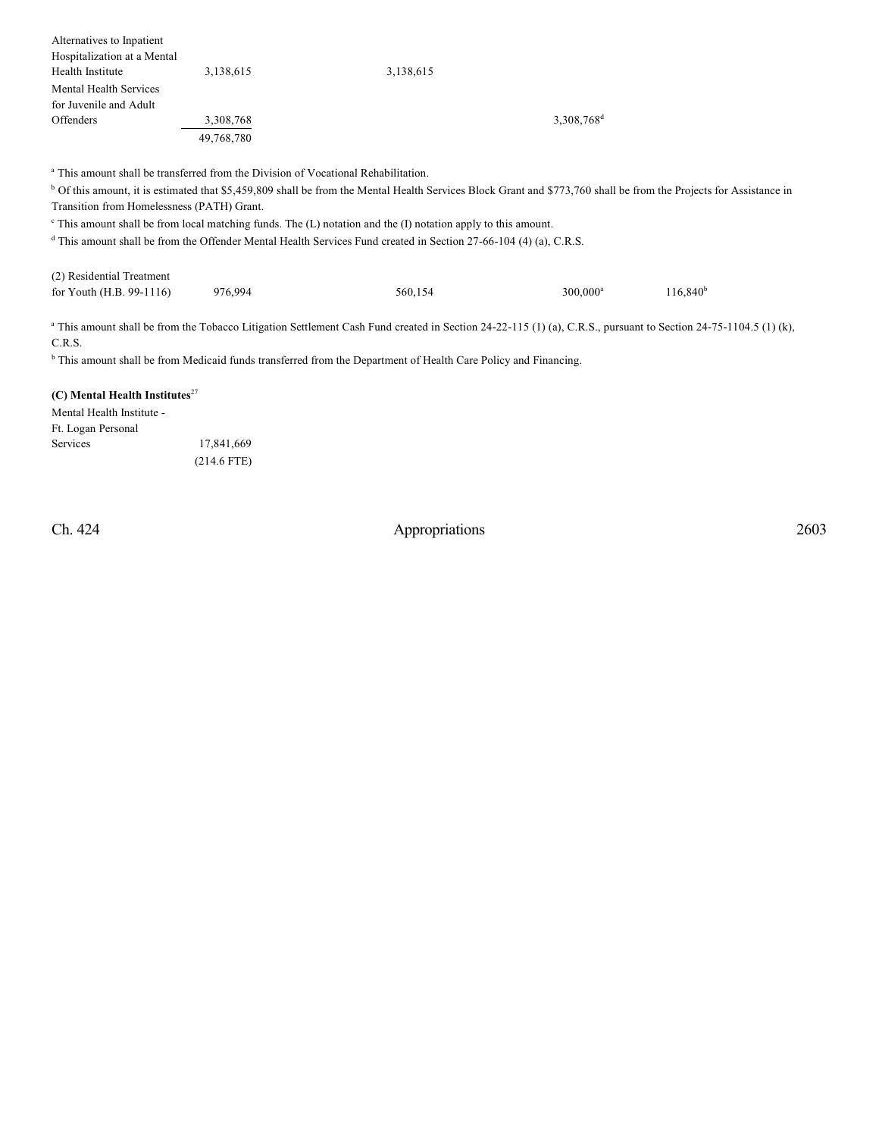| Alternatives to Inpatient   |            |           |                          |  |
|-----------------------------|------------|-----------|--------------------------|--|
| Hospitalization at a Mental |            |           |                          |  |
| Health Institute            | 3,138,615  | 3,138,615 |                          |  |
| Mental Health Services      |            |           |                          |  |
| for Juvenile and Adult      |            |           |                          |  |
| <b>Offenders</b>            | 3,308,768  |           | $3,308,768$ <sup>d</sup> |  |
|                             | 49,768,780 |           |                          |  |

<sup>a</sup> This amount shall be transferred from the Division of Vocational Rehabilitation.

<sup>b</sup> Of this amount, it is estimated that \$5,459,809 shall be from the Mental Health Services Block Grant and \$773,760 shall be from the Projects for Assistance in Transition from Homelessness (PATH) Grant.

 $\epsilon$  This amount shall be from local matching funds. The (L) notation and the (I) notation apply to this amount.

<sup>d</sup> This amount shall be from the Offender Mental Health Services Fund created in Section 27-66-104 (4) (a), C.R.S.

| (2) Residential Treatment |         |         |                        |                      |
|---------------------------|---------|---------|------------------------|----------------------|
| for Youth (H.B. 99-1116)  | 976.994 | 560.154 | $300.000$ <sup>a</sup> | 116.840 <sup>b</sup> |

<sup>a</sup> This amount shall be from the Tobacco Litigation Settlement Cash Fund created in Section 24-22-115 (1) (a), C.R.S., pursuant to Section 24-75-1104.5 (1) (k), C.R.S.

<sup>b</sup> This amount shall be from Medicaid funds transferred from the Department of Health Care Policy and Financing.

## **(C) Mental Health Institutes**<sup>27</sup>

Mental Health Institute - Ft. Logan Personal Services 17,841,669 (214.6 FTE)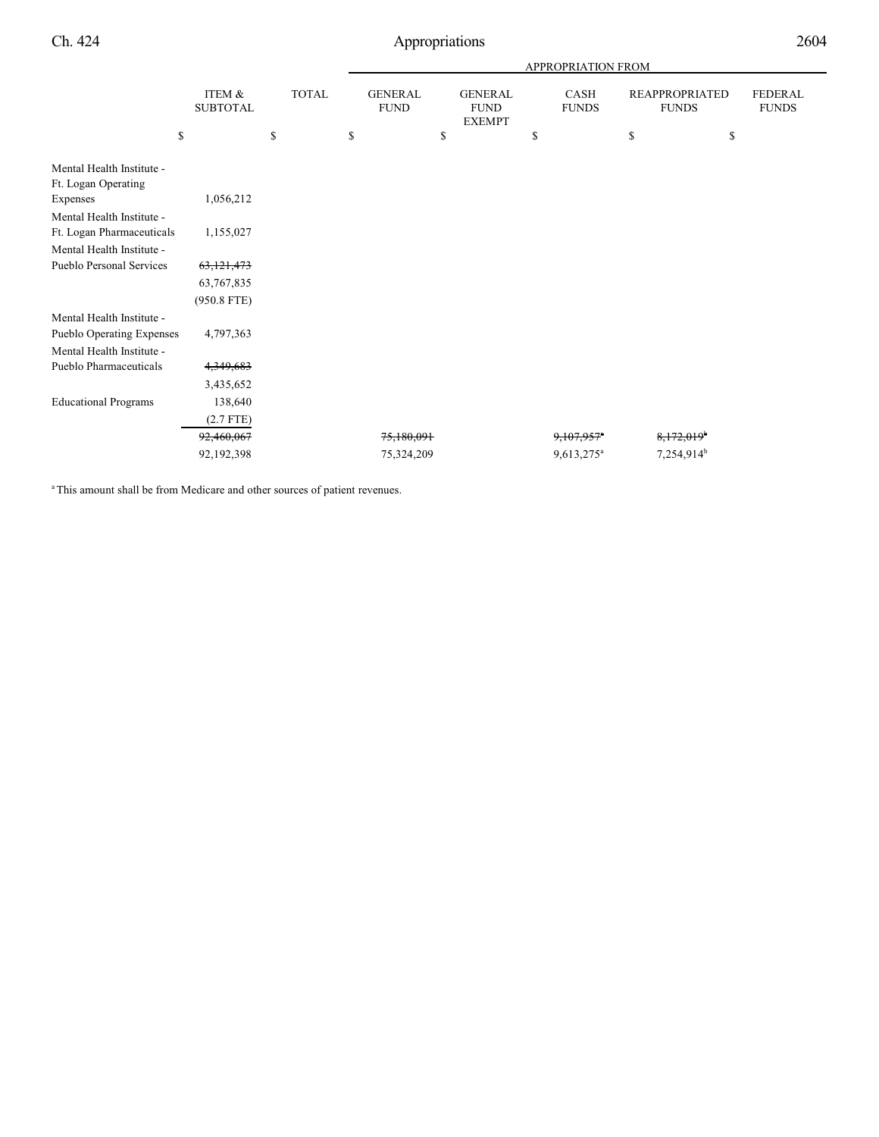|                                                  |                                 |                    |                                     |                                                      | <b>APPROPRIATION FROM</b>         |                                                   |                                |
|--------------------------------------------------|---------------------------------|--------------------|-------------------------------------|------------------------------------------------------|-----------------------------------|---------------------------------------------------|--------------------------------|
|                                                  | ITEM &<br><b>SUBTOTAL</b><br>\$ | <b>TOTAL</b><br>\$ | \$<br><b>GENERAL</b><br><b>FUND</b> | \$<br><b>GENERAL</b><br><b>FUND</b><br><b>EXEMPT</b> | \$<br><b>CASH</b><br><b>FUNDS</b> | \$<br><b>REAPPROPRIATED</b><br><b>FUNDS</b><br>\$ | <b>FEDERAL</b><br><b>FUNDS</b> |
|                                                  |                                 |                    |                                     |                                                      |                                   |                                                   |                                |
| Mental Health Institute -<br>Ft. Logan Operating |                                 |                    |                                     |                                                      |                                   |                                                   |                                |
| Expenses                                         | 1,056,212                       |                    |                                     |                                                      |                                   |                                                   |                                |
| Mental Health Institute -                        |                                 |                    |                                     |                                                      |                                   |                                                   |                                |
| Ft. Logan Pharmaceuticals                        | 1,155,027                       |                    |                                     |                                                      |                                   |                                                   |                                |
| Mental Health Institute -                        |                                 |                    |                                     |                                                      |                                   |                                                   |                                |
| <b>Pueblo Personal Services</b>                  | 63,121,473                      |                    |                                     |                                                      |                                   |                                                   |                                |
|                                                  | 63,767,835                      |                    |                                     |                                                      |                                   |                                                   |                                |
|                                                  | $(950.8$ FTE)                   |                    |                                     |                                                      |                                   |                                                   |                                |
| Mental Health Institute -                        |                                 |                    |                                     |                                                      |                                   |                                                   |                                |
| Pueblo Operating Expenses                        | 4,797,363                       |                    |                                     |                                                      |                                   |                                                   |                                |
| Mental Health Institute -                        |                                 |                    |                                     |                                                      |                                   |                                                   |                                |
| Pueblo Pharmaceuticals                           | 4,349,683                       |                    |                                     |                                                      |                                   |                                                   |                                |
|                                                  | 3,435,652                       |                    |                                     |                                                      |                                   |                                                   |                                |
| <b>Educational Programs</b>                      | 138,640                         |                    |                                     |                                                      |                                   |                                                   |                                |
|                                                  | $(2.7$ FTE)                     |                    |                                     |                                                      |                                   |                                                   |                                |
|                                                  | 92,460,067                      |                    | 75,180,091                          |                                                      | 9,107,957                         | 8,172,019 <sup>b</sup>                            |                                |
|                                                  | 92,192,398                      |                    | 75,324,209                          |                                                      | 9,613,275 <sup>a</sup>            | 7,254,914 <sup>b</sup>                            |                                |
|                                                  |                                 |                    |                                     |                                                      |                                   |                                                   |                                |

<sup>a</sup> This amount shall be from Medicare and other sources of patient revenues.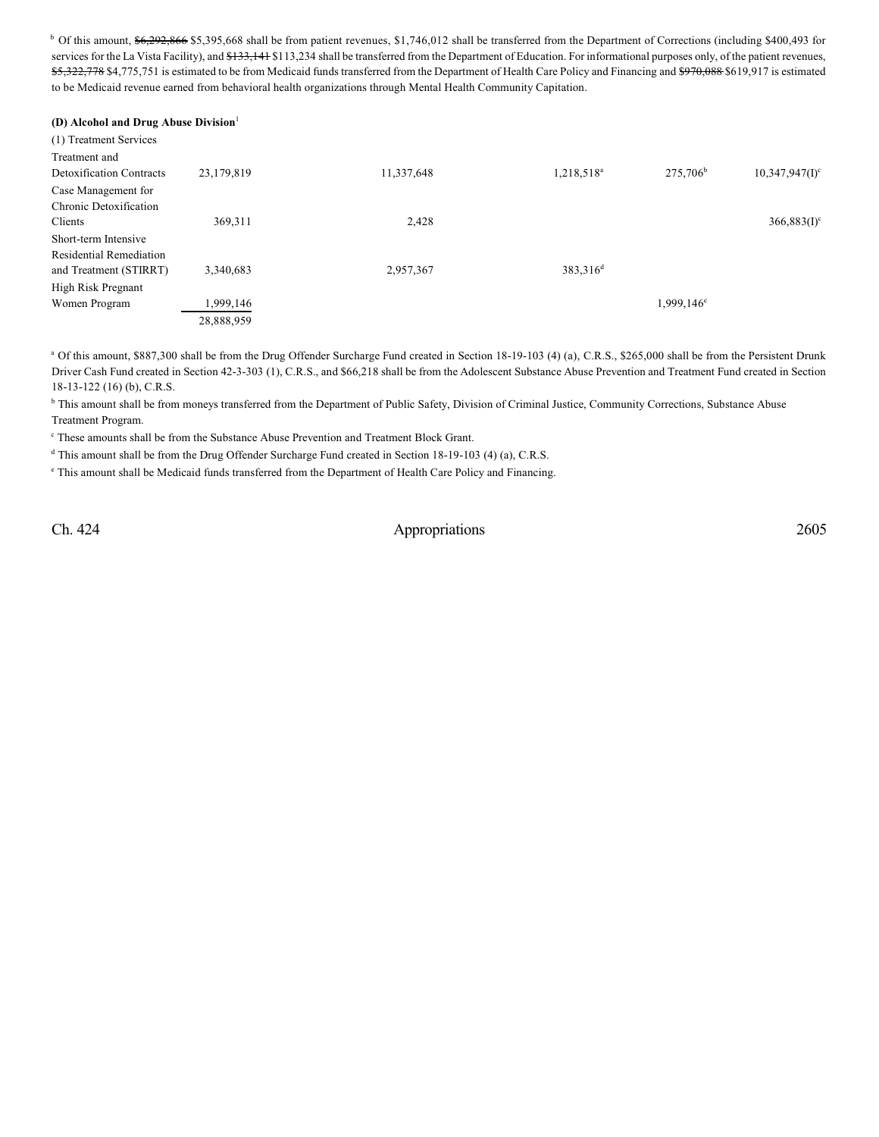<sup>b</sup> Of this amount, \$6,292,866 \$5,395,668 shall be from patient revenues, \$1,746,012 shall be transferred from the Department of Corrections (including \$400,493 for services for the La Vista Facility), and \$133,141 \$113,234 shall be transferred from the Department of Education. For informational purposes only, of the patient revenues, \$5,322,778 \$4,775,751 is estimated to be from Medicaid funds transferred from the Department of Health Care Policy and Financing and \$970,088 \$619,917 is estimated to be Medicaid revenue earned from behavioral health organizations through Mental Health Community Capitation.

| (D) Alcohol and Drug Abuse Division |            |            |                        |                      |                               |
|-------------------------------------|------------|------------|------------------------|----------------------|-------------------------------|
| (1) Treatment Services              |            |            |                        |                      |                               |
| Treatment and                       |            |            |                        |                      |                               |
| <b>Detoxification Contracts</b>     | 23,179,819 | 11,337,648 | 1,218,518 <sup>a</sup> | 275,706 <sup>b</sup> | $10,347,947($ I) <sup>c</sup> |
| Case Management for                 |            |            |                        |                      |                               |
| Chronic Detoxification              |            |            |                        |                      |                               |
| Clients                             | 369,311    | 2,428      |                        |                      | $366,883(I)^c$                |
| Short-term Intensive                |            |            |                        |                      |                               |
| <b>Residential Remediation</b>      |            |            |                        |                      |                               |
| and Treatment (STIRRT)              | 3,340,683  | 2,957,367  | 383,316 <sup>d</sup>   |                      |                               |
| <b>High Risk Pregnant</b>           |            |            |                        |                      |                               |
| Women Program                       | 1,999,146  |            |                        | $1,999,146^{\circ}$  |                               |
|                                     | 28,888,959 |            |                        |                      |                               |

<sup>a</sup> Of this amount, \$887,300 shall be from the Drug Offender Surcharge Fund created in Section 18-19-103 (4) (a), C.R.S., \$265,000 shall be from the Persistent Drunk Driver Cash Fund created in Section 42-3-303 (1), C.R.S., and \$66,218 shall be from the Adolescent Substance Abuse Prevention and Treatment Fund created in Section 18-13-122 (16) (b), C.R.S.

<sup>b</sup> This amount shall be from moneys transferred from the Department of Public Safety, Division of Criminal Justice, Community Corrections, Substance Abuse Treatment Program.

<sup>c</sup> These amounts shall be from the Substance Abuse Prevention and Treatment Block Grant.

 $<sup>d</sup>$  This amount shall be from the Drug Offender Surcharge Fund created in Section 18-19-103 (4) (a), C.R.S.</sup>

 $e$  This amount shall be Medicaid funds transferred from the Department of Health Care Policy and Financing.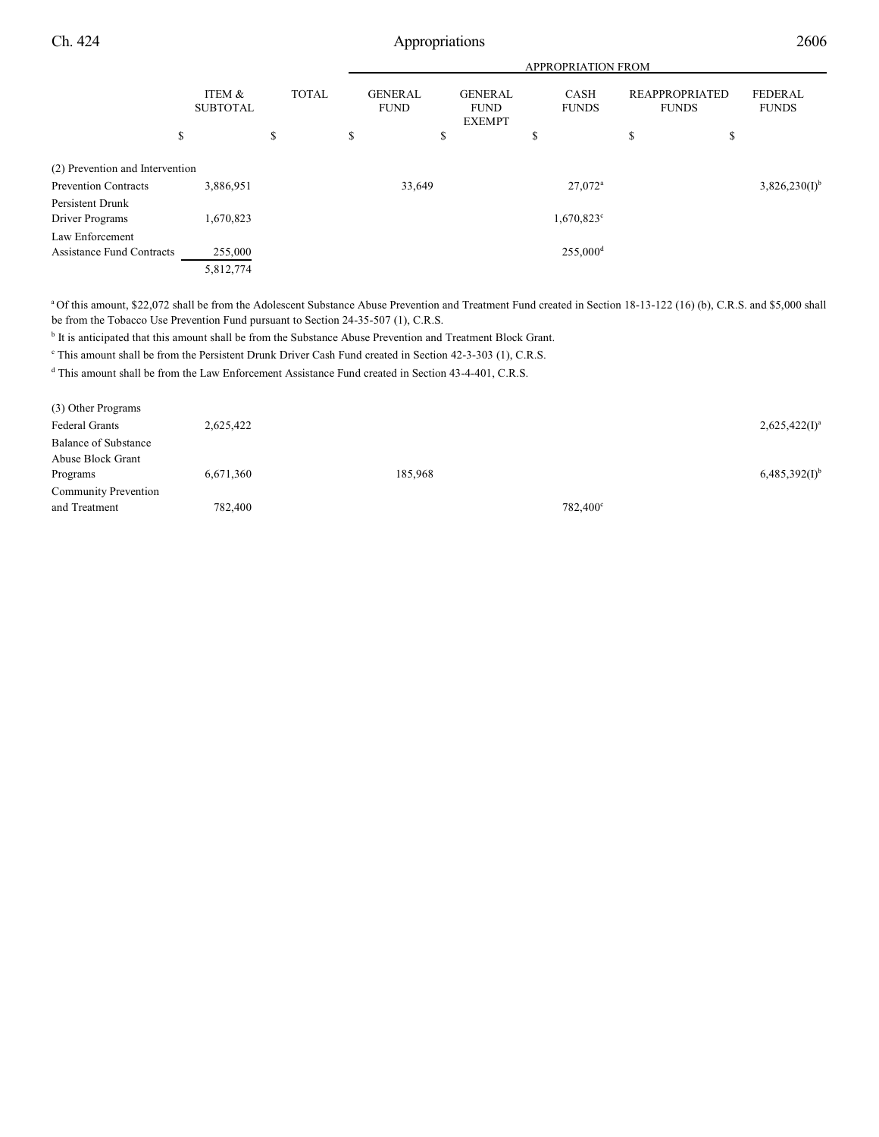|                                  |                           | <b>APPROPRIATION FROM</b> |   |                               |    |                                                |    |                             |                                       |                                |
|----------------------------------|---------------------------|---------------------------|---|-------------------------------|----|------------------------------------------------|----|-----------------------------|---------------------------------------|--------------------------------|
|                                  | ITEM &<br><b>SUBTOTAL</b> | <b>TOTAL</b>              |   | <b>GENERAL</b><br><b>FUND</b> |    | <b>GENERAL</b><br><b>FUND</b><br><b>EXEMPT</b> |    | <b>CASH</b><br><b>FUNDS</b> | <b>REAPPROPRIATED</b><br><b>FUNDS</b> | <b>FEDERAL</b><br><b>FUNDS</b> |
|                                  | \$                        | \$                        | S |                               | \$ |                                                | \$ |                             | \$<br>\$                              |                                |
| (2) Prevention and Intervention  |                           |                           |   |                               |    |                                                |    |                             |                                       |                                |
| <b>Prevention Contracts</b>      | 3,886,951                 |                           |   | 33,649                        |    |                                                |    | $27.072$ <sup>a</sup>       |                                       | $3,826,230(I)^{b}$             |
| Persistent Drunk                 |                           |                           |   |                               |    |                                                |    |                             |                                       |                                |
| Driver Programs                  | 1,670,823                 |                           |   |                               |    |                                                |    | $1,670,823^{\circ}$         |                                       |                                |
| Law Enforcement                  |                           |                           |   |                               |    |                                                |    |                             |                                       |                                |
| <b>Assistance Fund Contracts</b> | 255,000                   |                           |   |                               |    |                                                |    | $255,000$ <sup>d</sup>      |                                       |                                |
|                                  | 5,812,774                 |                           |   |                               |    |                                                |    |                             |                                       |                                |

<sup>a</sup> Of this amount, \$22,072 shall be from the Adolescent Substance Abuse Prevention and Treatment Fund created in Section 18-13-122 (16) (b), C.R.S. and \$5,000 shall be from the Tobacco Use Prevention Fund pursuant to Section 24-35-507 (1), C.R.S.

<sup>b</sup> It is anticipated that this amount shall be from the Substance Abuse Prevention and Treatment Block Grant.

<sup>c</sup> This amount shall be from the Persistent Drunk Driver Cash Fund created in Section 42-3-303 (1), C.R.S.

<sup>d</sup> This amount shall be from the Law Enforcement Assistance Fund created in Section 43-4-401, C.R.S.

| (3) Other Programs          |           |         |          |                    |
|-----------------------------|-----------|---------|----------|--------------------|
| Federal Grants              | 2,625,422 |         |          | $2,625,422(I)^a$   |
| <b>Balance of Substance</b> |           |         |          |                    |
| Abuse Block Grant           |           |         |          |                    |
| Programs                    | 6,671,360 | 185,968 |          | $6,485,392(1)^{b}$ |
| <b>Community Prevention</b> |           |         |          |                    |
| and Treatment               | 782,400   |         | 782,400° |                    |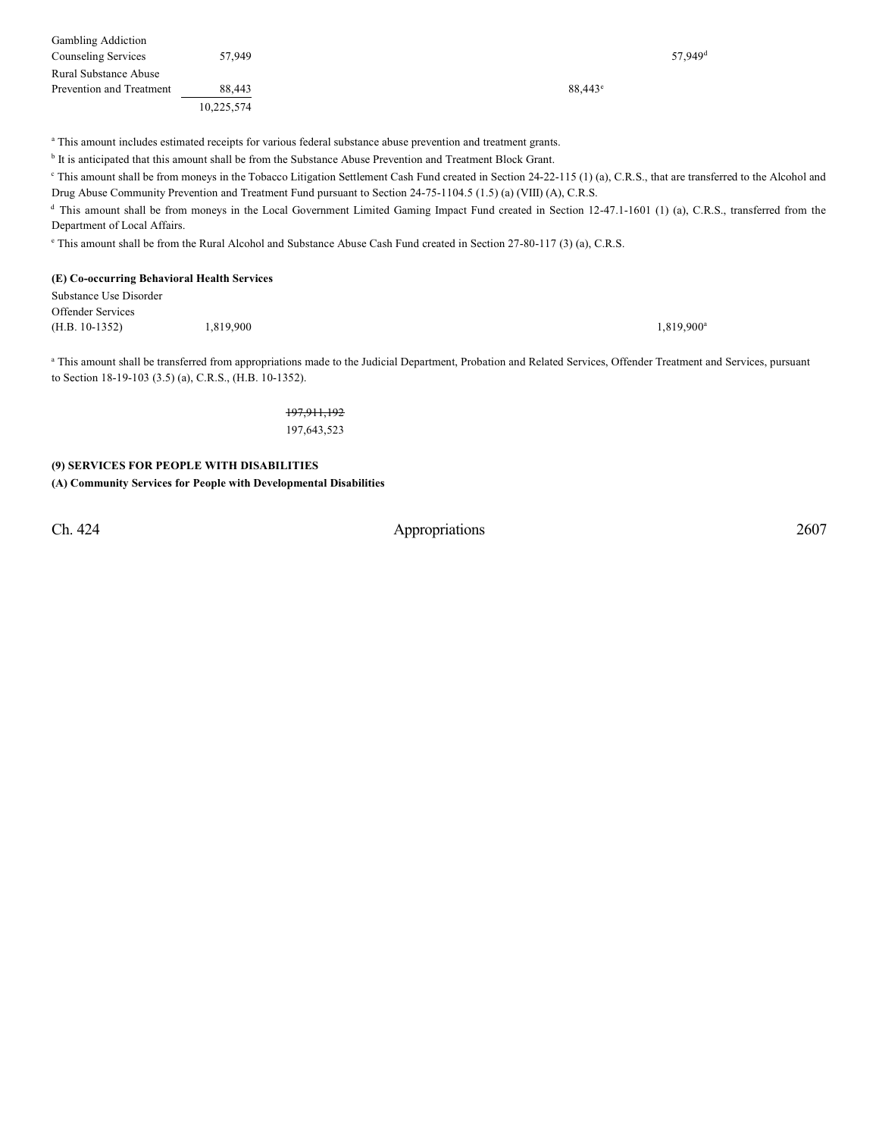| <b>Gambling Addiction</b> |            |                  |                       |
|---------------------------|------------|------------------|-----------------------|
| Counseling Services       | 57.949     |                  | $57.949$ <sup>d</sup> |
| Rural Substance Abuse     |            |                  |                       |
| Prevention and Treatment  | 88,443     | $88,443^{\circ}$ |                       |
|                           | 10,225,574 |                  |                       |

<sup>a</sup> This amount includes estimated receipts for various federal substance abuse prevention and treatment grants.

<sup>b</sup> It is anticipated that this amount shall be from the Substance Abuse Prevention and Treatment Block Grant.

This amount shall be from moneys in the Tobacco Litigation Settlement Cash Fund created in Section 24-22-115 (1) (a), C.R.S., that are transferred to the Alcohol and Drug Abuse Community Prevention and Treatment Fund pursuant to Section 24-75-1104.5 (1.5) (a) (VIII) (A), C.R.S.

<sup>d</sup> This amount shall be from moneys in the Local Government Limited Gaming Impact Fund created in Section 12-47.1-1601 (1) (a), C.R.S., transferred from the Department of Local Affairs.

<sup>e</sup> This amount shall be from the Rural Alcohol and Substance Abuse Cash Fund created in Section 27-80-117 (3) (a), C.R.S.

#### **(E) Co-occurring Behavioral Health Services**

| Substance Use Disorder |           |                     |
|------------------------|-----------|---------------------|
| Offender Services      |           |                     |
| (H.B. 10-1352)         | 1,819,900 | $1,819,900^{\rm a}$ |

<sup>a</sup> This amount shall be transferred from appropriations made to the Judicial Department, Probation and Related Services, Offender Treatment and Services, pursuant to Section 18-19-103 (3.5) (a), C.R.S., (H.B. 10-1352).

> 197,911,192 197,643,523

## **(9) SERVICES FOR PEOPLE WITH DISABILITIES (A) Community Services for People with Developmental Disabilities**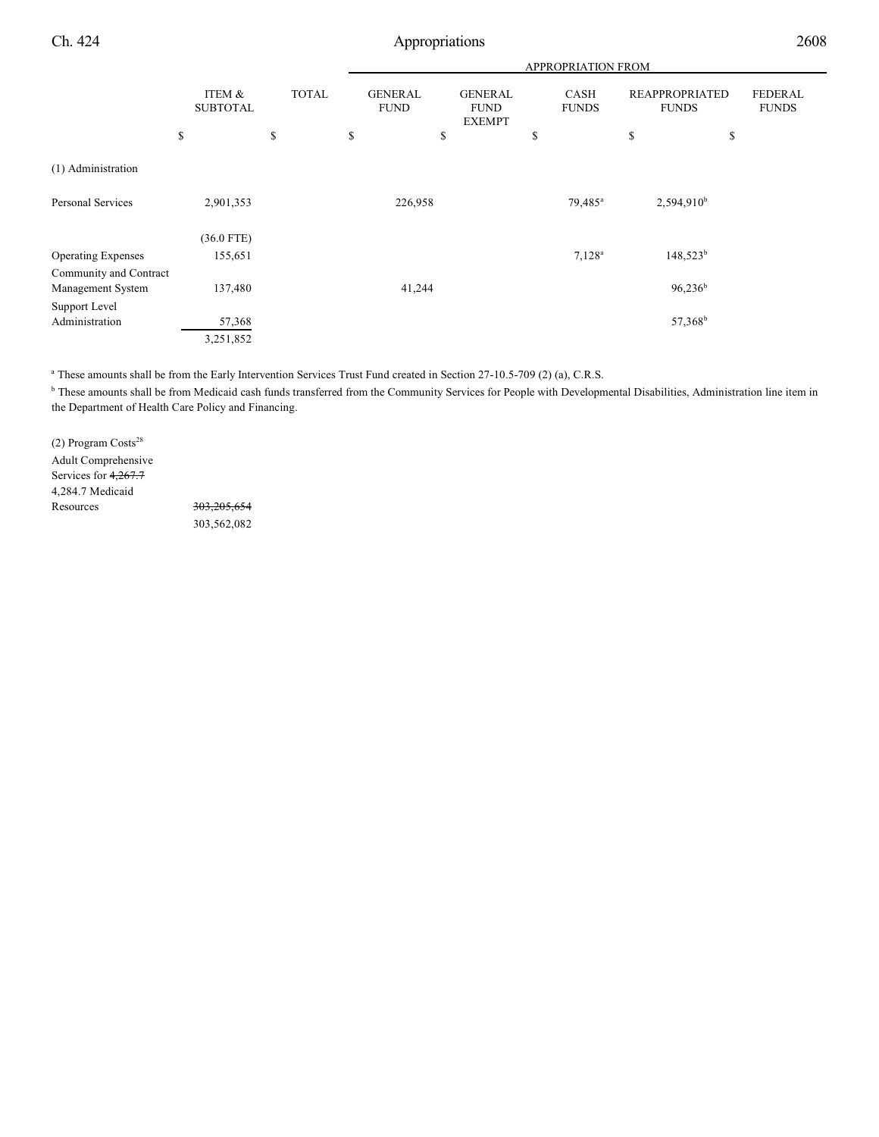|                           |                           |              |                               | APPROPRIATION FROM                             |                      |                                       |                                |  |
|---------------------------|---------------------------|--------------|-------------------------------|------------------------------------------------|----------------------|---------------------------------------|--------------------------------|--|
|                           | ITEM &<br><b>SUBTOTAL</b> | <b>TOTAL</b> | <b>GENERAL</b><br><b>FUND</b> | <b>GENERAL</b><br><b>FUND</b><br><b>EXEMPT</b> | CASH<br><b>FUNDS</b> | <b>REAPPROPRIATED</b><br><b>FUNDS</b> | <b>FEDERAL</b><br><b>FUNDS</b> |  |
|                           | \$                        | \$           | \$<br>\$                      |                                                | \$                   | \$<br>\$                              |                                |  |
| (1) Administration        |                           |              |                               |                                                |                      |                                       |                                |  |
| <b>Personal Services</b>  | 2,901,353                 |              | 226,958                       |                                                | $79,485^{\circ}$     | $2,594,910^b$                         |                                |  |
|                           | $(36.0$ FTE)              |              |                               |                                                |                      |                                       |                                |  |
| <b>Operating Expenses</b> | 155,651                   |              |                               |                                                | $7,128^a$            | $148,523^b$                           |                                |  |
| Community and Contract    |                           |              |                               |                                                |                      |                                       |                                |  |
| Management System         | 137,480                   |              | 41,244                        |                                                |                      | $96,236^b$                            |                                |  |
| Support Level             |                           |              |                               |                                                |                      |                                       |                                |  |
| Administration            | 57,368                    |              |                               |                                                |                      | 57,368 <sup>b</sup>                   |                                |  |
|                           | 3,251,852                 |              |                               |                                                |                      |                                       |                                |  |

<sup>a</sup> These amounts shall be from the Early Intervention Services Trust Fund created in Section 27-10.5-709 (2) (a), C.R.S.

**b** These amounts shall be from Medicaid cash funds transferred from the Community Services for People with Developmental Disabilities, Administration line item in the Department of Health Care Policy and Financing.

(2) Program Costs<sup>28</sup> Adult Comprehensive Services for 4,267.7 4,284.7 Medicaid Resources 303,205,654

303,562,082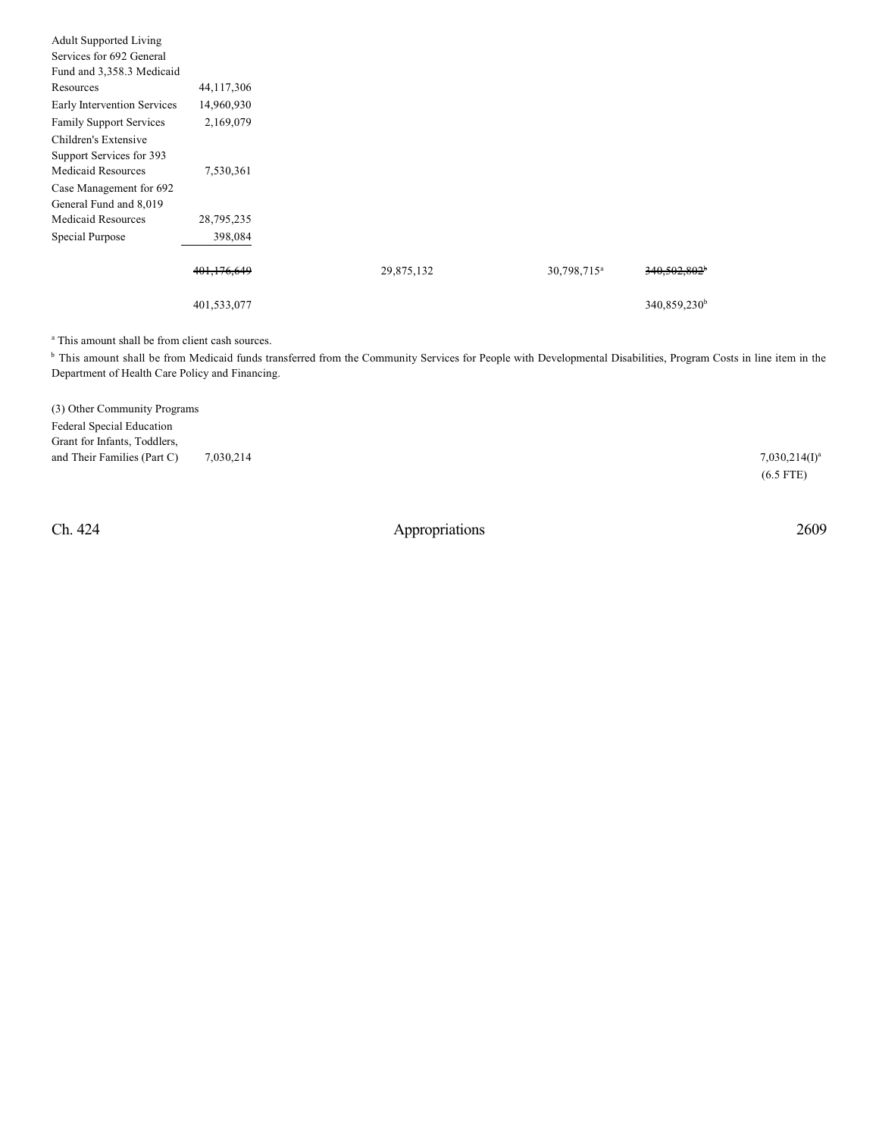| <b>Adult Supported Living</b>  |              |            |                         |                          |
|--------------------------------|--------------|------------|-------------------------|--------------------------|
| Services for 692 General       |              |            |                         |                          |
| Fund and 3,358.3 Medicaid      |              |            |                         |                          |
| Resources                      | 44, 117, 306 |            |                         |                          |
| Early Intervention Services    | 14,960,930   |            |                         |                          |
| <b>Family Support Services</b> | 2,169,079    |            |                         |                          |
| Children's Extensive           |              |            |                         |                          |
| Support Services for 393       |              |            |                         |                          |
| <b>Medicaid Resources</b>      | 7,530,361    |            |                         |                          |
| Case Management for 692        |              |            |                         |                          |
| General Fund and 8,019         |              |            |                         |                          |
| <b>Medicaid Resources</b>      | 28,795,235   |            |                         |                          |
| Special Purpose                | 398,084      |            |                         |                          |
|                                | 401,176,649  | 29,875,132 | 30,798,715 <sup>a</sup> | $340,502,802^{\circ}$    |
|                                | 401,533,077  |            |                         | 340,859,230 <sup>b</sup> |

<sup>a</sup> This amount shall be from client cash sources.

<sup>b</sup> This amount shall be from Medicaid funds transferred from the Community Services for People with Developmental Disabilities, Program Costs in line item in the Department of Health Care Policy and Financing.

| (3) Other Community Programs     |           |                  |
|----------------------------------|-----------|------------------|
| <b>Federal Special Education</b> |           |                  |
| Grant for Infants, Toddlers,     |           |                  |
| and Their Families (Part C)      | 7.030.214 | $7,030,214(I)^a$ |
|                                  |           | $(6.5$ FTE)      |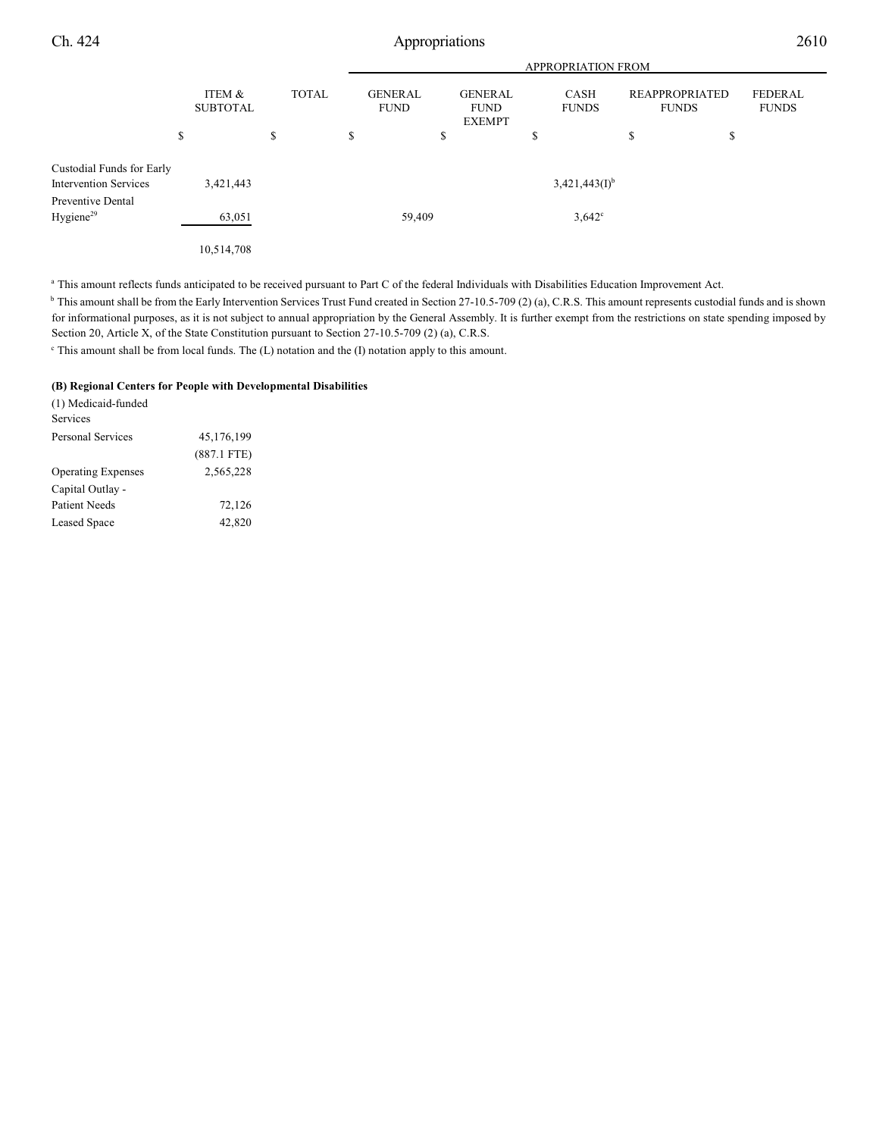|                                                           |                           | <b>APPROPRIATION FROM</b> |                               |                                                |                             |                                       |                                |
|-----------------------------------------------------------|---------------------------|---------------------------|-------------------------------|------------------------------------------------|-----------------------------|---------------------------------------|--------------------------------|
|                                                           | ITEM &<br><b>SUBTOTAL</b> | <b>TOTAL</b>              | <b>GENERAL</b><br><b>FUND</b> | <b>GENERAL</b><br><b>FUND</b><br><b>EXEMPT</b> | <b>CASH</b><br><b>FUNDS</b> | <b>REAPPROPRIATED</b><br><b>FUNDS</b> | <b>FEDERAL</b><br><b>FUNDS</b> |
|                                                           | \$                        | \$                        | \$                            | \$                                             | \$                          | S                                     | \$                             |
| Custodial Funds for Early<br><b>Intervention Services</b> | 3,421,443                 |                           |                               |                                                | $3,421,443(I)^{b}$          |                                       |                                |
| Preventive Dental<br>Hygiene <sup>29</sup>                | 63,051                    |                           |                               | 59,409                                         | $3,642^{\circ}$             |                                       |                                |
|                                                           | 10,514,708                |                           |                               |                                                |                             |                                       |                                |

<sup>a</sup> This amount reflects funds anticipated to be received pursuant to Part C of the federal Individuals with Disabilities Education Improvement Act.

 $\mu$  This amount shall be from the Early Intervention Services Trust Fund created in Section 27-10.5-709 (2) (a), C.R.S. This amount represents custodial funds and is shown for informational purposes, as it is not subject to annual appropriation by the General Assembly. It is further exempt from the restrictions on state spending imposed by Section 20, Article X, of the State Constitution pursuant to Section 27-10.5-709 (2) (a), C.R.S.

 $\epsilon$  This amount shall be from local funds. The (L) notation and the (I) notation apply to this amount.

#### **(B) Regional Centers for People with Developmental Disabilities**

| (1) Medicaid-funded       |               |
|---------------------------|---------------|
| Services                  |               |
| <b>Personal Services</b>  | 45,176,199    |
|                           | $(887.1$ FTE) |
| <b>Operating Expenses</b> | 2,565,228     |
| Capital Outlay -          |               |
| Patient Needs             | 72,126        |
| <b>Leased Space</b>       | 42,820        |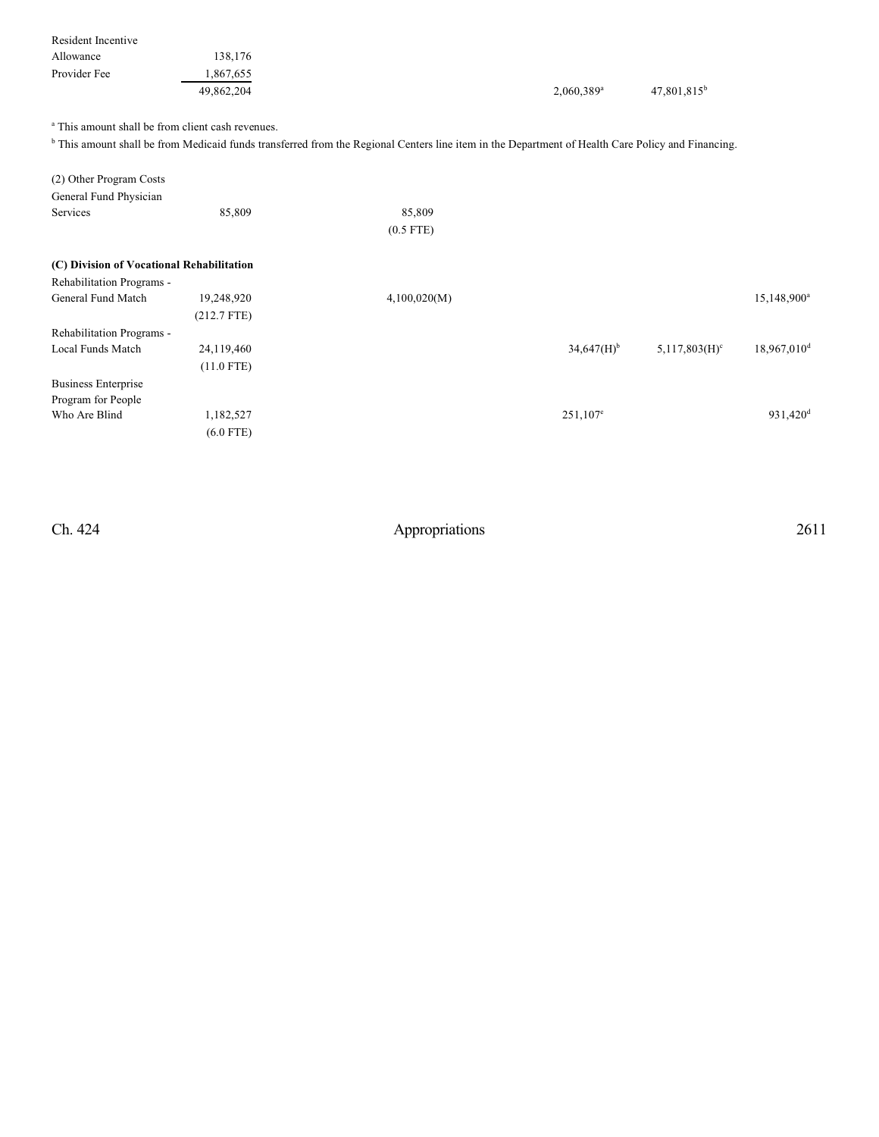| Resident Incentive                                           |               |                                                                                                                                                              |                          |                             |                           |
|--------------------------------------------------------------|---------------|--------------------------------------------------------------------------------------------------------------------------------------------------------------|--------------------------|-----------------------------|---------------------------|
| Allowance                                                    | 138,176       |                                                                                                                                                              |                          |                             |                           |
| Provider Fee                                                 | 1,867,655     |                                                                                                                                                              |                          |                             |                           |
|                                                              | 49,862,204    |                                                                                                                                                              | 2,060,389 <sup>a</sup>   | 47,801,815 <sup>b</sup>     |                           |
| <sup>a</sup> This amount shall be from client cash revenues. |               |                                                                                                                                                              |                          |                             |                           |
|                                                              |               | <sup>b</sup> This amount shall be from Medicaid funds transferred from the Regional Centers line item in the Department of Health Care Policy and Financing. |                          |                             |                           |
|                                                              |               |                                                                                                                                                              |                          |                             |                           |
| (2) Other Program Costs                                      |               |                                                                                                                                                              |                          |                             |                           |
| General Fund Physician                                       |               |                                                                                                                                                              |                          |                             |                           |
| Services                                                     | 85,809        | 85,809                                                                                                                                                       |                          |                             |                           |
|                                                              |               |                                                                                                                                                              |                          |                             |                           |
|                                                              |               | $(0.5$ FTE)                                                                                                                                                  |                          |                             |                           |
|                                                              |               |                                                                                                                                                              |                          |                             |                           |
| (C) Division of Vocational Rehabilitation                    |               |                                                                                                                                                              |                          |                             |                           |
| Rehabilitation Programs -                                    |               |                                                                                                                                                              |                          |                             |                           |
| General Fund Match                                           | 19,248,920    | 4,100,020(M)                                                                                                                                                 |                          |                             | 15,148,900 <sup>a</sup>   |
|                                                              | $(212.7$ FTE) |                                                                                                                                                              |                          |                             |                           |
| Rehabilitation Programs -                                    |               |                                                                                                                                                              |                          |                             |                           |
| Local Funds Match                                            | 24,119,460    |                                                                                                                                                              | $34,647(H)$ <sup>b</sup> | $5,117,803(H)$ <sup>c</sup> | $18,967,010$ <sup>d</sup> |
|                                                              | $(11.0$ FTE)  |                                                                                                                                                              |                          |                             |                           |
| <b>Business Enterprise</b>                                   |               |                                                                                                                                                              |                          |                             |                           |
| Program for People                                           |               |                                                                                                                                                              |                          |                             |                           |
| Who Are Blind                                                | 1,182,527     |                                                                                                                                                              | 251,107 <sup>e</sup>     |                             | 931,420 <sup>d</sup>      |

(6.0 FTE)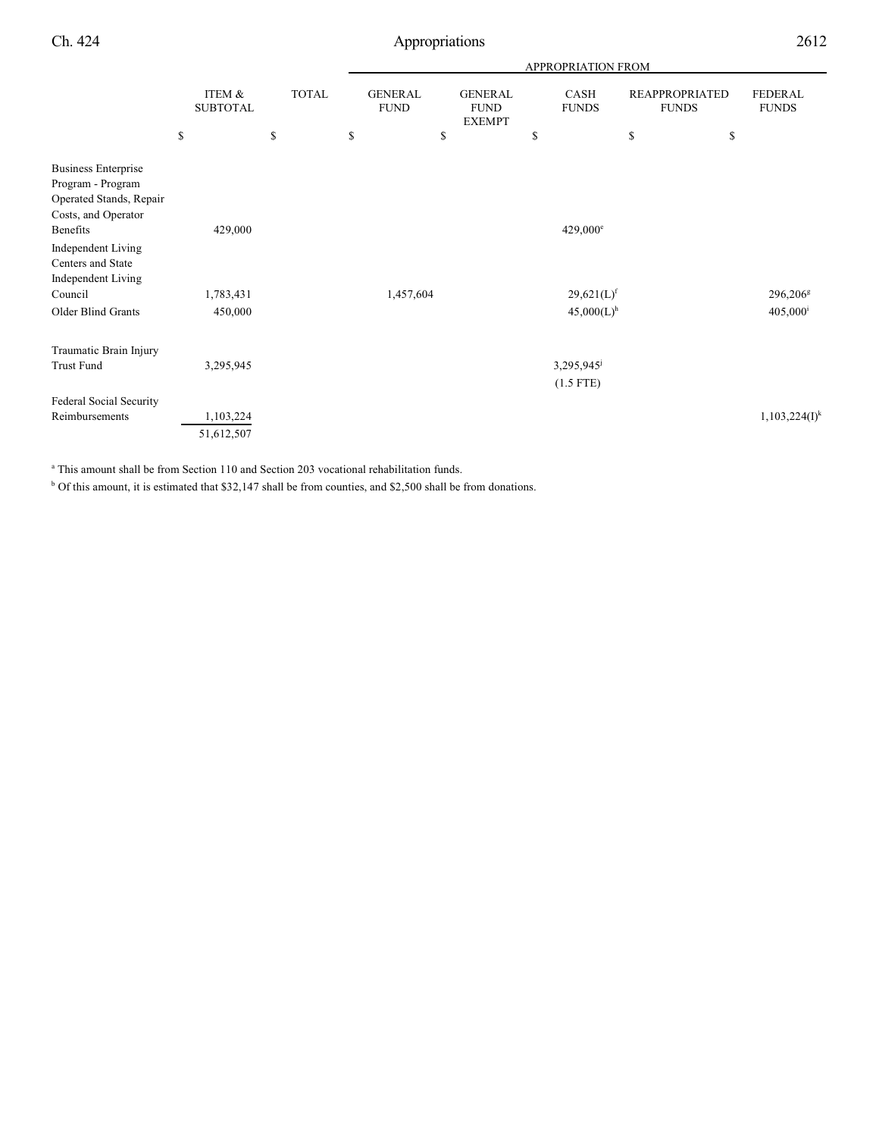|                                                |                                 |                    | <b>APPROPRIATION FROM</b>           |                                                      |                            |                                                   |                                |  |  |
|------------------------------------------------|---------------------------------|--------------------|-------------------------------------|------------------------------------------------------|----------------------------|---------------------------------------------------|--------------------------------|--|--|
|                                                | ITEM &<br><b>SUBTOTAL</b><br>\$ | <b>TOTAL</b><br>\$ | <b>GENERAL</b><br><b>FUND</b><br>\$ | <b>GENERAL</b><br><b>FUND</b><br><b>EXEMPT</b><br>\$ | CASH<br><b>FUNDS</b><br>\$ | <b>REAPPROPRIATED</b><br><b>FUNDS</b><br>\$<br>\$ | <b>FEDERAL</b><br><b>FUNDS</b> |  |  |
| <b>Business Enterprise</b>                     |                                 |                    |                                     |                                                      |                            |                                                   |                                |  |  |
| Program - Program                              |                                 |                    |                                     |                                                      |                            |                                                   |                                |  |  |
| Operated Stands, Repair<br>Costs, and Operator |                                 |                    |                                     |                                                      |                            |                                                   |                                |  |  |
| Benefits                                       | 429,000                         |                    |                                     |                                                      | $429,000^{\circ}$          |                                                   |                                |  |  |
| <b>Independent Living</b>                      |                                 |                    |                                     |                                                      |                            |                                                   |                                |  |  |
| Centers and State                              |                                 |                    |                                     |                                                      |                            |                                                   |                                |  |  |
| Independent Living                             |                                 |                    |                                     |                                                      |                            |                                                   |                                |  |  |
| Council                                        | 1,783,431                       |                    | 1,457,604                           |                                                      | $29,621(L)$ <sup>f</sup>   |                                                   | 296,206 <sup>g</sup>           |  |  |
| Older Blind Grants                             | 450,000                         |                    |                                     |                                                      | $45,000(L)$ <sup>h</sup>   |                                                   | $405,000^{\rm i}$              |  |  |
| Traumatic Brain Injury                         |                                 |                    |                                     |                                                      |                            |                                                   |                                |  |  |
| Trust Fund                                     | 3,295,945                       |                    |                                     |                                                      | 3,295,945                  |                                                   |                                |  |  |
|                                                |                                 |                    |                                     |                                                      | $(1.5$ FTE)                |                                                   |                                |  |  |
| Federal Social Security                        |                                 |                    |                                     |                                                      |                            |                                                   |                                |  |  |
| Reimbursements                                 | 1,103,224                       |                    |                                     |                                                      |                            |                                                   | $1,103,224(I)^k$               |  |  |
|                                                | 51,612,507                      |                    |                                     |                                                      |                            |                                                   |                                |  |  |

<sup>a</sup> This amount shall be from Section 110 and Section 203 vocational rehabilitation funds.

 $b$  Of this amount, it is estimated that \$32,147 shall be from counties, and \$2,500 shall be from donations.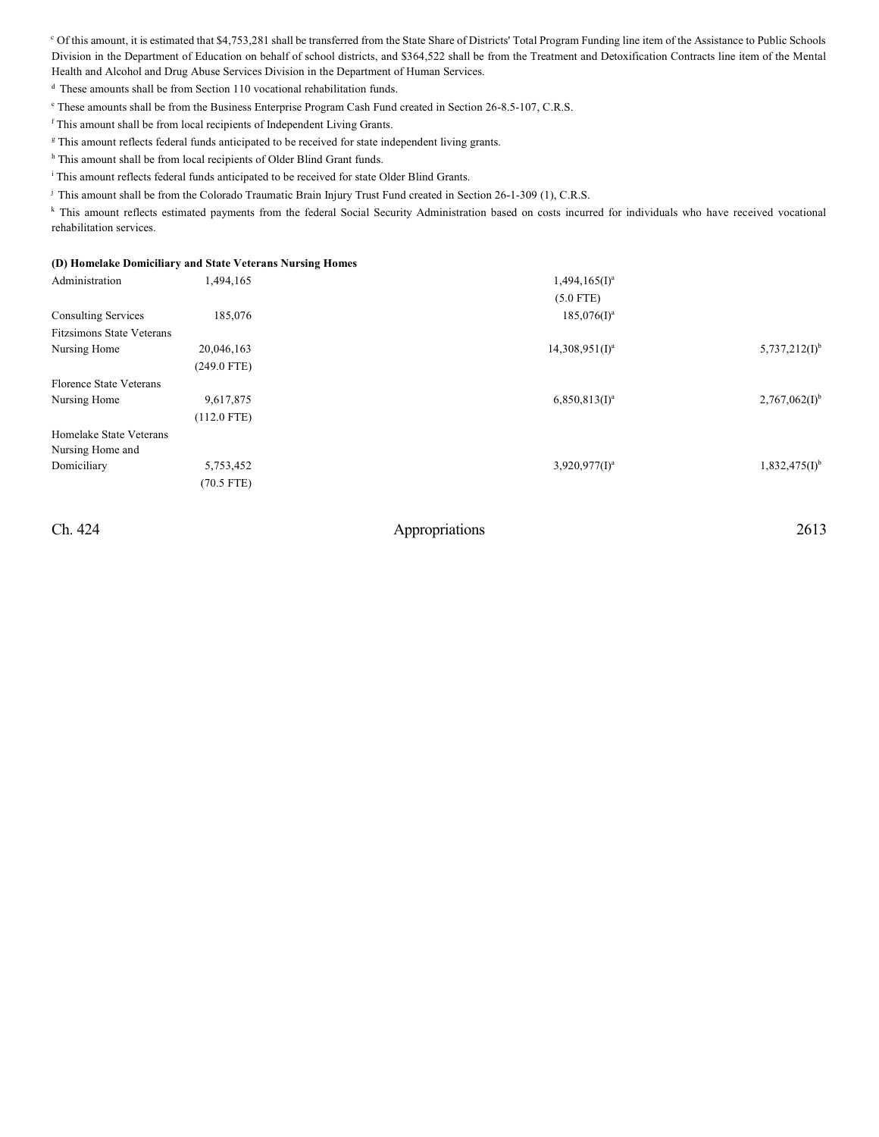<sup>c</sup> Of this amount, it is estimated that \$4,753,281 shall be transferred from the State Share of Districts' Total Program Funding line item of the Assistance to Public Schools Division in the Department of Education on behalf of school districts, and \$364,522 shall be from the Treatment and Detoxification Contracts line item of the Mental Health and Alcohol and Drug Abuse Services Division in the Department of Human Services.

<sup>d</sup> These amounts shall be from Section 110 vocational rehabilitation funds.

<sup>e</sup> These amounts shall be from the Business Enterprise Program Cash Fund created in Section 26-8.5-107, C.R.S.

<sup>f</sup> This amount shall be from local recipients of Independent Living Grants.

<sup>g</sup> This amount reflects federal funds anticipated to be received for state independent living grants.

<sup>h</sup> This amount shall be from local recipients of Older Blind Grant funds.

<sup>i</sup> This amount reflects federal funds anticipated to be received for state Older Blind Grants.

<sup>j</sup> This amount shall be from the Colorado Traumatic Brain Injury Trust Fund created in Section 26-1-309 (1), C.R.S.

k This amount reflects estimated payments from the federal Social Security Administration based on costs incurred for individuals who have received vocational rehabilitation services.

### **(D) Homelake Domiciliary and State Veterans Nursing Homes**

| Administration                   | 1,494,165     | $1,494,165(I)^a$  |                    |
|----------------------------------|---------------|-------------------|--------------------|
|                                  |               | $(5.0$ FTE)       |                    |
| <b>Consulting Services</b>       | 185,076       | $185,076(1)^a$    |                    |
| <b>Fitzsimons State Veterans</b> |               |                   |                    |
| Nursing Home                     | 20,046,163    | $14,308,951(I)^a$ | $5,737,212(I)^{b}$ |
|                                  | $(249.0$ FTE) |                   |                    |
| Florence State Veterans          |               |                   |                    |
| Nursing Home                     | 9,617,875     | $6,850,813(1)^a$  | $2,767,062(I)^{b}$ |
|                                  | $(112.0$ FTE) |                   |                    |
| Homelake State Veterans          |               |                   |                    |
| Nursing Home and                 |               |                   |                    |
| Domiciliary                      | 5,753,452     | $3,920,977(1)^a$  | $1,832,475(I)^{b}$ |
|                                  | $(70.5$ FTE)  |                   |                    |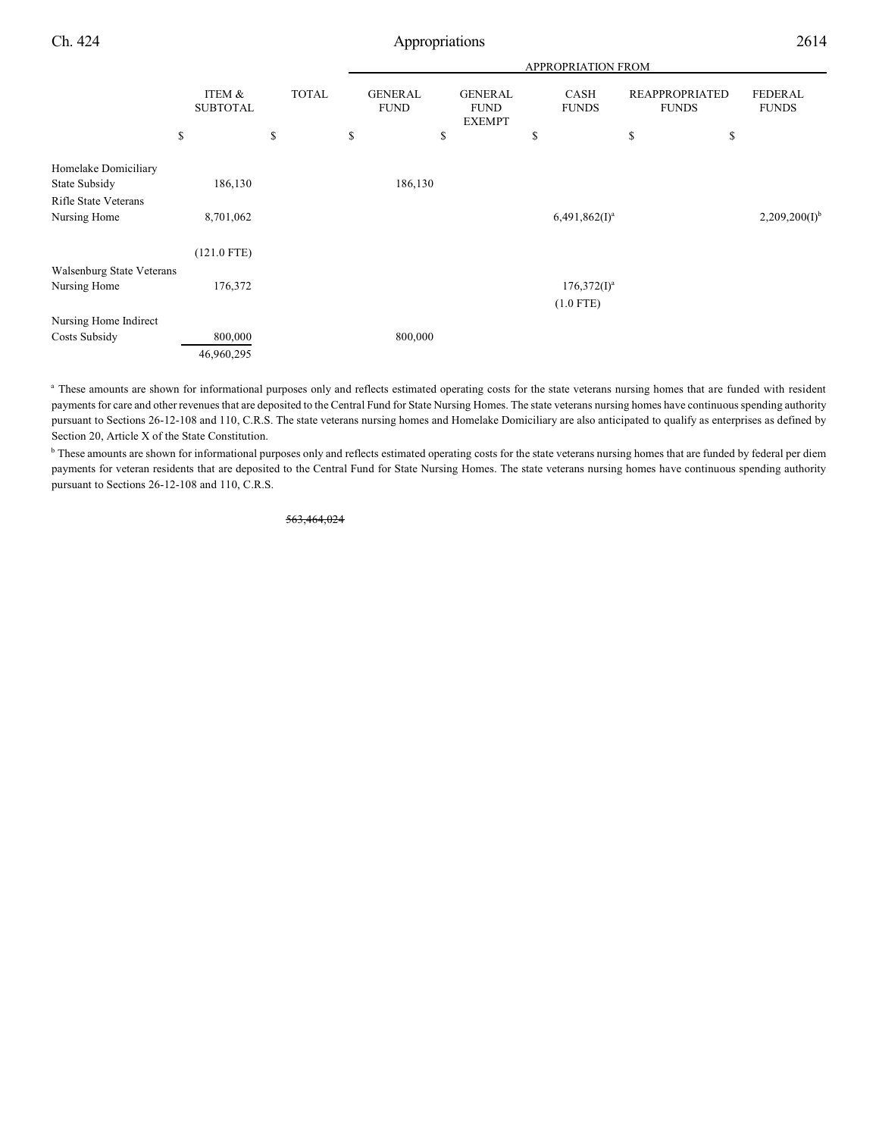|                                                               |                           |              | <b>APPROPRIATION FROM</b> |                               |    |                                                |    |                               |                                       |                                |
|---------------------------------------------------------------|---------------------------|--------------|---------------------------|-------------------------------|----|------------------------------------------------|----|-------------------------------|---------------------------------------|--------------------------------|
|                                                               | ITEM &<br><b>SUBTOTAL</b> | <b>TOTAL</b> |                           | <b>GENERAL</b><br><b>FUND</b> |    | <b>GENERAL</b><br><b>FUND</b><br><b>EXEMPT</b> |    | CASH<br><b>FUNDS</b>          | <b>REAPPROPRIATED</b><br><b>FUNDS</b> | <b>FEDERAL</b><br><b>FUNDS</b> |
|                                                               | \$                        | \$           | \$                        |                               | \$ |                                                | \$ |                               | \$<br>\$                              |                                |
| Homelake Domiciliary<br>State Subsidy<br>Rifle State Veterans | 186,130                   |              |                           | 186,130                       |    |                                                |    |                               |                                       |                                |
| Nursing Home                                                  | 8,701,062                 |              |                           |                               |    |                                                |    | $6,491,862(1)^a$              |                                       | $2,209,200(I)^{b}$             |
|                                                               | $(121.0$ FTE)             |              |                           |                               |    |                                                |    |                               |                                       |                                |
| Walsenburg State Veterans<br>Nursing Home                     | 176,372                   |              |                           |                               |    |                                                |    | $176,372(I)^a$<br>$(1.0$ FTE) |                                       |                                |
| Nursing Home Indirect<br>Costs Subsidy                        | 800,000                   |              |                           | 800,000                       |    |                                                |    |                               |                                       |                                |
|                                                               | 46,960,295                |              |                           |                               |    |                                                |    |                               |                                       |                                |

<sup>a</sup> These amounts are shown for informational purposes only and reflects estimated operating costs for the state veterans nursing homes that are funded with resident payments for care and other revenues that are deposited to the Central Fund for State Nursing Homes. The state veterans nursing homes have continuous spending authority pursuant to Sections 26-12-108 and 110, C.R.S. The state veterans nursing homes and Homelake Domiciliary are also anticipated to qualify as enterprises as defined by Section 20, Article X of the State Constitution.

<sup>b</sup> These amounts are shown for informational purposes only and reflects estimated operating costs for the state veterans nursing homes that are funded by federal per diem payments for veteran residents that are deposited to the Central Fund for State Nursing Homes. The state veterans nursing homes have continuous spending authority pursuant to Sections 26-12-108 and 110, C.R.S.

563,464,024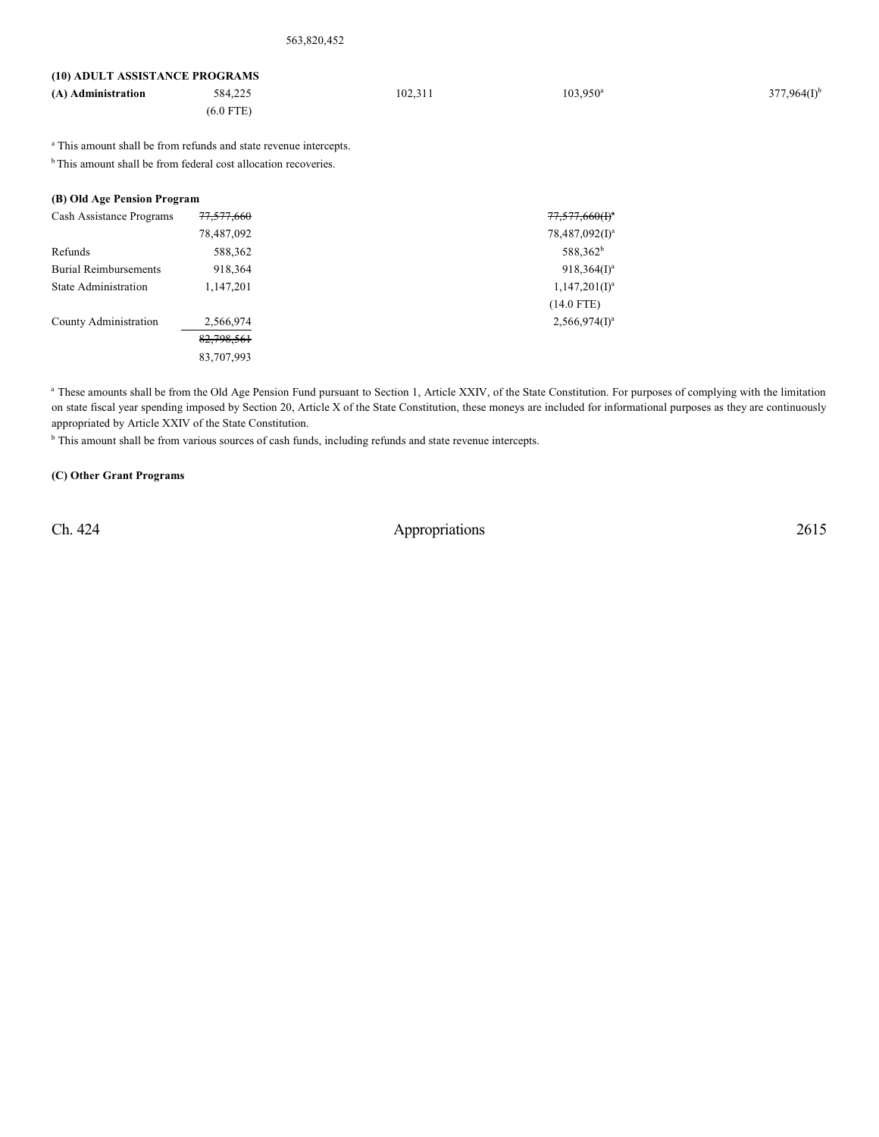| (10) ADULT ASSISTANCE PROGRAMS |             |         |                   |                  |
|--------------------------------|-------------|---------|-------------------|------------------|
| (A) Administration             | 584.225     | 102.311 | $103.950^{\circ}$ | $377,964(I)^{b}$ |
|                                | $(6.0$ FTE) |         |                   |                  |
|                                |             |         |                   |                  |

<sup>a</sup> This amount shall be from refunds and state revenue intercepts.

 $<sup>b</sup>$  This amount shall be from federal cost allocation recoveries.</sup>

## **(B) Old Age Pension Program**

| Cash Assistance Programs     | 77,577,660 | $77,577,660(f)^*$          |
|------------------------------|------------|----------------------------|
|                              | 78,487,092 | 78,487,092(I) <sup>a</sup> |
| Refunds                      | 588,362    | 588,362 <sup>b</sup>       |
| <b>Burial Reimbursements</b> | 918,364    | $918,364(1)^a$             |
| <b>State Administration</b>  | 1,147,201  | $1,147,201(1)^a$           |
|                              |            | $(14.0$ FTE)               |
| County Administration        | 2,566,974  | $2,566,974(I)^a$           |
|                              | 82,798,561 |                            |
|                              | 83,707,993 |                            |
|                              |            |                            |

<sup>a</sup> These amounts shall be from the Old Age Pension Fund pursuant to Section 1, Article XXIV, of the State Constitution. For purposes of complying with the limitation on state fiscal year spending imposed by Section 20, Article X of the State Constitution, these moneys are included for informational purposes as they are continuously appropriated by Article XXIV of the State Constitution.

<sup>b</sup> This amount shall be from various sources of cash funds, including refunds and state revenue intercepts.

### **(C) Other Grant Programs**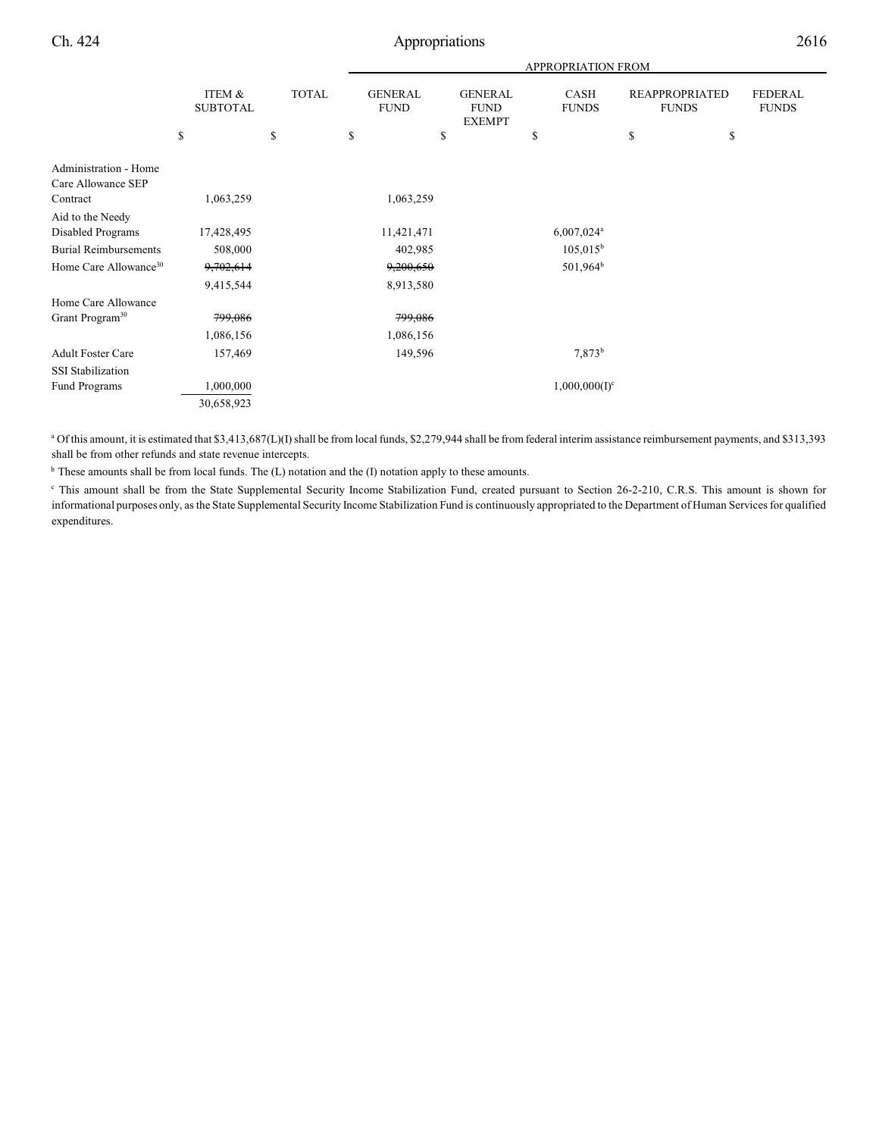|                                   |                           |              | <b>APPROPRIATION FROM</b>     |                                                |                             |                                       |                                |  |
|-----------------------------------|---------------------------|--------------|-------------------------------|------------------------------------------------|-----------------------------|---------------------------------------|--------------------------------|--|
|                                   | ITEM &<br><b>SUBTOTAL</b> | <b>TOTAL</b> | <b>GENERAL</b><br><b>FUND</b> | <b>GENERAL</b><br><b>FUND</b><br><b>EXEMPT</b> | <b>CASH</b><br><b>FUNDS</b> | <b>REAPPROPRIATED</b><br><b>FUNDS</b> | <b>FEDERAL</b><br><b>FUNDS</b> |  |
|                                   | \$                        | \$           | \$                            | \$                                             | \$                          | \$                                    | \$                             |  |
| Administration - Home             |                           |              |                               |                                                |                             |                                       |                                |  |
| Care Allowance SEP                |                           |              |                               |                                                |                             |                                       |                                |  |
| Contract                          | 1,063,259                 |              | 1,063,259                     |                                                |                             |                                       |                                |  |
| Aid to the Needy                  |                           |              |                               |                                                |                             |                                       |                                |  |
| Disabled Programs                 | 17,428,495                |              | 11,421,471                    |                                                | $6,007,024$ <sup>a</sup>    |                                       |                                |  |
| <b>Burial Reimbursements</b>      | 508,000                   |              | 402,985                       |                                                | $105,015^{\rm b}$           |                                       |                                |  |
| Home Care Allowance <sup>30</sup> | 9,702,614                 |              | 9,200,650                     |                                                | 501,964 <sup>b</sup>        |                                       |                                |  |
|                                   | 9,415,544                 |              | 8,913,580                     |                                                |                             |                                       |                                |  |
| Home Care Allowance               |                           |              |                               |                                                |                             |                                       |                                |  |
| Grant Program <sup>30</sup>       | 799,086                   |              | 799,086                       |                                                |                             |                                       |                                |  |
|                                   | 1,086,156                 |              | 1,086,156                     |                                                |                             |                                       |                                |  |
| <b>Adult Foster Care</b>          | 157,469                   |              | 149,596                       |                                                | $7,873^b$                   |                                       |                                |  |
| <b>SSI</b> Stabilization          |                           |              |                               |                                                |                             |                                       |                                |  |
| <b>Fund Programs</b>              | 1,000,000                 |              |                               |                                                | $1,000,000(I)^c$            |                                       |                                |  |
|                                   | 30,658,923                |              |                               |                                                |                             |                                       |                                |  |

<sup>a</sup> Of this amount, it is estimated that \$3,413,687(L)(I) shall be from local funds, \$2,279,944 shall be from federal interim assistance reimbursement payments, and \$313,393 shall be from other refunds and state revenue intercepts.

 $<sup>b</sup>$  These amounts shall be from local funds. The (L) notation and the (I) notation apply to these amounts.</sup>

<sup>e</sup> This amount shall be from the State Supplemental Security Income Stabilization Fund, created pursuant to Section 26-2-210, C.R.S. This amount is shown for informational purposes only, as the State Supplemental Security Income Stabilization Fund is continuously appropriated to the Department of Human Services for qualified expenditures.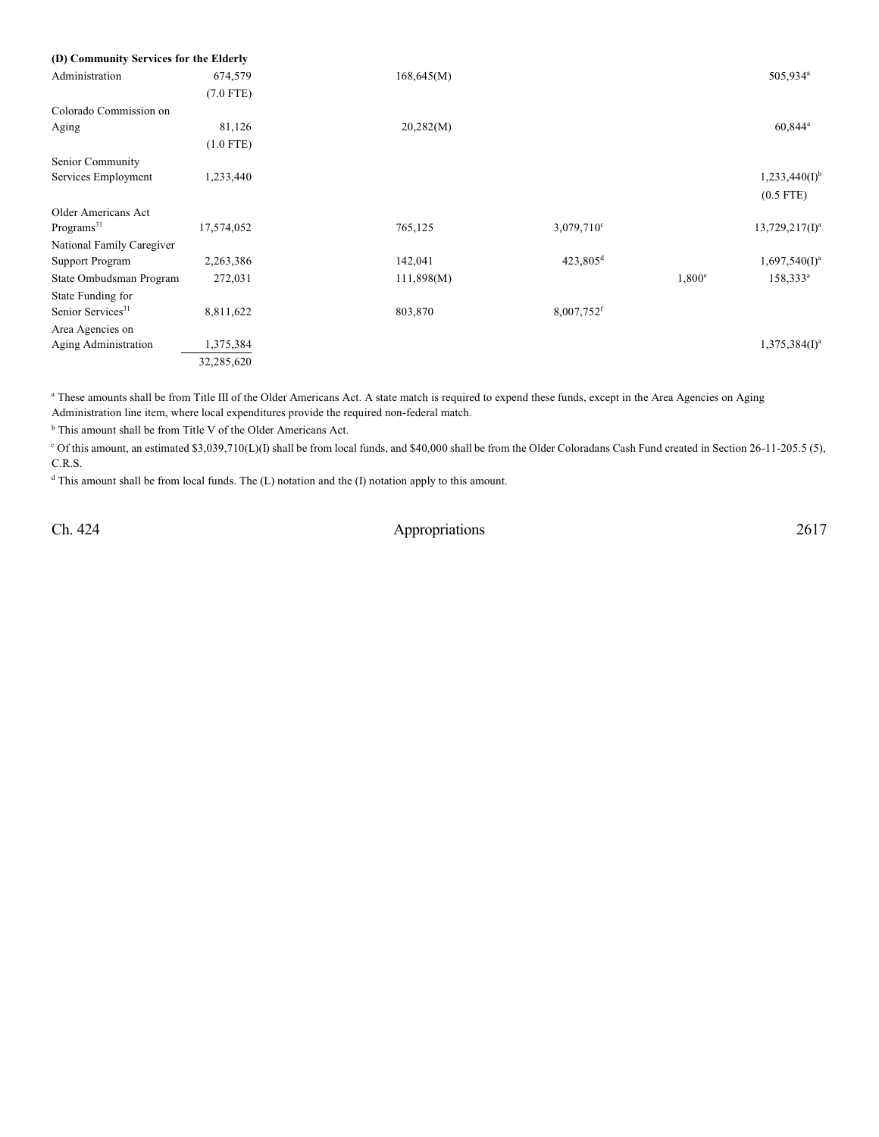| (D) Community Services for the Elderly |             |            |                          |               |                      |
|----------------------------------------|-------------|------------|--------------------------|---------------|----------------------|
| Administration                         | 674,579     | 168,645(M) |                          |               | 505,934 <sup>a</sup> |
|                                        | $(7.0$ FTE) |            |                          |               |                      |
| Colorado Commission on                 |             |            |                          |               |                      |
| Aging                                  | 81,126      | 20,282(M)  |                          |               | 60,844 <sup>a</sup>  |
|                                        | $(1.0$ FTE) |            |                          |               |                      |
| Senior Community                       |             |            |                          |               |                      |
| Services Employment                    | 1,233,440   |            |                          |               | $1,233,440(I)^{b}$   |
|                                        |             |            |                          |               | $(0.5$ FTE)          |
| Older Americans Act                    |             |            |                          |               |                      |
| Programs <sup>31</sup>                 | 17,574,052  | 765,125    | $3,079,710^{\circ}$      |               | $13,729,217(1)^a$    |
| National Family Caregiver              |             |            |                          |               |                      |
| <b>Support Program</b>                 | 2,263,386   | 142,041    | 423,805 <sup>d</sup>     |               | $1,697,540(I)^a$     |
| State Ombudsman Program                | 272,031     | 111,898(M) |                          | $1,800^\circ$ | $158,333^a$          |
| State Funding for                      |             |            |                          |               |                      |
| Senior Services <sup>31</sup>          | 8,811,622   | 803,870    | $8,007,752$ <sup>f</sup> |               |                      |
| Area Agencies on                       |             |            |                          |               |                      |
| Aging Administration                   | 1,375,384   |            |                          |               | $1,375,384(I)^a$     |
|                                        | 32,285,620  |            |                          |               |                      |
|                                        |             |            |                          |               |                      |

<sup>a</sup> These amounts shall be from Title III of the Older Americans Act. A state match is required to expend these funds, except in the Area Agencies on Aging Administration line item, where local expenditures provide the required non-federal match.

 $<sup>b</sup>$  This amount shall be from Title V of the Older Americans Act.</sup>

 $\degree$  Of this amount, an estimated \$3,039,710(L)(I) shall be from local funds, and \$40,000 shall be from the Older Coloradans Cash Fund created in Section 26-11-205.5 (5), C.R.S.

 $d$  This amount shall be from local funds. The  $(L)$  notation and the  $(I)$  notation apply to this amount.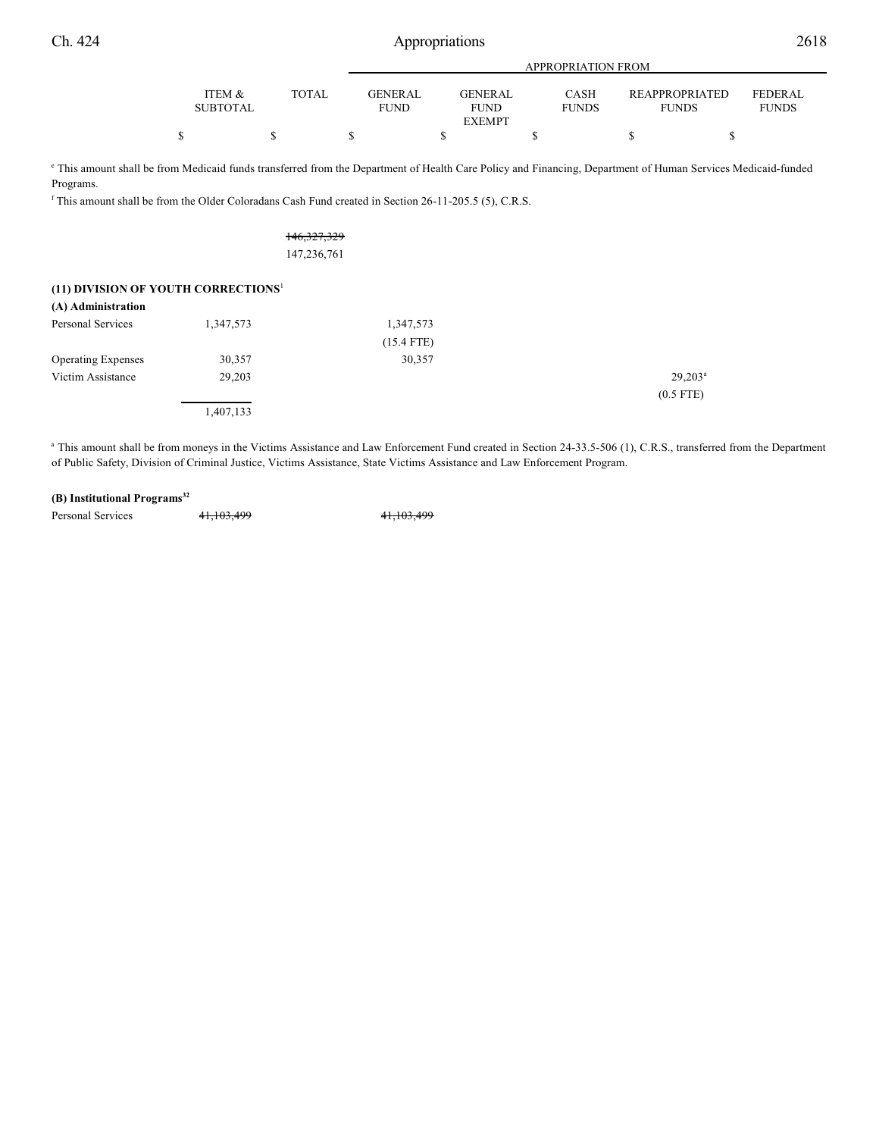|--|--|

|                 |              |                | APPROPRIATION FROM |              |                       |                |  |  |  |
|-----------------|--------------|----------------|--------------------|--------------|-----------------------|----------------|--|--|--|
|                 |              |                |                    |              |                       |                |  |  |  |
| ITEM &          | <b>TOTAL</b> | <b>GENERAL</b> | <b>GENERAL</b>     | <b>CASH</b>  | <b>REAPPROPRIATED</b> | <b>FEDERAL</b> |  |  |  |
| <b>SUBTOTAL</b> |              | <b>FUND</b>    | <b>FUND</b>        | <b>FUNDS</b> | <b>FUNDS</b>          | <b>FUNDS</b>   |  |  |  |
|                 |              |                | <b>EXEMPT</b>      |              |                       |                |  |  |  |
|                 |              |                |                    |              |                       |                |  |  |  |

<sup>e</sup> This amount shall be from Medicaid funds transferred from the Department of Health Care Policy and Financing, Department of Human Services Medicaid-funded Programs.

 $f$ This amount shall be from the Older Coloradans Cash Fund created in Section 26-11-205.5 (5), C.R.S.

| 146, 327, 329 |
|---------------|
| 147,236,761   |

## **(11) DIVISION OF YOUTH CORRECTIONS**<sup>1</sup>

| (A) Administration        |           |              |                  |
|---------------------------|-----------|--------------|------------------|
| Personal Services         | 1,347,573 | 1,347,573    |                  |
|                           |           | $(15.4$ FTE) |                  |
| <b>Operating Expenses</b> | 30,357    | 30,357       |                  |
| Victim Assistance         | 29,203    |              | $29.203^{\circ}$ |
|                           |           |              | $(0.5$ FTE)      |
|                           | 1,407,133 |              |                  |

<sup>a</sup> This amount shall be from moneys in the Victims Assistance and Law Enforcement Fund created in Section 24-33.5-506 (1), C.R.S., transferred from the Department of Public Safety, Division of Criminal Justice, Victims Assistance, State Victims Assistance and Law Enforcement Program.

#### **(B) Institutional Programs 32**

Personal Services 41,103,499 41,103,499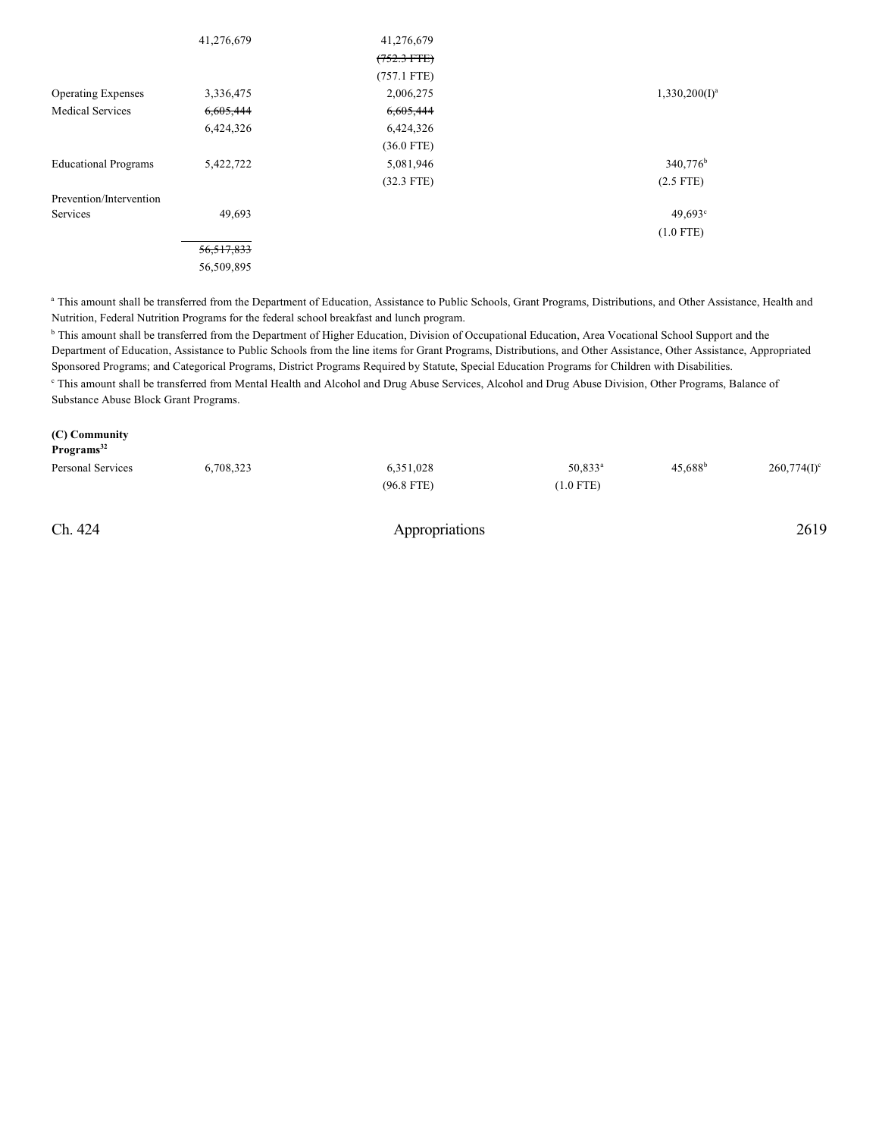|                             | 41,276,679   | 41,276,679    |                      |
|-----------------------------|--------------|---------------|----------------------|
|                             |              | $(752.3$ FTE) |                      |
|                             |              | $(757.1$ FTE) |                      |
| <b>Operating Expenses</b>   | 3,336,475    | 2,006,275     | $1,330,200(I)^a$     |
| <b>Medical Services</b>     | 6,605,444    | 6,605,444     |                      |
|                             | 6,424,326    | 6,424,326     |                      |
|                             |              | $(36.0$ FTE)  |                      |
| <b>Educational Programs</b> | 5,422,722    | 5,081,946     | 340,776 <sup>b</sup> |
|                             |              | $(32.3$ FTE)  | $(2.5$ FTE)          |
| Prevention/Intervention     |              |               |                      |
| Services                    | 49,693       |               | $49,693$ °           |
|                             |              |               | $(1.0$ FTE)          |
|                             | 56, 517, 833 |               |                      |
|                             | 56,509,895   |               |                      |

<sup>a</sup> This amount shall be transferred from the Department of Education, Assistance to Public Schools, Grant Programs, Distributions, and Other Assistance, Health and Nutrition, Federal Nutrition Programs for the federal school breakfast and lunch program.

<sup>b</sup> This amount shall be transferred from the Department of Higher Education, Division of Occupational Education, Area Vocational School Support and the Department of Education, Assistance to Public Schools from the line items for Grant Programs, Distributions, and Other Assistance, Other Assistance, Appropriated Sponsored Programs; and Categorical Programs, District Programs Required by Statute, Special Education Programs for Children with Disabilities. <sup>c</sup> This amount shall be transferred from Mental Health and Alcohol and Drug Abuse Services, Alcohol and Drug Abuse Division, Other Programs, Balance of Substance Abuse Block Grant Programs.

#### **(C) Community**

| Programs <sup>32</sup> |           |              |             |                  |                |
|------------------------|-----------|--------------|-------------|------------------|----------------|
| Personal Services      | 6,708,323 | 6,351,028    | $50,833^a$  | $45,688^{\rm b}$ | $260,774(I)^c$ |
|                        |           | $(96.8$ FTE) | $(1.0$ FTE) |                  |                |
|                        |           |              |             |                  |                |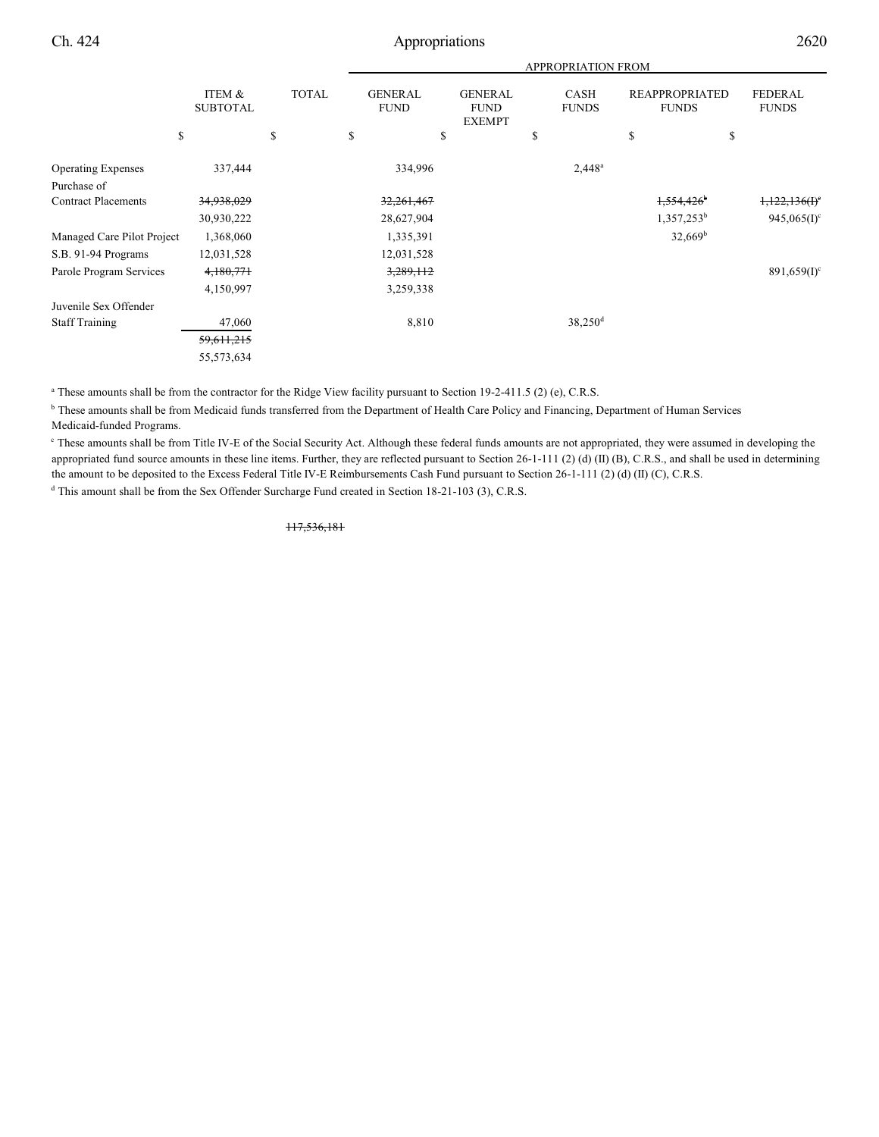|                            |                           |              |                               |                                                | <b>APPROPRIATION FROM</b>   |                                       |                                |
|----------------------------|---------------------------|--------------|-------------------------------|------------------------------------------------|-----------------------------|---------------------------------------|--------------------------------|
|                            | ITEM &<br><b>SUBTOTAL</b> | <b>TOTAL</b> | <b>GENERAL</b><br><b>FUND</b> | <b>GENERAL</b><br><b>FUND</b><br><b>EXEMPT</b> | <b>CASH</b><br><b>FUNDS</b> | <b>REAPPROPRIATED</b><br><b>FUNDS</b> | <b>FEDERAL</b><br><b>FUNDS</b> |
| \$                         |                           | \$           | \$                            | \$                                             | S                           | \$                                    | \$                             |
| <b>Operating Expenses</b>  | 337,444                   |              | 334,996                       |                                                | $2,448^a$                   |                                       |                                |
| Purchase of                |                           |              |                               |                                                |                             |                                       |                                |
| <b>Contract Placements</b> | 34,938,029                |              | 32,261,467                    |                                                |                             | 1,554,426                             | 1,122,136(f)                   |
|                            | 30,930,222                |              | 28,627,904                    |                                                |                             | $1,357,253^b$                         | $945,065(I)^c$                 |
| Managed Care Pilot Project | 1,368,060                 |              | 1,335,391                     |                                                |                             | $32,669^b$                            |                                |
| S.B. 91-94 Programs        | 12,031,528                |              | 12,031,528                    |                                                |                             |                                       |                                |
| Parole Program Services    | 4,180,771                 |              | 3,289,112                     |                                                |                             |                                       | $891,659(1)$ <sup>c</sup>      |
|                            | 4,150,997                 |              | 3,259,338                     |                                                |                             |                                       |                                |
| Juvenile Sex Offender      |                           |              |                               |                                                |                             |                                       |                                |
| <b>Staff Training</b>      | 47,060                    |              | 8,810                         |                                                | $38,250$ <sup>d</sup>       |                                       |                                |
|                            | 59,611,215                |              |                               |                                                |                             |                                       |                                |
|                            | 55,573,634                |              |                               |                                                |                             |                                       |                                |
|                            |                           |              |                               |                                                |                             |                                       |                                |

<sup>a</sup> These amounts shall be from the contractor for the Ridge View facility pursuant to Section 19-2-411.5 (2) (e), C.R.S.

<sup>b</sup> These amounts shall be from Medicaid funds transferred from the Department of Health Care Policy and Financing, Department of Human Services Medicaid-funded Programs.

These amounts shall be from Title IV-E of the Social Security Act. Although these federal funds amounts are not appropriated, they were assumed in developing the appropriated fund source amounts in these line items. Further, they are reflected pursuant to Section 26-1-111 (2) (d) (II) (B), C.R.S., and shall be used in determining the amount to be deposited to the Excess Federal Title IV-E Reimbursements Cash Fund pursuant to Section 26-1-111 (2) (d) (II) (C), C.R.S.

<sup>d</sup> This amount shall be from the Sex Offender Surcharge Fund created in Section 18-21-103 (3), C.R.S.

117,536,181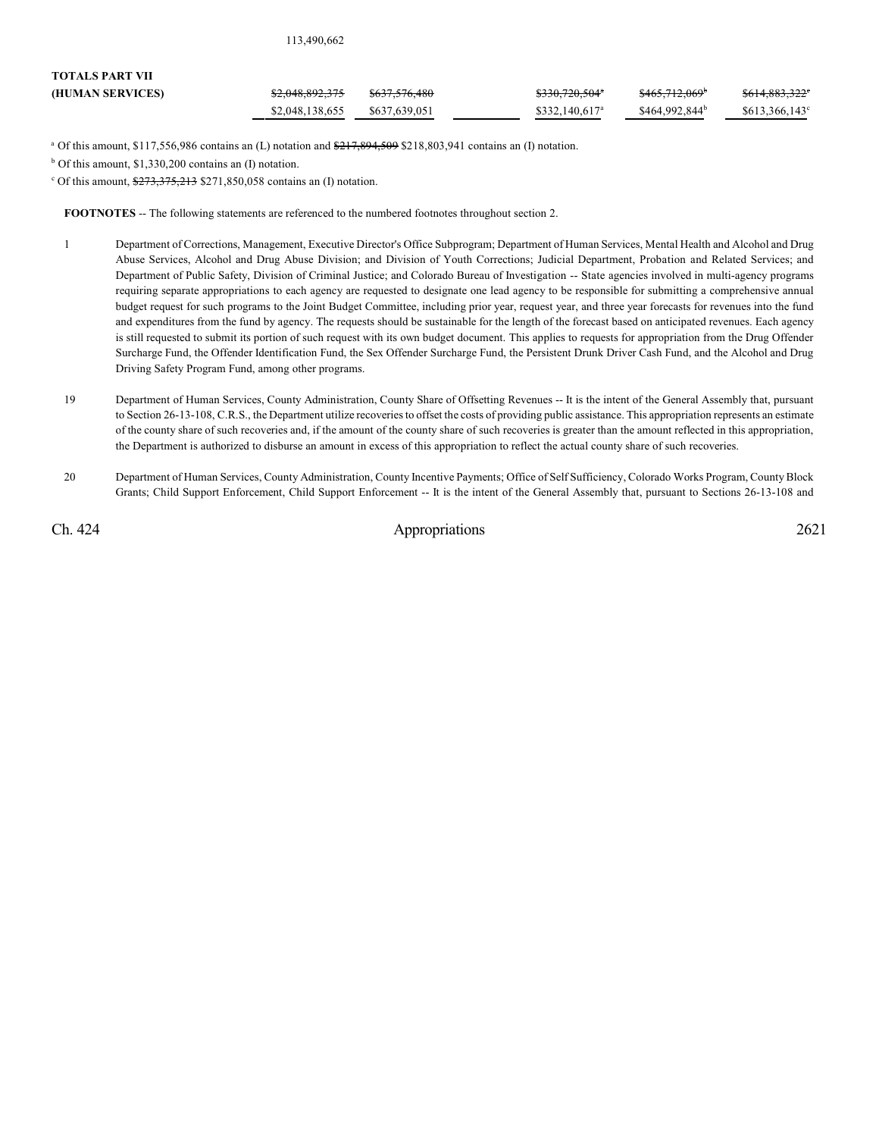| 113,490,662 |  |  |  |  |  |  |
|-------------|--|--|--|--|--|--|
|-------------|--|--|--|--|--|--|

| <b>TOTALS PART VII</b> |                            |                          |                            |                            |                        |
|------------------------|----------------------------|--------------------------|----------------------------|----------------------------|------------------------|
| (HUMAN SERVICES)       | <del>\$2,048,892,375</del> | <del>\$637.576.480</del> | <del>\$330,720,504</del> ° | <del>\$465.712.069</del>   | \$614,883,322°         |
|                        | \$2,048,138,655            | \$637,639,051            | \$332.140.617 <sup>a</sup> | \$464,992,844 <sup>b</sup> | $$613,366,143^{\circ}$ |

<sup>a</sup> Of this amount, \$117,556,986 contains an (L) notation and  $\frac{217,894,599,5218,803,941}{217,894,509,803,941}$ 

 $b$  Of this amount, \$1,330,200 contains an (I) notation.

 $\text{C}$  Of this amount,  $\frac{273,375,213}{273,375,213}$  \$271,850,058 contains an (I) notation.

**FOOTNOTES** -- The following statements are referenced to the numbered footnotes throughout section 2.

- 1 Department of Corrections, Management, Executive Director's Office Subprogram; Department of Human Services, Mental Health and Alcohol and Drug Abuse Services, Alcohol and Drug Abuse Division; and Division of Youth Corrections; Judicial Department, Probation and Related Services; and Department of Public Safety, Division of Criminal Justice; and Colorado Bureau of Investigation -- State agencies involved in multi-agency programs requiring separate appropriations to each agency are requested to designate one lead agency to be responsible for submitting a comprehensive annual budget request for such programs to the Joint Budget Committee, including prior year, request year, and three year forecasts for revenues into the fund and expenditures from the fund by agency. The requests should be sustainable for the length of the forecast based on anticipated revenues. Each agency is still requested to submit its portion of such request with its own budget document. This applies to requests for appropriation from the Drug Offender Surcharge Fund, the Offender Identification Fund, the Sex Offender Surcharge Fund, the Persistent Drunk Driver Cash Fund, and the Alcohol and Drug Driving Safety Program Fund, among other programs.
- 19 Department of Human Services, County Administration, County Share of Offsetting Revenues -- It is the intent of the General Assembly that, pursuant to Section 26-13-108, C.R.S., the Department utilize recoveries to offset the costs of providing public assistance. This appropriation represents an estimate of the county share of such recoveries and, if the amount of the county share of such recoveries is greater than the amount reflected in this appropriation, the Department is authorized to disburse an amount in excess of this appropriation to reflect the actual county share of such recoveries.
- 20 Department of Human Services, County Administration, County Incentive Payments; Office of Self Sufficiency, Colorado Works Program, CountyBlock Grants; Child Support Enforcement, Child Support Enforcement -- It is the intent of the General Assembly that, pursuant to Sections 26-13-108 and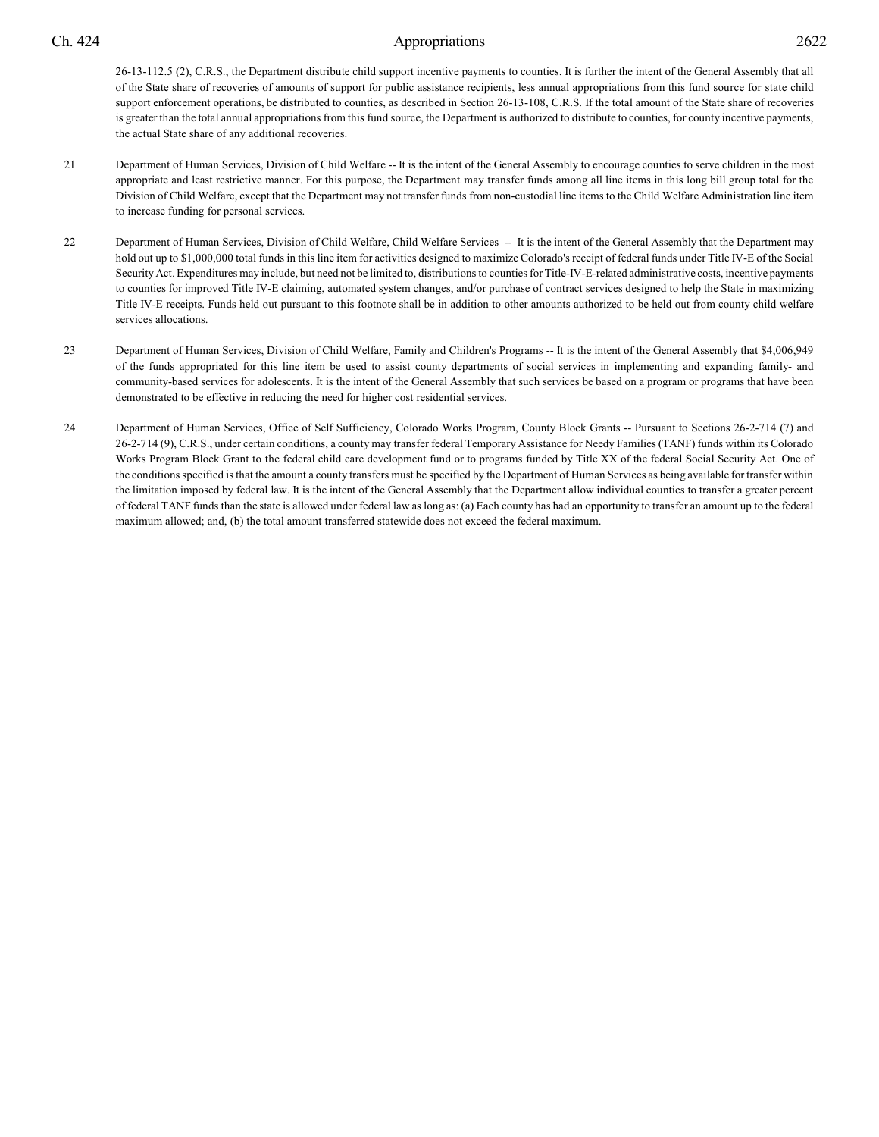26-13-112.5 (2), C.R.S., the Department distribute child support incentive payments to counties. It is further the intent of the General Assembly that all of the State share of recoveries of amounts of support for public assistance recipients, less annual appropriations from this fund source for state child support enforcement operations, be distributed to counties, as described in Section 26-13-108, C.R.S. If the total amount of the State share of recoveries is greater than the total annual appropriations from this fund source, the Department is authorized to distribute to counties, for county incentive payments, the actual State share of any additional recoveries.

- 21 Department of Human Services, Division of Child Welfare -- It is the intent of the General Assembly to encourage counties to serve children in the most appropriate and least restrictive manner. For this purpose, the Department may transfer funds among all line items in this long bill group total for the Division of Child Welfare, except that the Department may not transfer funds from non-custodial line items to the Child Welfare Administration line item to increase funding for personal services.
- 22 Department of Human Services, Division of Child Welfare, Child Welfare Services -- It is the intent of the General Assembly that the Department may hold out up to \$1,000,000 total funds in this line item for activities designed to maximize Colorado's receipt of federal funds under Title IV-E of the Social Security Act. Expenditures may include, but need not be limited to, distributions to counties for Title-IV-E-related administrative costs, incentive payments to counties for improved Title IV-E claiming, automated system changes, and/or purchase of contract services designed to help the State in maximizing Title IV-E receipts. Funds held out pursuant to this footnote shall be in addition to other amounts authorized to be held out from county child welfare services allocations.
- 23 Department of Human Services, Division of Child Welfare, Family and Children's Programs -- It is the intent of the General Assembly that \$4,006,949 of the funds appropriated for this line item be used to assist county departments of social services in implementing and expanding family- and community-based services for adolescents. It is the intent of the General Assembly that such services be based on a program or programs that have been demonstrated to be effective in reducing the need for higher cost residential services.
- 24 Department of Human Services, Office of Self Sufficiency, Colorado Works Program, County Block Grants -- Pursuant to Sections 26-2-714 (7) and 26-2-714 (9), C.R.S., under certain conditions, a county may transfer federal Temporary Assistance for Needy Families (TANF) funds within its Colorado Works Program Block Grant to the federal child care development fund or to programs funded by Title XX of the federal Social Security Act. One of the conditions specified is that the amount a county transfers must be specified by the Department of Human Services as being available for transfer within the limitation imposed by federal law. It is the intent of the General Assembly that the Department allow individual counties to transfer a greater percent of federal TANF funds than the state is allowed under federal law as long as: (a) Each county has had an opportunity to transfer an amount up to the federal maximum allowed; and, (b) the total amount transferred statewide does not exceed the federal maximum.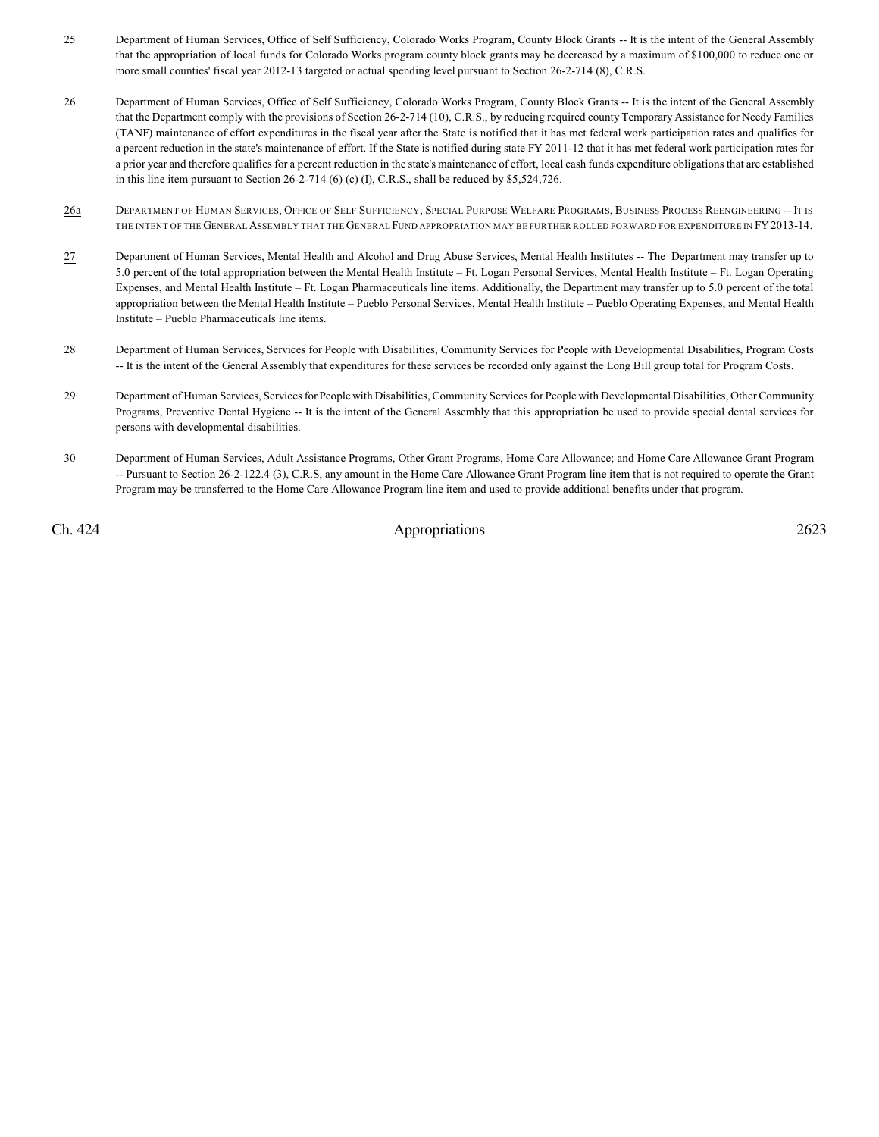- 25 Department of Human Services, Office of Self Sufficiency, Colorado Works Program, County Block Grants -- It is the intent of the General Assembly that the appropriation of local funds for Colorado Works program county block grants may be decreased by a maximum of \$100,000 to reduce one or more small counties' fiscal year 2012-13 targeted or actual spending level pursuant to Section 26-2-714 (8), C.R.S.
- 26 Department of Human Services, Office of Self Sufficiency, Colorado Works Program, County Block Grants -- It is the intent of the General Assembly that the Department comply with the provisions of Section 26-2-714 (10), C.R.S., by reducing required county Temporary Assistance for Needy Families (TANF) maintenance of effort expenditures in the fiscal year after the State is notified that it has met federal work participation rates and qualifies for a percent reduction in the state's maintenance of effort. If the State is notified during state FY 2011-12 that it has met federal work participation rates for a prior year and therefore qualifies for a percent reduction in the state's maintenance of effort, local cash funds expenditure obligations that are established in this line item pursuant to Section 26-2-714 (6) (c) (I), C.R.S., shall be reduced by \$5,524,726.
- 26a DEPARTMENT OF HUMAN SERVICES, OFFICE OF SELF SUFFICIENCY, SPECIAL PURPOSE WELFARE PROGRAMS, BUSINESS PROCESS REENGINEERING -- IT IS THE INTENT OF THE GENERAL ASSEMBLY THAT THE GENERAL FUND APPROPRIATION MAY BE FURTHER ROLLED FORWARD FOR EXPENDITURE IN FY2013-14.
- 27 Department of Human Services, Mental Health and Alcohol and Drug Abuse Services, Mental Health Institutes -- The Department may transfer up to 5.0 percent of the total appropriation between the Mental Health Institute – Ft. Logan Personal Services, Mental Health Institute – Ft. Logan Operating Expenses, and Mental Health Institute – Ft. Logan Pharmaceuticals line items. Additionally, the Department may transfer up to 5.0 percent of the total appropriation between the Mental Health Institute – Pueblo Personal Services, Mental Health Institute – Pueblo Operating Expenses, and Mental Health Institute – Pueblo Pharmaceuticals line items.
- 28 Department of Human Services, Services for People with Disabilities, Community Services for People with Developmental Disabilities, Program Costs -- It is the intent of the General Assembly that expenditures for these services be recorded only against the Long Bill group total for Program Costs.
- 29 Department of Human Services, Services for People with Disabilities, Community Services for People with Developmental Disabilities, Other Community Programs, Preventive Dental Hygiene -- It is the intent of the General Assembly that this appropriation be used to provide special dental services for persons with developmental disabilities.
- 30 Department of Human Services, Adult Assistance Programs, Other Grant Programs, Home Care Allowance; and Home Care Allowance Grant Program -- Pursuant to Section 26-2-122.4 (3), C.R.S, any amount in the Home Care Allowance Grant Program line item that is not required to operate the Grant Program may be transferred to the Home Care Allowance Program line item and used to provide additional benefits under that program.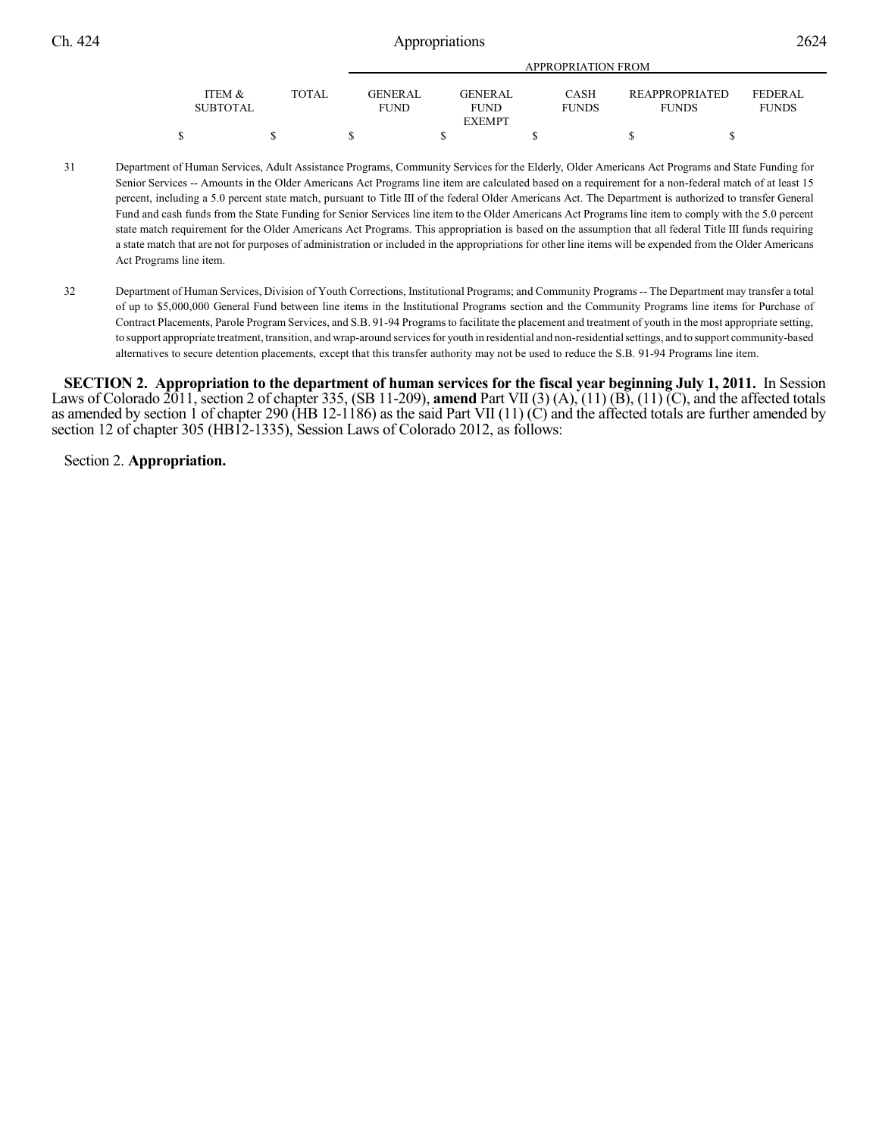|                           |        | APPROPRIATION FROM       |  |                        |  |                             |  |                                       |  |                          |  |
|---------------------------|--------|--------------------------|--|------------------------|--|-----------------------------|--|---------------------------------------|--|--------------------------|--|
| ITEM &<br><b>SUBTOTAL</b> | TOTAL. | GENER AL.<br><b>FUND</b> |  | <b>GENERAL</b><br>FUND |  | <b>CASH</b><br><b>FUNDS</b> |  | <b>REAPPROPRIATED</b><br><b>FUNDS</b> |  | FEDERAL.<br><b>FUNDS</b> |  |
|                           |        |                          |  | <b>EXEMPT</b>          |  |                             |  |                                       |  |                          |  |
|                           |        |                          |  |                        |  |                             |  |                                       |  |                          |  |

- 31 Department of Human Services, Adult Assistance Programs, Community Services for the Elderly, Older Americans Act Programs and State Funding for Senior Services -- Amounts in the Older Americans Act Programs line item are calculated based on a requirement for a non-federal match of at least 15 percent, including a 5.0 percent state match, pursuant to Title III of the federal Older Americans Act. The Department is authorized to transfer General Fund and cash funds from the State Funding for Senior Services line item to the Older Americans Act Programs line item to comply with the 5.0 percent state match requirement for the Older Americans Act Programs. This appropriation is based on the assumption that all federal Title III funds requiring a state match that are not for purposes of administration or included in the appropriations for other line items will be expended from the Older Americans Act Programs line item.
- 32 Department of Human Services, Division of Youth Corrections, Institutional Programs; and Community Programs -- The Department may transfer a total of up to \$5,000,000 General Fund between line items in the Institutional Programs section and the Community Programs line items for Purchase of Contract Placements, Parole Program Services, and S.B. 91-94 Programs to facilitate the placement and treatment of youth in the most appropriate setting, to support appropriate treatment, transition, and wrap-around services for youth in residential and non-residential settings, and to support community-based alternatives to secure detention placements, except that this transfer authority may not be used to reduce the S.B. 91-94 Programs line item.

**SECTION 2.** Appropriation to the department of human services for the fiscal year beginning July 1, 2011. In Session Laws of Colorado 2011, section 2 of chapter 335, (SB 11-209), **amend** Part VII (3) (A), (11) (B), (11) (C), and the affected totals as amended by section 1 of chapter 290 ( $\hat{H}B$  12-1186) as the said Part VII (11) (C) and the affected totals are further amended by section 12 of chapter 305 (HB12-1335), Session Laws of Colorado 2012, as follows:

Section 2. **Appropriation.**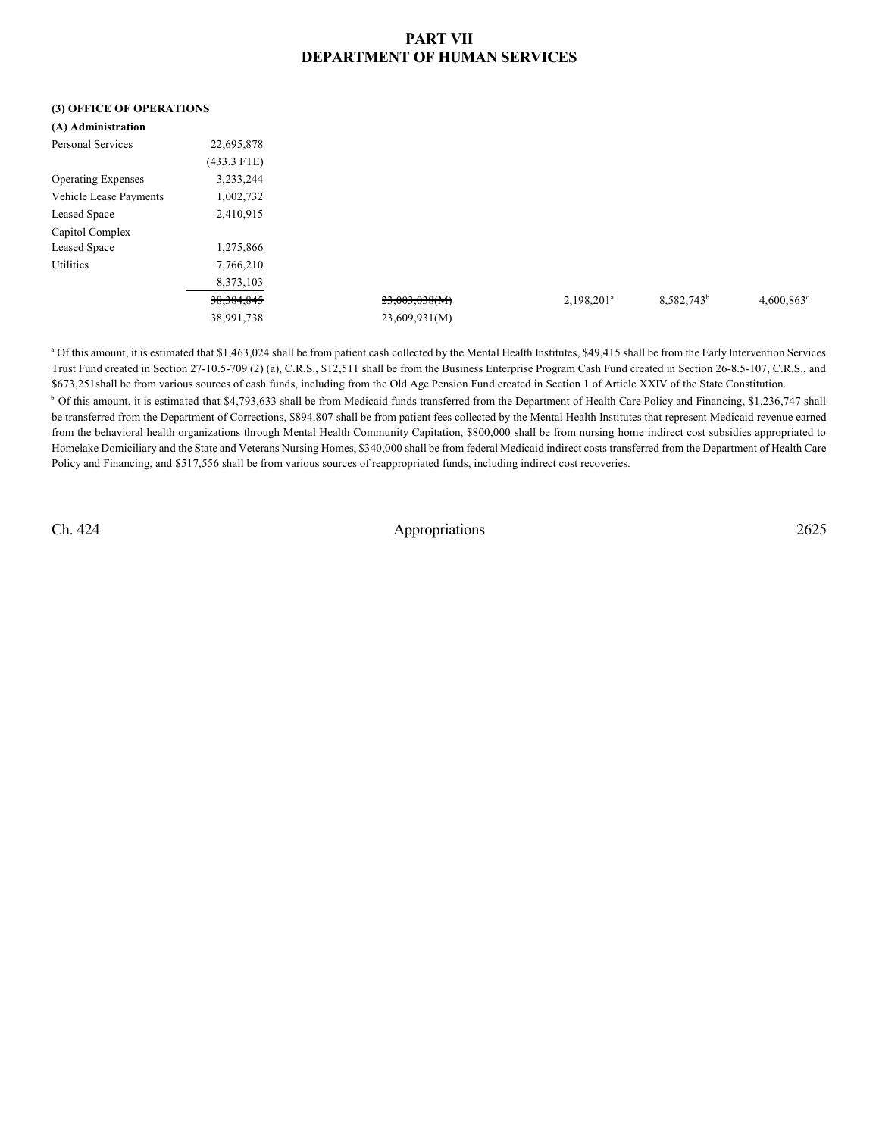## **PART VII DEPARTMENT OF HUMAN SERVICES**

### **(3) OFFICE OF OPERATIONS**

| (A) Administration        |               |               |               |                        |                     |
|---------------------------|---------------|---------------|---------------|------------------------|---------------------|
| <b>Personal Services</b>  | 22,695,878    |               |               |                        |                     |
|                           | $(433.3$ FTE) |               |               |                        |                     |
| <b>Operating Expenses</b> | 3,233,244     |               |               |                        |                     |
| Vehicle Lease Payments    | 1,002,732     |               |               |                        |                     |
| <b>Leased Space</b>       | 2,410,915     |               |               |                        |                     |
| Capitol Complex           |               |               |               |                        |                     |
| <b>Leased Space</b>       | 1,275,866     |               |               |                        |                     |
| Utilities                 | 7,766,210     |               |               |                        |                     |
|                           | 8,373,103     |               |               |                        |                     |
|                           | 38, 384, 845  | 23,003,038(M) | $2,198,201^a$ | 8,582,743 <sup>b</sup> | $4,600,863^{\circ}$ |
|                           | 38,991,738    | 23,609,931(M) |               |                        |                     |
|                           |               |               |               |                        |                     |

<sup>a</sup> Of this amount, it is estimated that \$1,463,024 shall be from patient cash collected by the Mental Health Institutes, \$49,415 shall be from the Early Intervention Services Trust Fund created in Section 27-10.5-709 (2) (a), C.R.S., \$12,511 shall be from the Business Enterprise Program Cash Fund created in Section 26-8.5-107, C.R.S., and \$673,251shall be from various sources of cash funds, including from the Old Age Pension Fund created in Section 1 of Article XXIV of the State Constitution.

<sup>b</sup> Of this amount, it is estimated that \$4,793,633 shall be from Medicaid funds transferred from the Department of Health Care Policy and Financing, \$1,236,747 shall be transferred from the Department of Corrections, \$894,807 shall be from patient fees collected by the Mental Health Institutes that represent Medicaid revenue earned from the behavioral health organizations through Mental Health Community Capitation, \$800,000 shall be from nursing home indirect cost subsidies appropriated to Homelake Domiciliary and the State and Veterans Nursing Homes, \$340,000 shall be from federal Medicaid indirect costs transferred from the Department of Health Care Policy and Financing, and \$517,556 shall be from various sources of reappropriated funds, including indirect cost recoveries.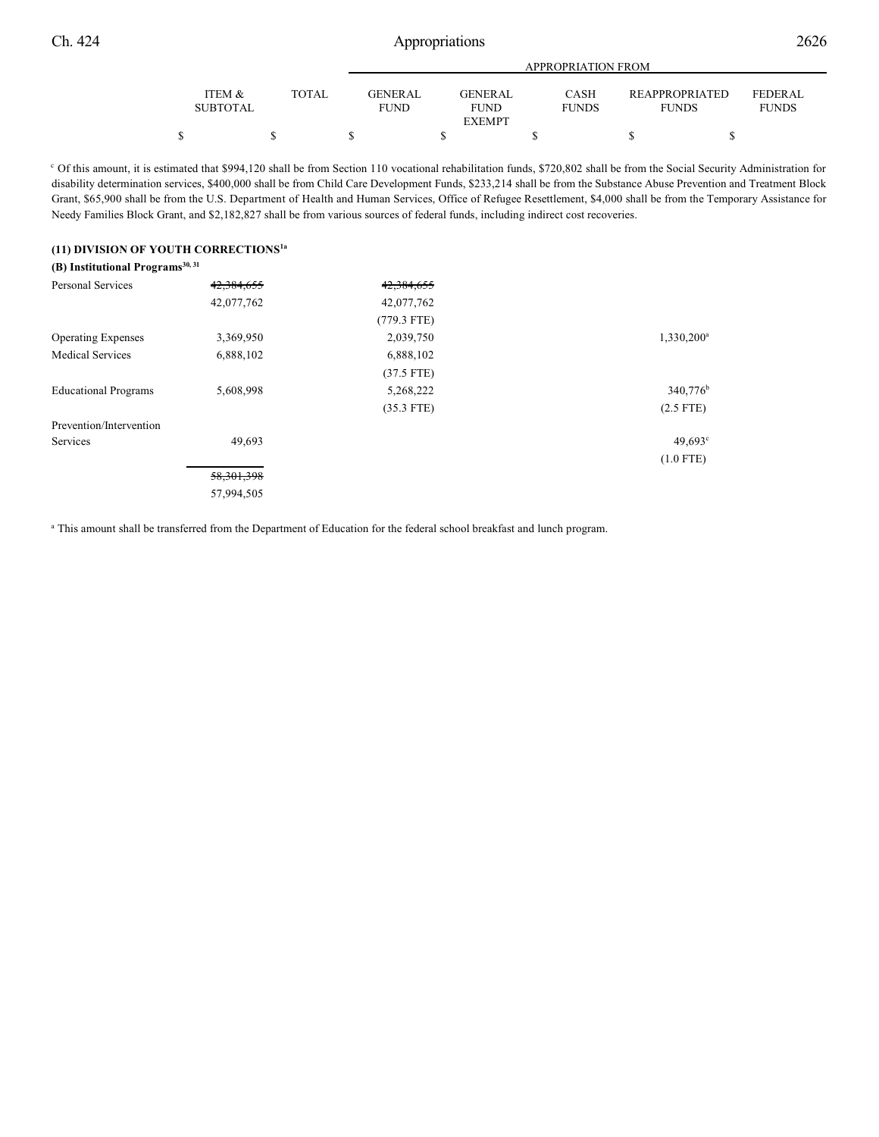|                 |       |                | APPROPRIATION FROM |              |                       |                |  |  |  |  |
|-----------------|-------|----------------|--------------------|--------------|-----------------------|----------------|--|--|--|--|
|                 |       |                |                    |              |                       |                |  |  |  |  |
| ITEM &          | TOTAL | <b>GENERAL</b> | <b>GENERAL</b>     | CASH         | <b>REAPPROPRIATED</b> | <b>FEDERAL</b> |  |  |  |  |
| <b>SUBTOTAL</b> |       | <b>FUND</b>    | <b>FUND</b>        | <b>FUNDS</b> | <b>FUNDS</b>          | <b>FUNDS</b>   |  |  |  |  |
| <b>EXEMPT</b>   |       |                |                    |              |                       |                |  |  |  |  |
|                 |       |                |                    |              |                       |                |  |  |  |  |

<sup>c</sup> Of this amount, it is estimated that \$994,120 shall be from Section 110 vocational rehabilitation funds, \$720,802 shall be from the Social Security Administration for disability determination services, \$400,000 shall be from Child Care Development Funds, \$233,214 shall be from the Substance Abuse Prevention and Treatment Block Grant, \$65,900 shall be from the U.S. Department of Health and Human Services, Office of Refugee Resettlement, \$4,000 shall be from the Temporary Assistance for Needy Families Block Grant, and \$2,182,827 shall be from various sources of federal funds, including indirect cost recoveries.

### **(11) DIVISION OF YOUTH CORRECTIONS1a**

| (B) Institutional Programs <sup>30, 31</sup> |              |               |                      |
|----------------------------------------------|--------------|---------------|----------------------|
| <b>Personal Services</b>                     | 42,384,655   | 42,384,655    |                      |
|                                              | 42,077,762   | 42,077,762    |                      |
|                                              |              | $(779.3$ FTE) |                      |
| <b>Operating Expenses</b>                    | 3,369,950    | 2,039,750     | $1,330,200^a$        |
| <b>Medical Services</b>                      | 6,888,102    | 6,888,102     |                      |
|                                              |              | $(37.5$ FTE)  |                      |
| <b>Educational Programs</b>                  | 5,608,998    | 5,268,222     | 340,776 <sup>b</sup> |
|                                              |              | $(35.3$ FTE)  | $(2.5$ FTE)          |
| Prevention/Intervention                      |              |               |                      |
| <b>Services</b>                              | 49,693       |               | 49.693c              |
|                                              |              |               | $(1.0$ FTE)          |
|                                              | 58, 301, 398 |               |                      |
|                                              | 57,994,505   |               |                      |

<sup>a</sup> This amount shall be transferred from the Department of Education for the federal school breakfast and lunch program.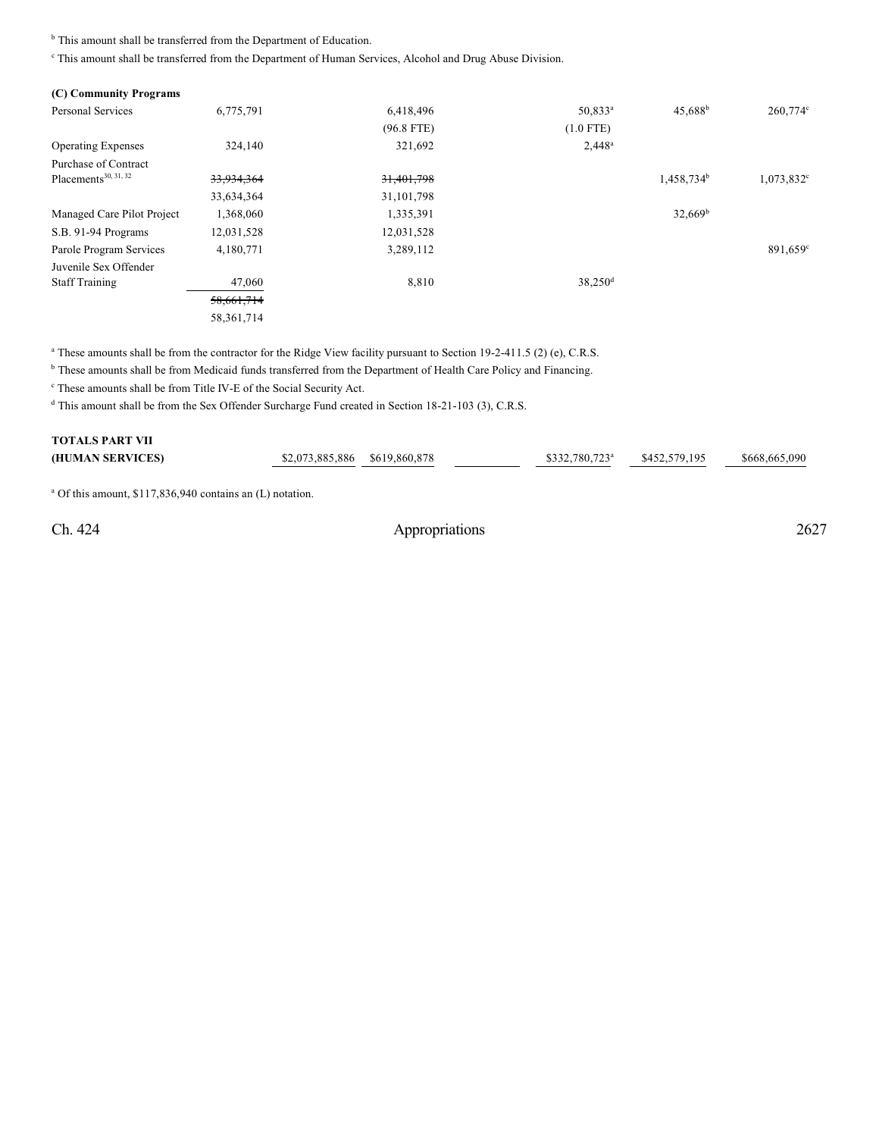<sup>b</sup> This amount shall be transferred from the Department of Education.

This amount shall be transferred from the Department of Human Services, Alcohol and Drug Abuse Division.

| (C) Community Programs           |              |              |                     |                        |                   |
|----------------------------------|--------------|--------------|---------------------|------------------------|-------------------|
| <b>Personal Services</b>         | 6,775,791    | 6,418,496    | 50,833 <sup>a</sup> | $45,688$ <sup>b</sup>  | $260,774$ °       |
|                                  |              | $(96.8$ FTE) | $(1.0$ FTE)         |                        |                   |
| <b>Operating Expenses</b>        | 324,140      | 321,692      | $2,448^a$           |                        |                   |
| Purchase of Contract             |              |              |                     |                        |                   |
| Placements <sup>30, 31, 32</sup> | 33,934,364   | 31,401,798   |                     | 1,458,734 <sup>b</sup> | $1,073,832^c$     |
|                                  | 33,634,364   | 31, 101, 798 |                     |                        |                   |
| Managed Care Pilot Project       | 1,368,060    | 1,335,391    |                     | $32,669^b$             |                   |
| S.B. 91-94 Programs              | 12,031,528   | 12,031,528   |                     |                        |                   |
| Parole Program Services          | 4,180,771    | 3,289,112    |                     |                        | $891,659^{\circ}$ |
| Juvenile Sex Offender            |              |              |                     |                        |                   |
| <b>Staff Training</b>            | 47,060       | 8,810        | 38,250 <sup>d</sup> |                        |                   |
|                                  | 58,661,714   |              |                     |                        |                   |
|                                  | 58, 361, 714 |              |                     |                        |                   |

<sup>a</sup> These amounts shall be from the contractor for the Ridge View facility pursuant to Section 19-2-411.5 (2) (e), C.R.S.

<sup>b</sup> These amounts shall be from Medicaid funds transferred from the Department of Health Care Policy and Financing.

<sup>c</sup> These amounts shall be from Title IV-E of the Social Security Act.

<sup>d</sup> This amount shall be from the Sex Offender Surcharge Fund created in Section 18-21-103 (3), C.R.S.

| <b>TOTALS PART VII</b> |                               |  |                            |               |               |
|------------------------|-------------------------------|--|----------------------------|---------------|---------------|
| (HUMAN SERVICES)       | \$2,073,885,886 \$619,860,878 |  | \$332,780,723 <sup>a</sup> | \$452,579,195 | \$668,665,090 |
|                        |                               |  |                            |               |               |

<sup>a</sup> Of this amount, \$117,836,940 contains an (L) notation.